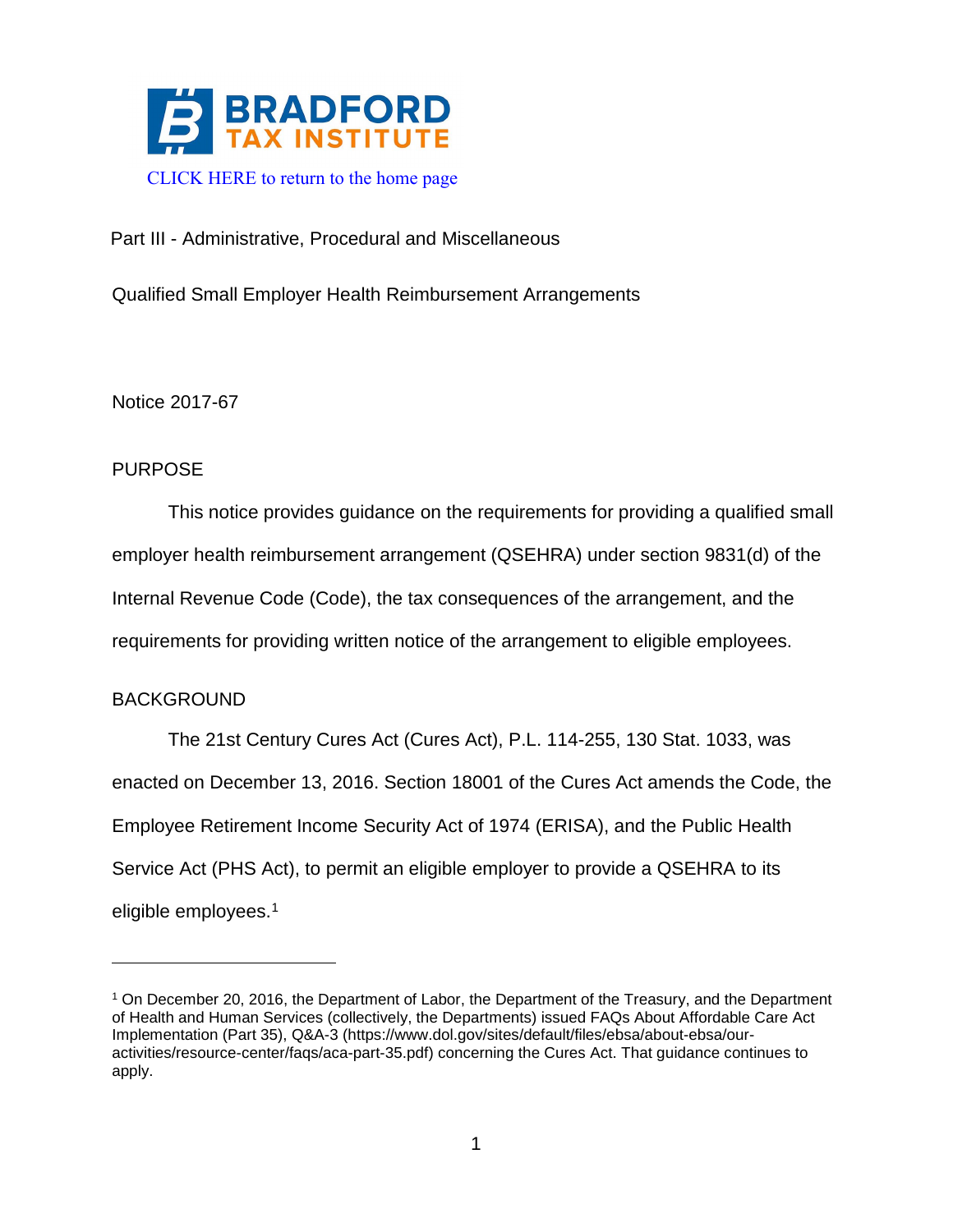

# Part III - Administrative, Procedural and Miscellaneous

Qualified Small Employer Health Reimbursement Arrangements

Notice 2017-67

# PURPOSE

This notice provides guidance on the requirements for providing a qualified small employer health reimbursement arrangement (QSEHRA) under section 9831(d) of the Internal Revenue Code (Code), the tax consequences of the arrangement, and the requirements for providing written notice of the arrangement to eligible employees.

# BACKGROUND

The 21st Century Cures Act (Cures Act), P.L. 114-255, 130 Stat. 1033, was enacted on December 13, 2016. Section 18001 of the Cures Act amends the Code, the Employee Retirement Income Security Act of 1974 (ERISA), and the Public Health Service Act (PHS Act), to permit an eligible employer to provide a QSEHRA to its eligible employees.<sup>[1](#page-0-0)</sup>

<span id="page-0-0"></span><sup>1</sup> On December 20, 2016, the Department of Labor, the Department of the Treasury, and the Department of Health and Human Services (collectively, the Departments) issued FAQs About Affordable Care Act Implementation (Part 35), Q&A-3 (https://www.dol.gov/sites/default/files/ebsa/about-ebsa/ouractivities/resource-center/faqs/aca-part-35.pdf) concerning the Cures Act. That guidance continues to apply.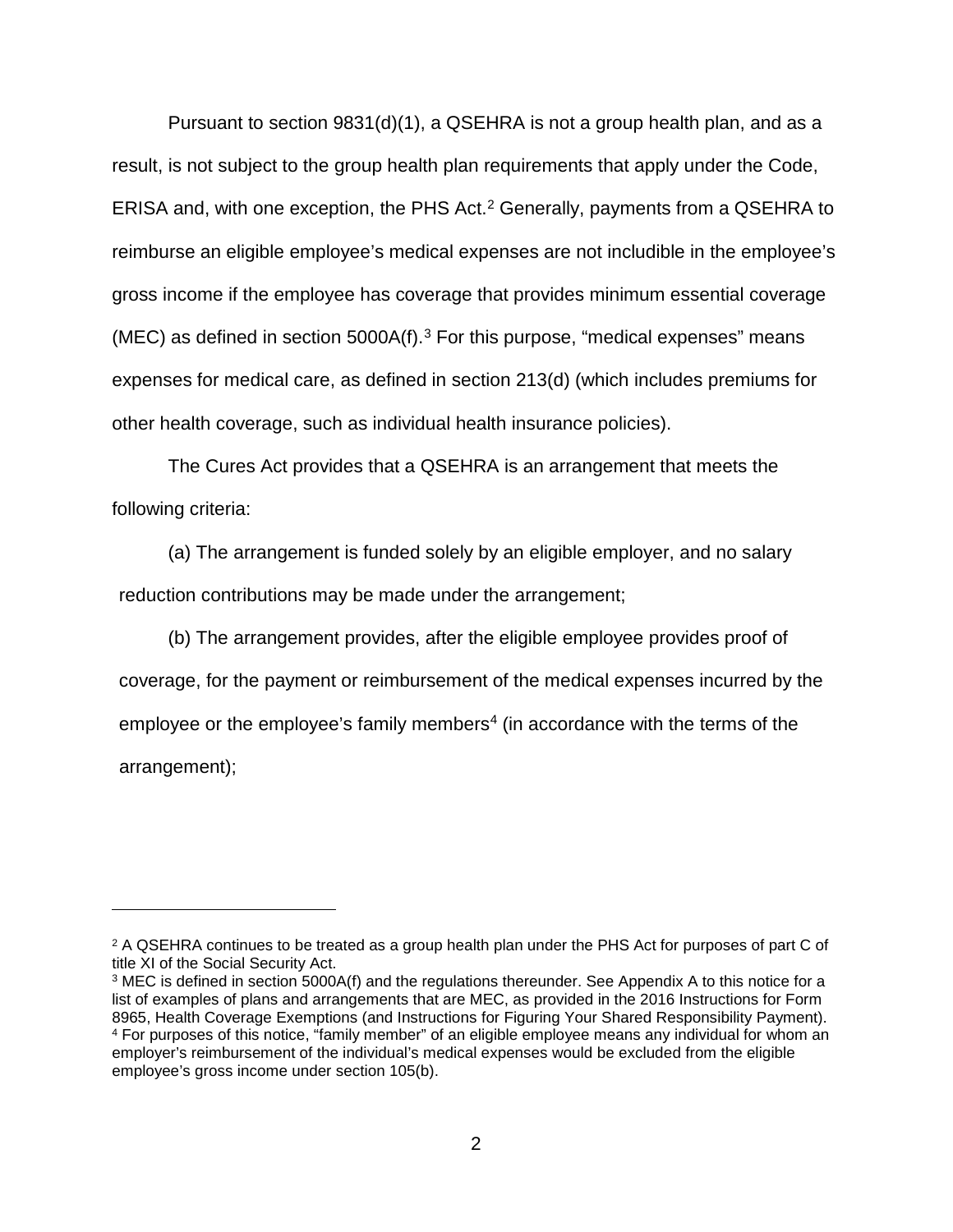Pursuant to section 9831(d)(1), a QSEHRA is not a group health plan, and as a result, is not subject to the group health plan requirements that apply under the Code, ERISA and, with one exception, the PHS Act.<sup>[2](#page-1-0)</sup> Generally, payments from a QSEHRA to reimburse an eligible employee's medical expenses are not includible in the employee's gross income if the employee has coverage that provides minimum essential coverage (MEC) as defined in section  $5000A(f).$ <sup>[3](#page-1-1)</sup> For this purpose, "medical expenses" means expenses for medical care, as defined in section 213(d) (which includes premiums for other health coverage, such as individual health insurance policies).

The Cures Act provides that a QSEHRA is an arrangement that meets the following criteria:

(a) The arrangement is funded solely by an eligible employer, and no salary reduction contributions may be made under the arrangement;

(b) The arrangement provides, after the eligible employee provides proof of coverage, for the payment or reimbursement of the medical expenses incurred by the employee or the employee's family members<sup>[4](#page-1-2)</sup> (in accordance with the terms of the arrangement);

 $\overline{a}$ 

<span id="page-1-0"></span><sup>&</sup>lt;sup>2</sup> A QSEHRA continues to be treated as a group health plan under the PHS Act for purposes of part C of title XI of the Social Security Act.

<span id="page-1-2"></span><span id="page-1-1"></span><sup>3</sup> MEC is defined in section 5000A(f) and the regulations thereunder. See Appendix A to this notice for a list of examples of plans and arrangements that are MEC, as provided in the 2016 Instructions for Form 8965, Health Coverage Exemptions (and Instructions for Figuring Your Shared Responsibility Payment). <sup>4</sup> For purposes of this notice, "family member" of an eligible employee means any individual for whom an employer's reimbursement of the individual's medical expenses would be excluded from the eligible employee's gross income under section 105(b).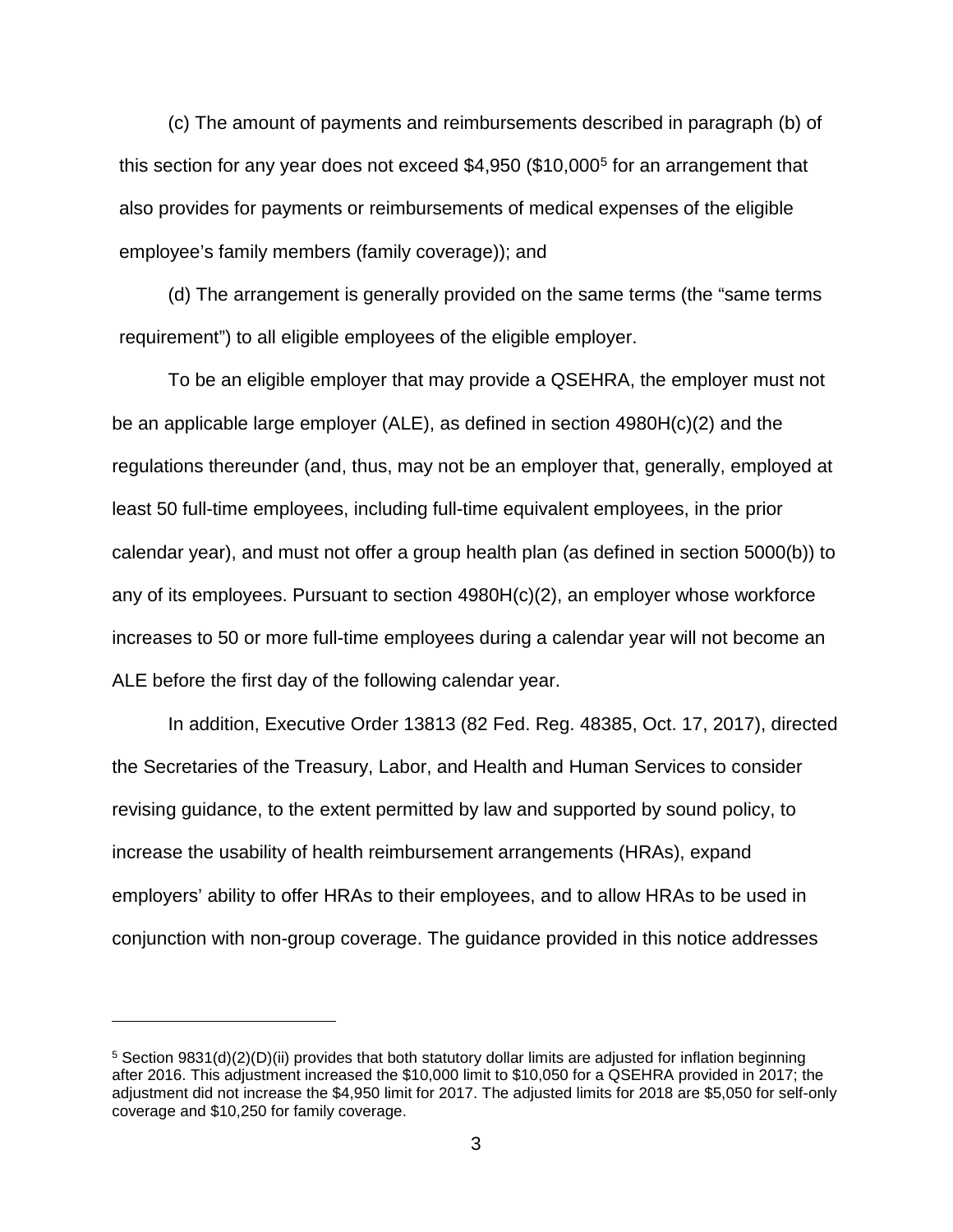(c) The amount of payments and reimbursements described in paragraph (b) of this section for any year does not exceed \$4,950 (\$10,000[5](#page-2-0) for an arrangement that also provides for payments or reimbursements of medical expenses of the eligible employee's family members (family coverage)); and

(d) The arrangement is generally provided on the same terms (the "same terms requirement") to all eligible employees of the eligible employer.

To be an eligible employer that may provide a QSEHRA, the employer must not be an applicable large employer (ALE), as defined in section 4980H(c)(2) and the regulations thereunder (and, thus, may not be an employer that, generally, employed at least 50 full-time employees, including full-time equivalent employees, in the prior calendar year), and must not offer a group health plan (as defined in section 5000(b)) to any of its employees. Pursuant to section 4980H(c)(2), an employer whose workforce increases to 50 or more full-time employees during a calendar year will not become an ALE before the first day of the following calendar year.

In addition, Executive Order 13813 (82 Fed. Reg. 48385, Oct. 17, 2017), directed the Secretaries of the Treasury, Labor, and Health and Human Services to consider revising guidance, to the extent permitted by law and supported by sound policy, to increase the usability of health reimbursement arrangements (HRAs), expand employers' ability to offer HRAs to their employees, and to allow HRAs to be used in conjunction with non-group coverage. The guidance provided in this notice addresses

 $\overline{a}$ 

<span id="page-2-0"></span> $5$  Section 9831(d)(2)(D)(ii) provides that both statutory dollar limits are adjusted for inflation beginning after 2016. This adjustment increased the \$10,000 limit to \$10,050 for a QSEHRA provided in 2017; the adjustment did not increase the \$4,950 limit for 2017. The adjusted limits for 2018 are \$5,050 for self-only coverage and \$10,250 for family coverage.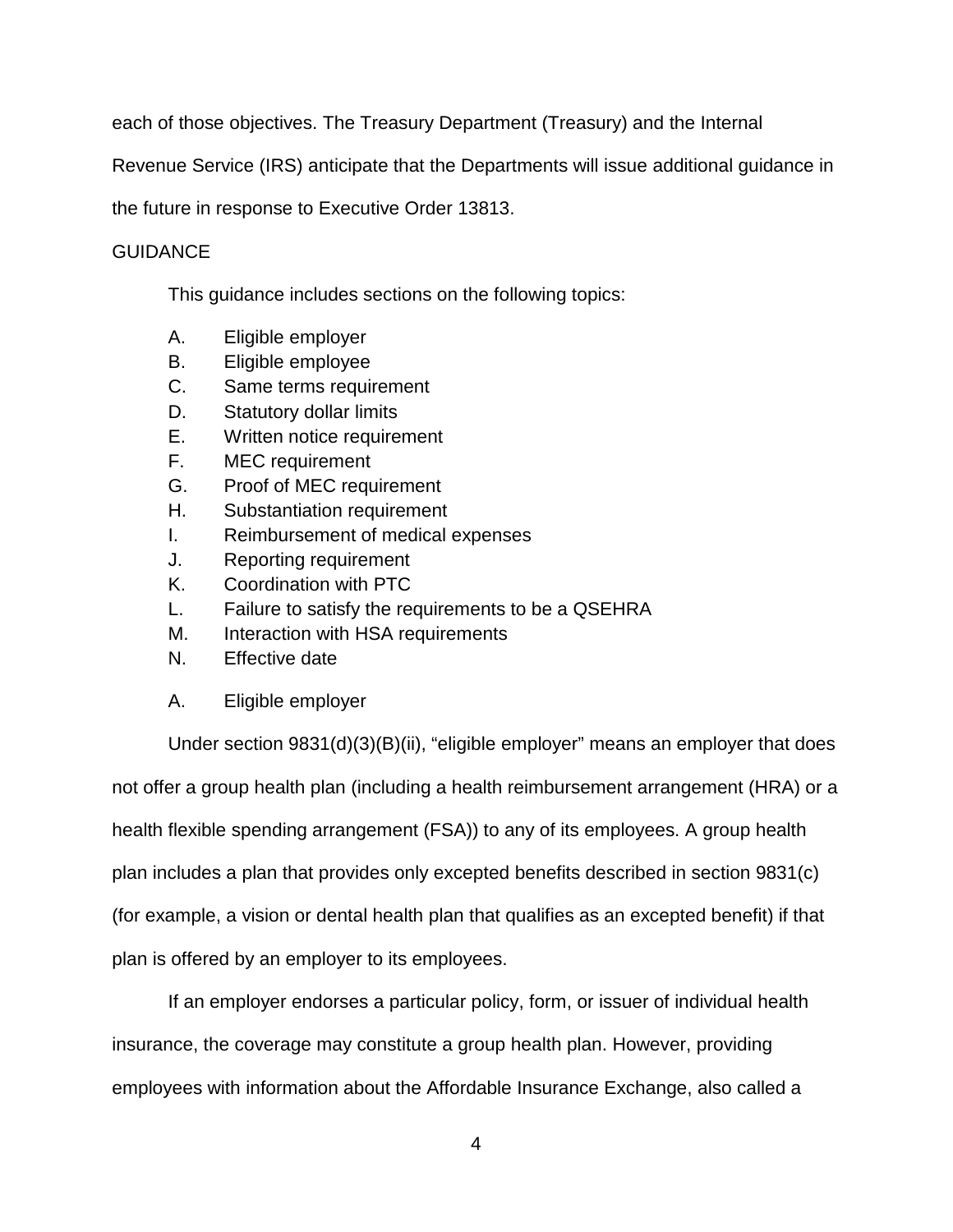each of those objectives. The Treasury Department (Treasury) and the Internal

Revenue Service (IRS) anticipate that the Departments will issue additional guidance in

the future in response to Executive Order 13813.

# **GUIDANCE**

This guidance includes sections on the following topics:

- A. Eligible employer
- B. Eligible employee
- C. Same terms requirement
- D. Statutory dollar limits
- E. Written notice requirement
- F. MEC requirement
- G. Proof of MEC requirement
- H. Substantiation requirement
- I. Reimbursement of medical expenses
- J. Reporting requirement
- K. Coordination with PTC
- L. Failure to satisfy the requirements to be a QSEHRA
- M. Interaction with HSA requirements
- N. Effective date
- A. Eligible employer

Under section 9831(d)(3)(B)(ii), "eligible employer" means an employer that does not offer a group health plan (including a health reimbursement arrangement (HRA) or a health flexible spending arrangement (FSA)) to any of its employees. A group health plan includes a plan that provides only excepted benefits described in section 9831(c) (for example, a vision or dental health plan that qualifies as an excepted benefit) if that plan is offered by an employer to its employees.

If an employer endorses a particular policy, form, or issuer of individual health insurance, the coverage may constitute a group health plan. However, providing employees with information about the Affordable Insurance Exchange, also called a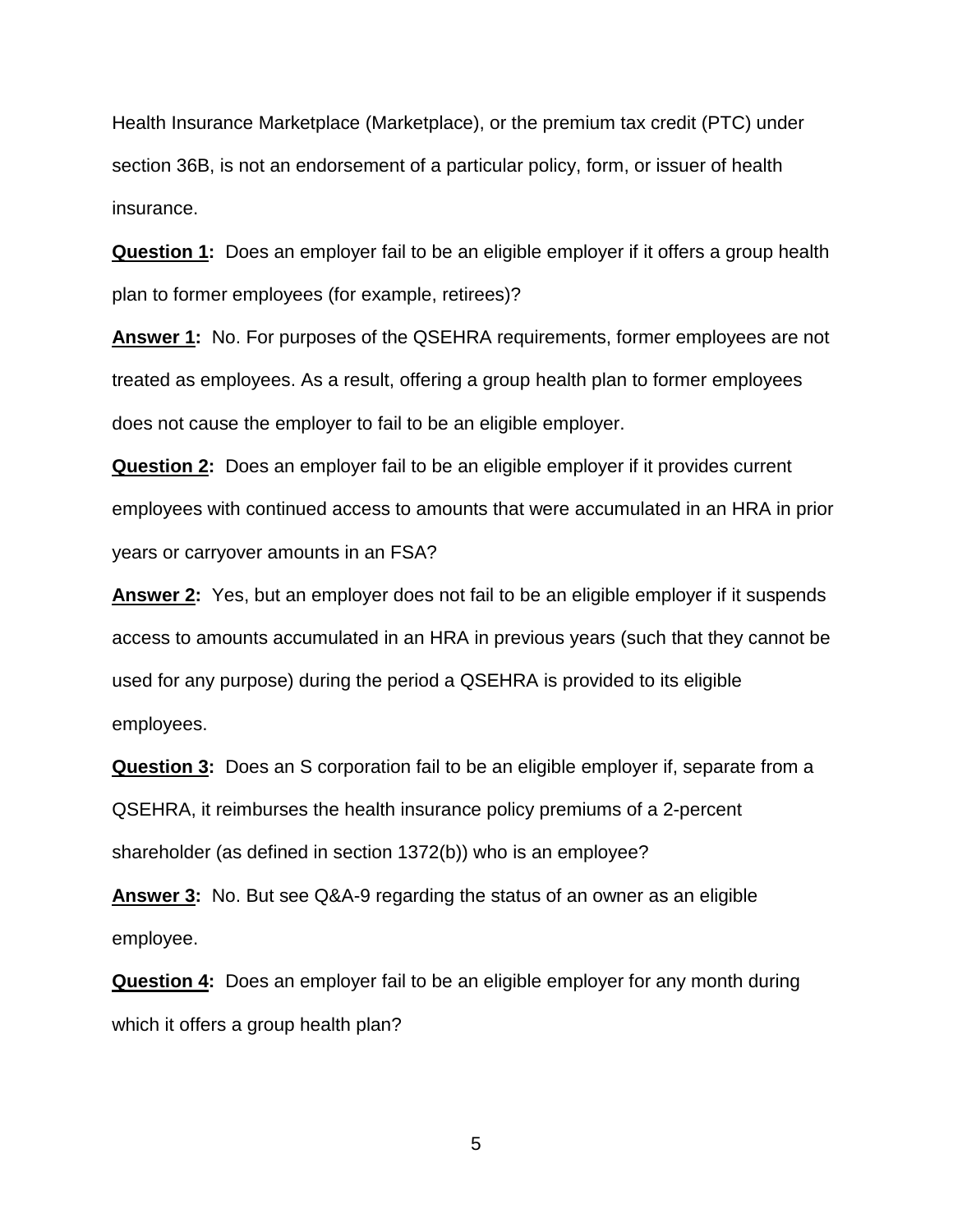Health Insurance Marketplace (Marketplace), or the premium tax credit (PTC) under section 36B, is not an endorsement of a particular policy, form, or issuer of health insurance.

**Question 1:** Does an employer fail to be an eligible employer if it offers a group health plan to former employees (for example, retirees)?

**Answer 1:** No. For purposes of the QSEHRA requirements, former employees are not treated as employees. As a result, offering a group health plan to former employees does not cause the employer to fail to be an eligible employer.

**Question 2:** Does an employer fail to be an eligible employer if it provides current employees with continued access to amounts that were accumulated in an HRA in prior years or carryover amounts in an FSA?

**Answer 2:** Yes, but an employer does not fail to be an eligible employer if it suspends access to amounts accumulated in an HRA in previous years (such that they cannot be used for any purpose) during the period a QSEHRA is provided to its eligible employees.

**Question 3:** Does an S corporation fail to be an eligible employer if, separate from a QSEHRA, it reimburses the health insurance policy premiums of a 2-percent shareholder (as defined in section 1372(b)) who is an employee?

**Answer 3:** No. But see Q&A-9 regarding the status of an owner as an eligible employee.

**Question 4:** Does an employer fail to be an eligible employer for any month during which it offers a group health plan?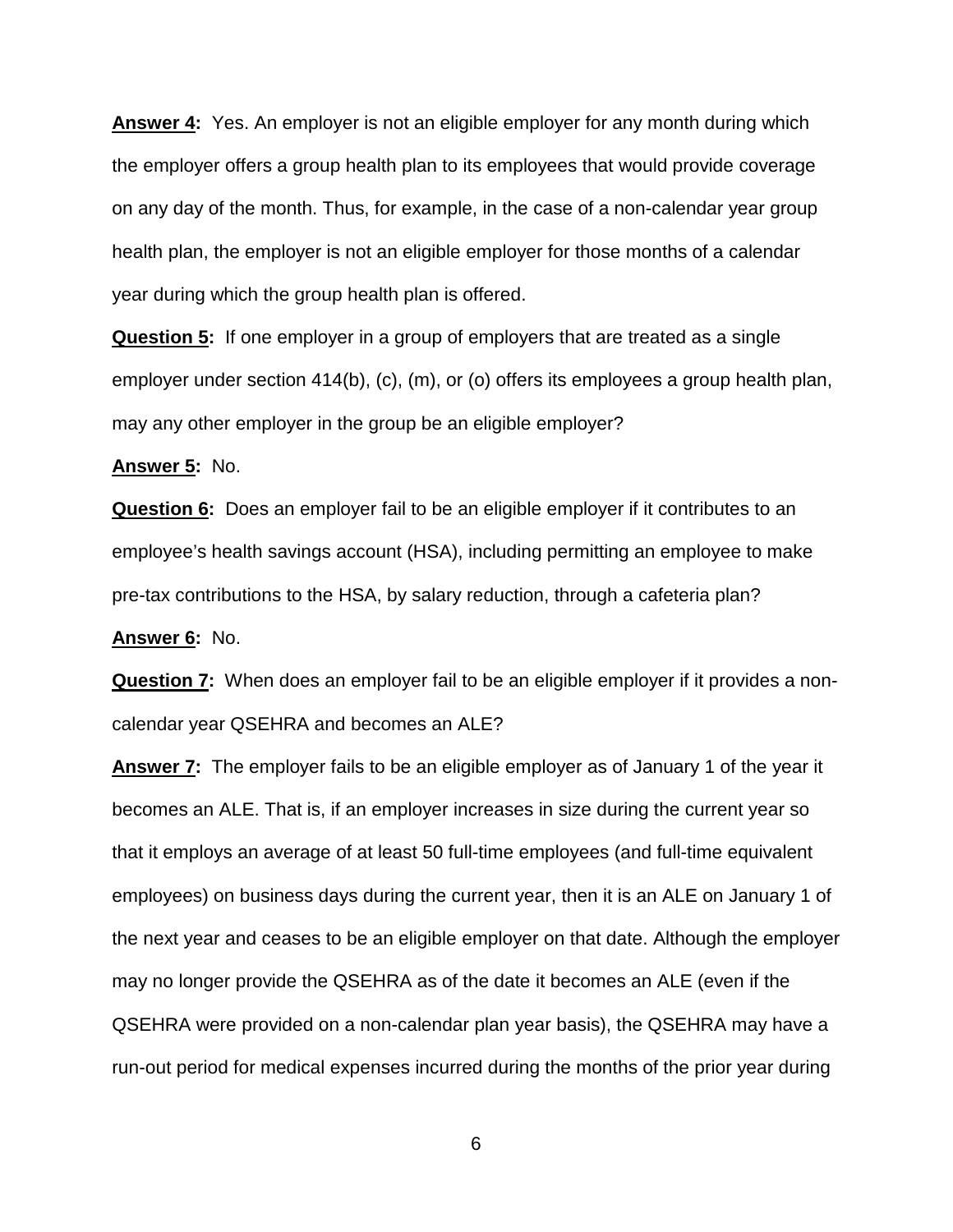**Answer 4:** Yes. An employer is not an eligible employer for any month during which the employer offers a group health plan to its employees that would provide coverage on any day of the month. Thus, for example, in the case of a non-calendar year group health plan, the employer is not an eligible employer for those months of a calendar year during which the group health plan is offered.

**Question 5:** If one employer in a group of employers that are treated as a single employer under section 414(b), (c), (m), or (o) offers its employees a group health plan, may any other employer in the group be an eligible employer?

**Answer 5:** No.

**Question 6:** Does an employer fail to be an eligible employer if it contributes to an employee's health savings account (HSA), including permitting an employee to make pre-tax contributions to the HSA, by salary reduction, through a cafeteria plan?

**Answer 6:** No.

**Question 7:** When does an employer fail to be an eligible employer if it provides a noncalendar year QSEHRA and becomes an ALE?

**Answer 7:** The employer fails to be an eligible employer as of January 1 of the year it becomes an ALE. That is, if an employer increases in size during the current year so that it employs an average of at least 50 full-time employees (and full-time equivalent employees) on business days during the current year, then it is an ALE on January 1 of the next year and ceases to be an eligible employer on that date. Although the employer may no longer provide the QSEHRA as of the date it becomes an ALE (even if the QSEHRA were provided on a non-calendar plan year basis), the QSEHRA may have a run-out period for medical expenses incurred during the months of the prior year during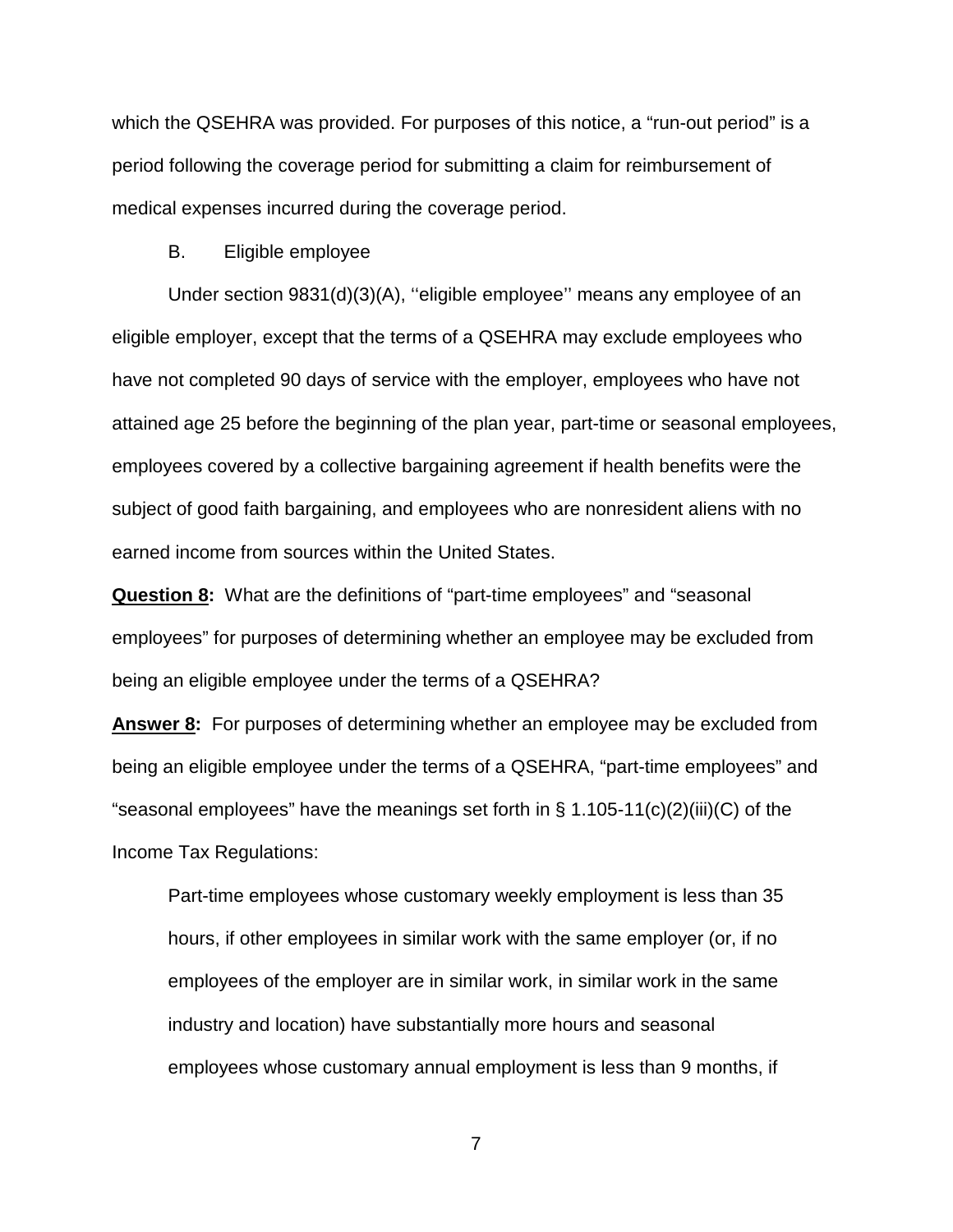which the QSEHRA was provided. For purposes of this notice, a "run-out period" is a period following the coverage period for submitting a claim for reimbursement of medical expenses incurred during the coverage period.

## B. Eligible employee

Under section 9831(d)(3)(A), ''eligible employee'' means any employee of an eligible employer, except that the terms of a QSEHRA may exclude employees who have not completed 90 days of service with the employer, employees who have not attained age 25 before the beginning of the plan year, part-time or seasonal employees, employees covered by a collective bargaining agreement if health benefits were the subject of good faith bargaining, and employees who are nonresident aliens with no earned income from sources within the United States.

**Question 8:** What are the definitions of "part-time employees" and "seasonal employees" for purposes of determining whether an employee may be excluded from being an eligible employee under the terms of a QSEHRA?

**Answer 8:** For purposes of determining whether an employee may be excluded from being an eligible employee under the terms of a QSEHRA, "part-time employees" and "seasonal employees" have the meanings set forth in § 1.105-11(c)(2)(iii)(C) of the Income Tax Regulations:

Part-time employees whose customary weekly employment is less than 35 hours, if other employees in similar work with the same employer (or, if no employees of the employer are in similar work, in similar work in the same industry and location) have substantially more hours and seasonal employees whose customary annual employment is less than 9 months, if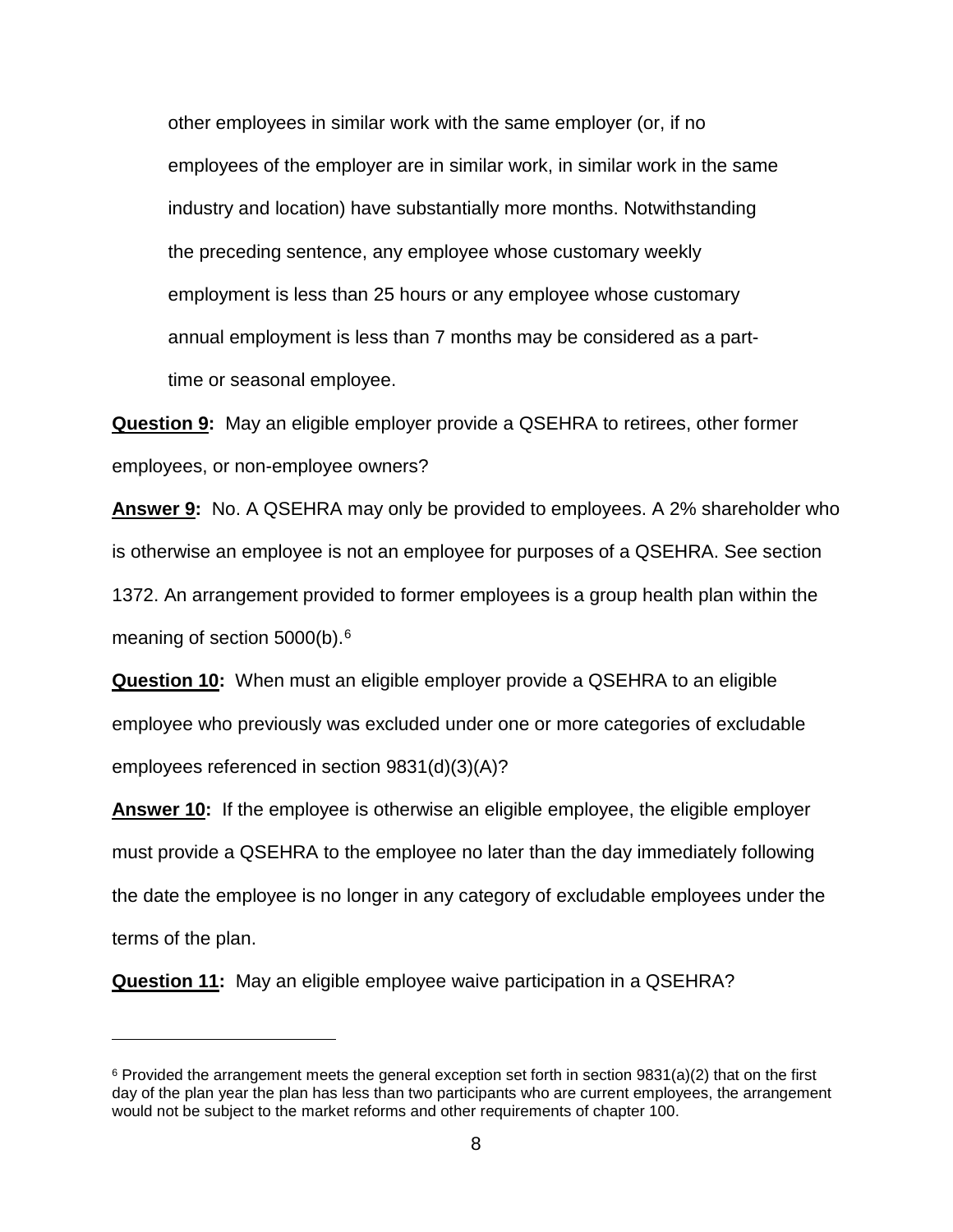other employees in similar work with the same employer (or, if no employees of the employer are in similar work, in similar work in the same industry and location) have substantially more months. Notwithstanding the preceding sentence, any employee whose customary weekly employment is less than 25 hours or any employee whose customary annual employment is less than 7 months may be considered as a parttime or seasonal employee.

**Question 9:** May an eligible employer provide a QSEHRA to retirees, other former employees, or non-employee owners?

**Answer 9:** No. A QSEHRA may only be provided to employees. A 2% shareholder who is otherwise an employee is not an employee for purposes of a QSEHRA. See section 1372. An arrangement provided to former employees is a group health plan within the meaning of section 5000(b).<sup>[6](#page-7-0)</sup>

**Question 10:** When must an eligible employer provide a QSEHRA to an eligible employee who previously was excluded under one or more categories of excludable employees referenced in section 9831(d)(3)(A)?

**Answer 10:** If the employee is otherwise an eligible employee, the eligible employer must provide a QSEHRA to the employee no later than the day immediately following the date the employee is no longer in any category of excludable employees under the terms of the plan.

**Question 11:** May an eligible employee waive participation in a QSEHRA?

 $\overline{a}$ 

<span id="page-7-0"></span> $6$  Provided the arrangement meets the general exception set forth in section 9831(a)(2) that on the first day of the plan year the plan has less than two participants who are current employees, the arrangement would not be subject to the market reforms and other requirements of chapter 100.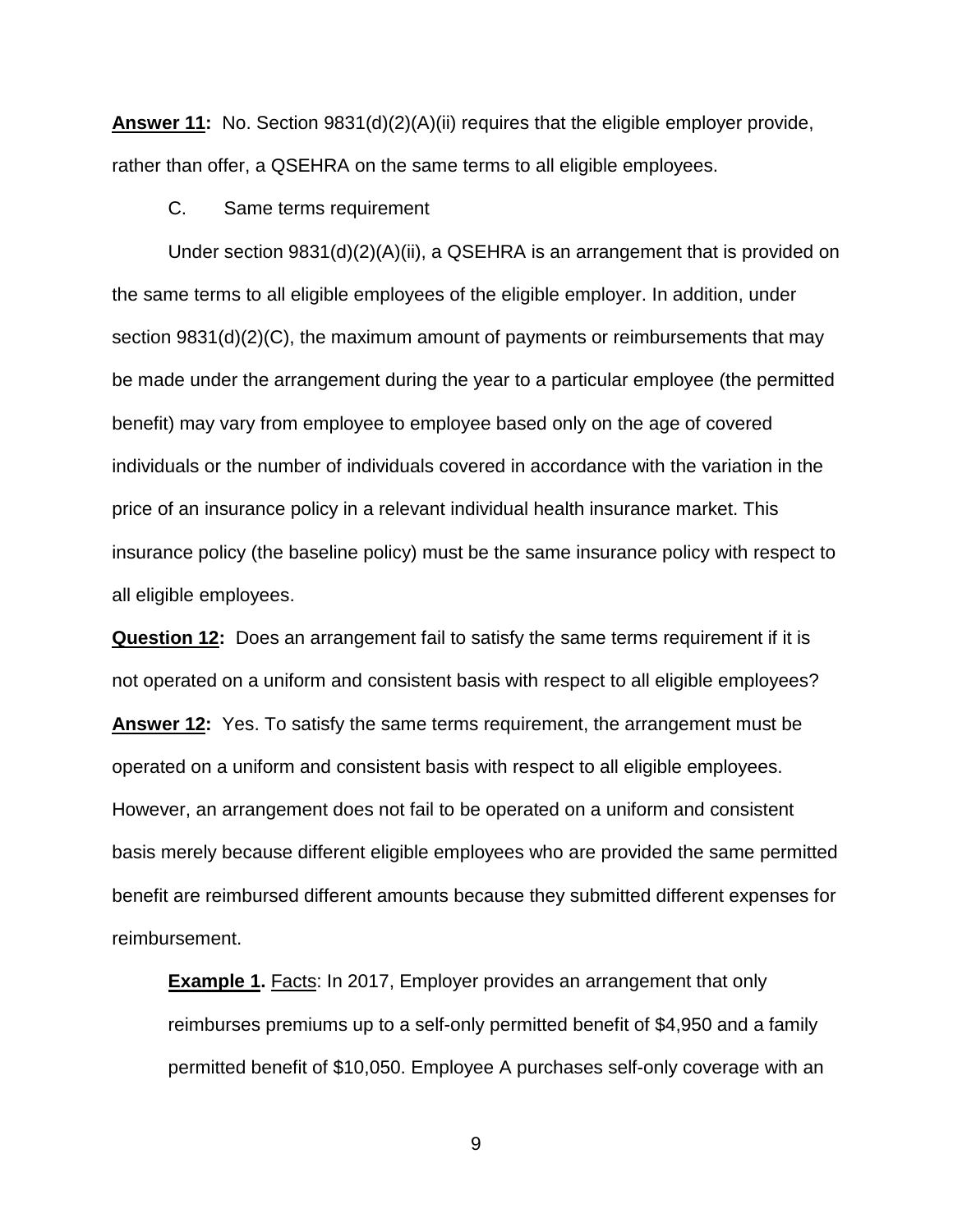**Answer 11:** No. Section 9831(d)(2)(A)(ii) requires that the eligible employer provide, rather than offer, a QSEHRA on the same terms to all eligible employees.

C. Same terms requirement

Under section 9831(d)(2)(A)(ii), a QSEHRA is an arrangement that is provided on the same terms to all eligible employees of the eligible employer. In addition, under section 9831(d)(2)(C), the maximum amount of payments or reimbursements that may be made under the arrangement during the year to a particular employee (the permitted benefit) may vary from employee to employee based only on the age of covered individuals or the number of individuals covered in accordance with the variation in the price of an insurance policy in a relevant individual health insurance market. This insurance policy (the baseline policy) must be the same insurance policy with respect to all eligible employees.

**Question 12:** Does an arrangement fail to satisfy the same terms requirement if it is not operated on a uniform and consistent basis with respect to all eligible employees? **Answer 12:** Yes. To satisfy the same terms requirement, the arrangement must be operated on a uniform and consistent basis with respect to all eligible employees. However, an arrangement does not fail to be operated on a uniform and consistent basis merely because different eligible employees who are provided the same permitted benefit are reimbursed different amounts because they submitted different expenses for reimbursement.

**Example 1.** Facts: In 2017, Employer provides an arrangement that only reimburses premiums up to a self-only permitted benefit of \$4,950 and a family permitted benefit of \$10,050. Employee A purchases self-only coverage with an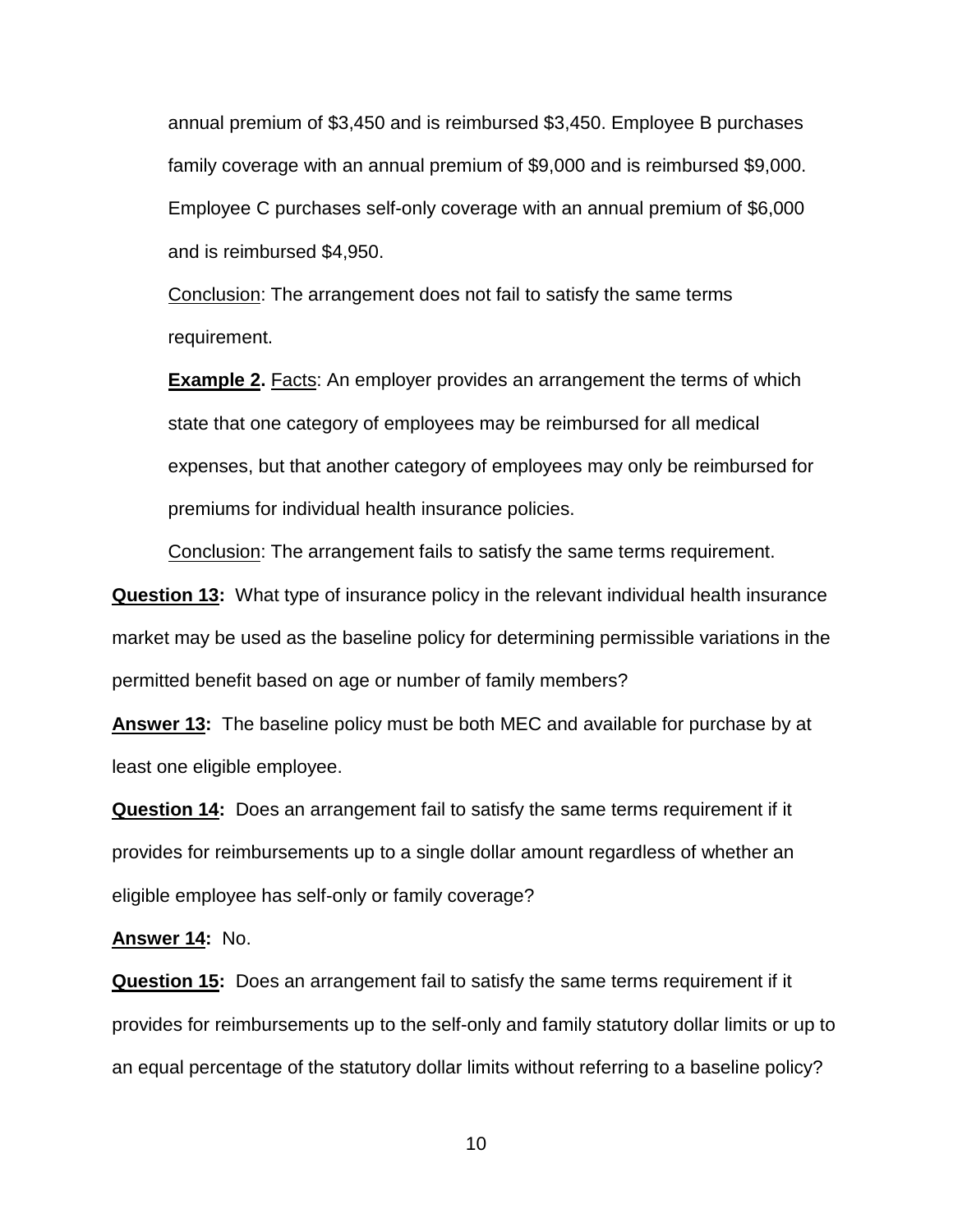annual premium of \$3,450 and is reimbursed \$3,450. Employee B purchases family coverage with an annual premium of \$9,000 and is reimbursed \$9,000. Employee C purchases self-only coverage with an annual premium of \$6,000 and is reimbursed \$4,950.

Conclusion: The arrangement does not fail to satisfy the same terms requirement.

**Example 2.** Facts: An employer provides an arrangement the terms of which state that one category of employees may be reimbursed for all medical expenses, but that another category of employees may only be reimbursed for premiums for individual health insurance policies.

Conclusion: The arrangement fails to satisfy the same terms requirement.

**Question 13:** What type of insurance policy in the relevant individual health insurance market may be used as the baseline policy for determining permissible variations in the permitted benefit based on age or number of family members?

**Answer 13:** The baseline policy must be both MEC and available for purchase by at least one eligible employee.

**Question 14:** Does an arrangement fail to satisfy the same terms requirement if it provides for reimbursements up to a single dollar amount regardless of whether an eligible employee has self-only or family coverage?

**Answer 14:** No.

**Question 15:** Does an arrangement fail to satisfy the same terms requirement if it provides for reimbursements up to the self-only and family statutory dollar limits or up to an equal percentage of the statutory dollar limits without referring to a baseline policy?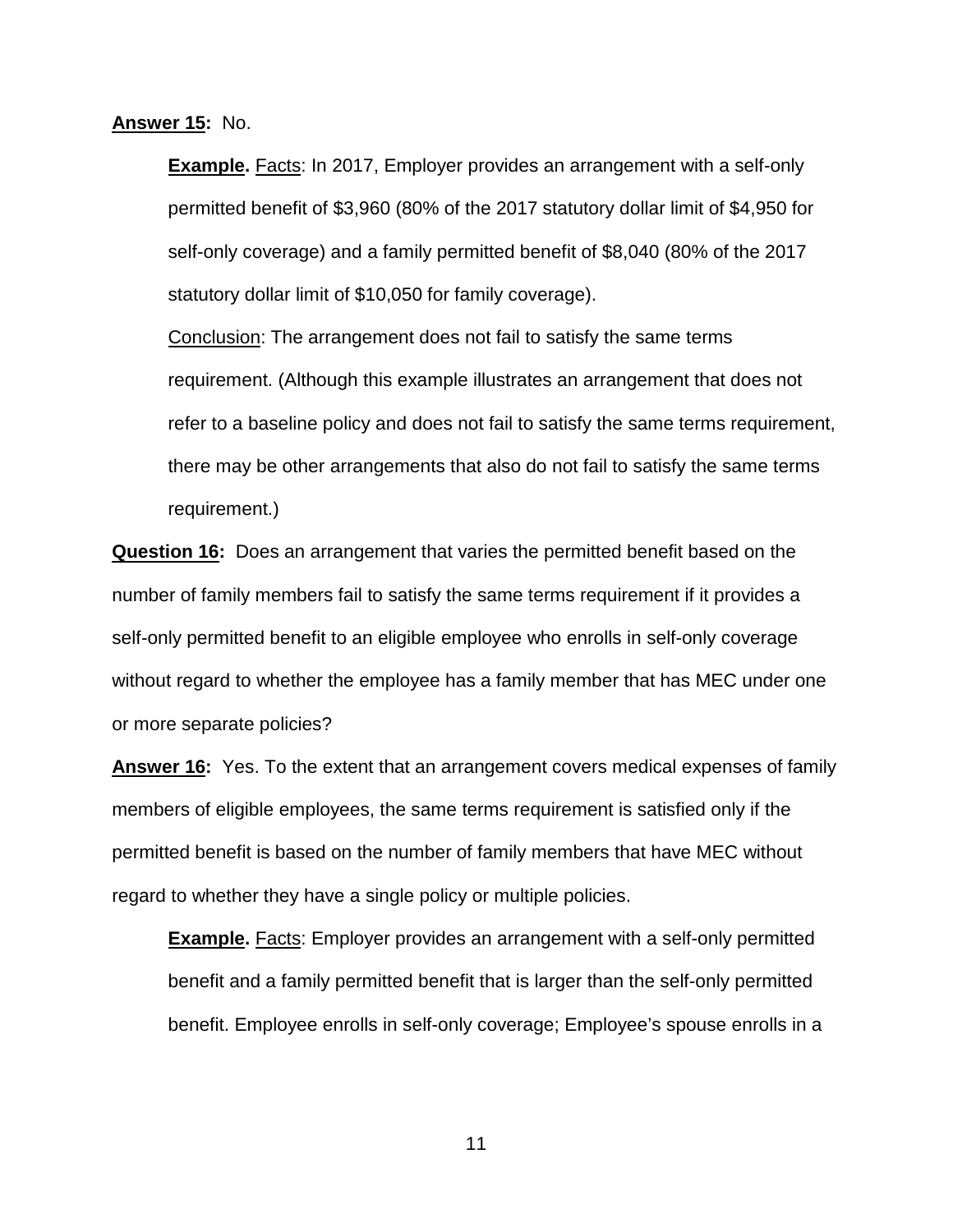**Answer 15:** No.

**Example.** Facts: In 2017, Employer provides an arrangement with a self-only permitted benefit of \$3,960 (80% of the 2017 statutory dollar limit of \$4,950 for self-only coverage) and a family permitted benefit of \$8,040 (80% of the 2017 statutory dollar limit of \$10,050 for family coverage).

Conclusion: The arrangement does not fail to satisfy the same terms requirement. (Although this example illustrates an arrangement that does not refer to a baseline policy and does not fail to satisfy the same terms requirement, there may be other arrangements that also do not fail to satisfy the same terms requirement.)

**Question 16:** Does an arrangement that varies the permitted benefit based on the number of family members fail to satisfy the same terms requirement if it provides a self-only permitted benefit to an eligible employee who enrolls in self-only coverage without regard to whether the employee has a family member that has MEC under one or more separate policies?

**Answer 16:** Yes. To the extent that an arrangement covers medical expenses of family members of eligible employees, the same terms requirement is satisfied only if the permitted benefit is based on the number of family members that have MEC without regard to whether they have a single policy or multiple policies.

**Example.** Facts: Employer provides an arrangement with a self-only permitted benefit and a family permitted benefit that is larger than the self-only permitted benefit. Employee enrolls in self-only coverage; Employee's spouse enrolls in a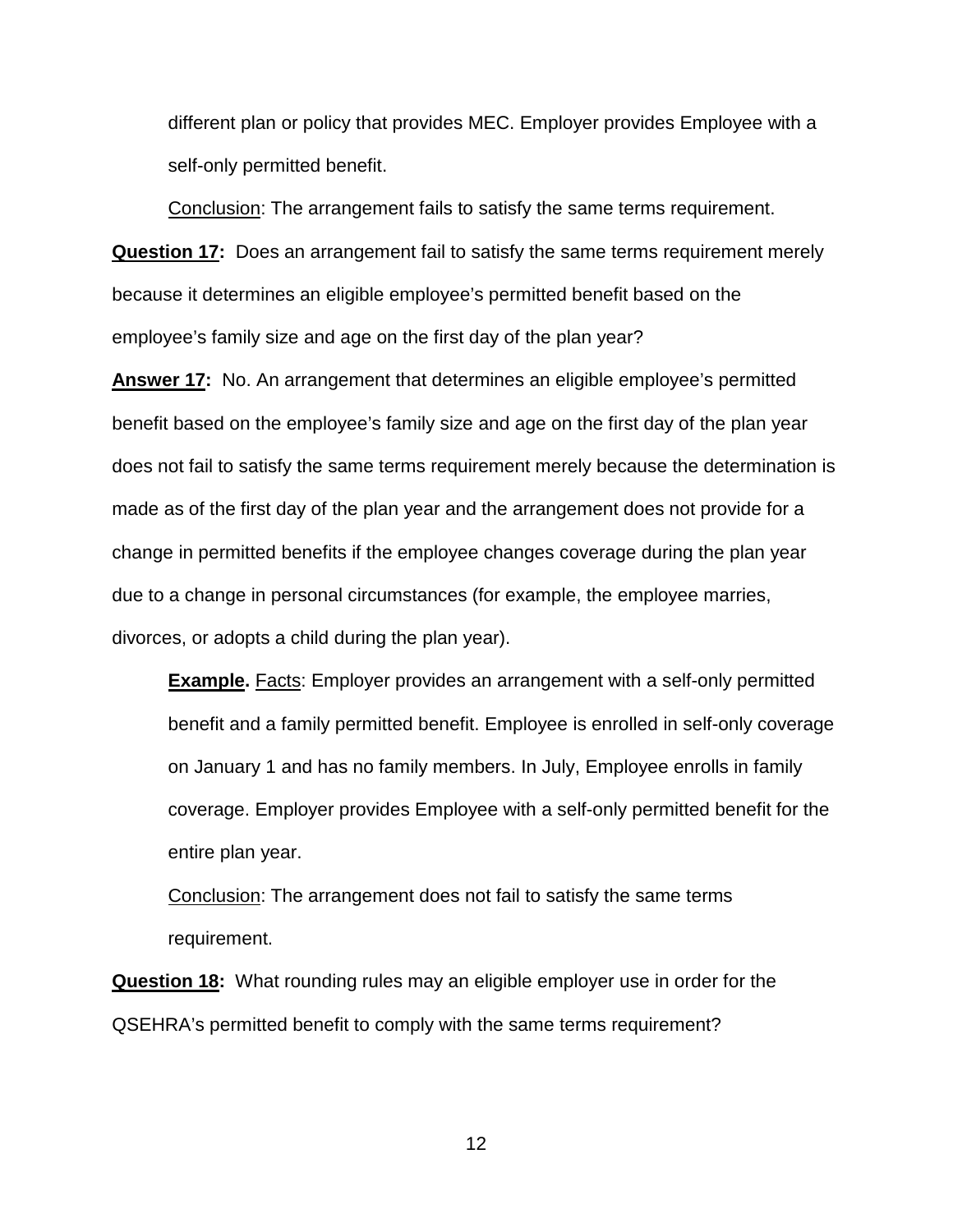different plan or policy that provides MEC. Employer provides Employee with a self-only permitted benefit.

Conclusion: The arrangement fails to satisfy the same terms requirement.

**Question 17:** Does an arrangement fail to satisfy the same terms requirement merely because it determines an eligible employee's permitted benefit based on the employee's family size and age on the first day of the plan year?

**Answer 17:** No. An arrangement that determines an eligible employee's permitted benefit based on the employee's family size and age on the first day of the plan year does not fail to satisfy the same terms requirement merely because the determination is made as of the first day of the plan year and the arrangement does not provide for a change in permitted benefits if the employee changes coverage during the plan year due to a change in personal circumstances (for example, the employee marries, divorces, or adopts a child during the plan year).

**Example.** Facts: Employer provides an arrangement with a self-only permitted benefit and a family permitted benefit. Employee is enrolled in self-only coverage on January 1 and has no family members. In July, Employee enrolls in family coverage. Employer provides Employee with a self-only permitted benefit for the entire plan year.

Conclusion: The arrangement does not fail to satisfy the same terms requirement.

**Question 18:** What rounding rules may an eligible employer use in order for the QSEHRA's permitted benefit to comply with the same terms requirement?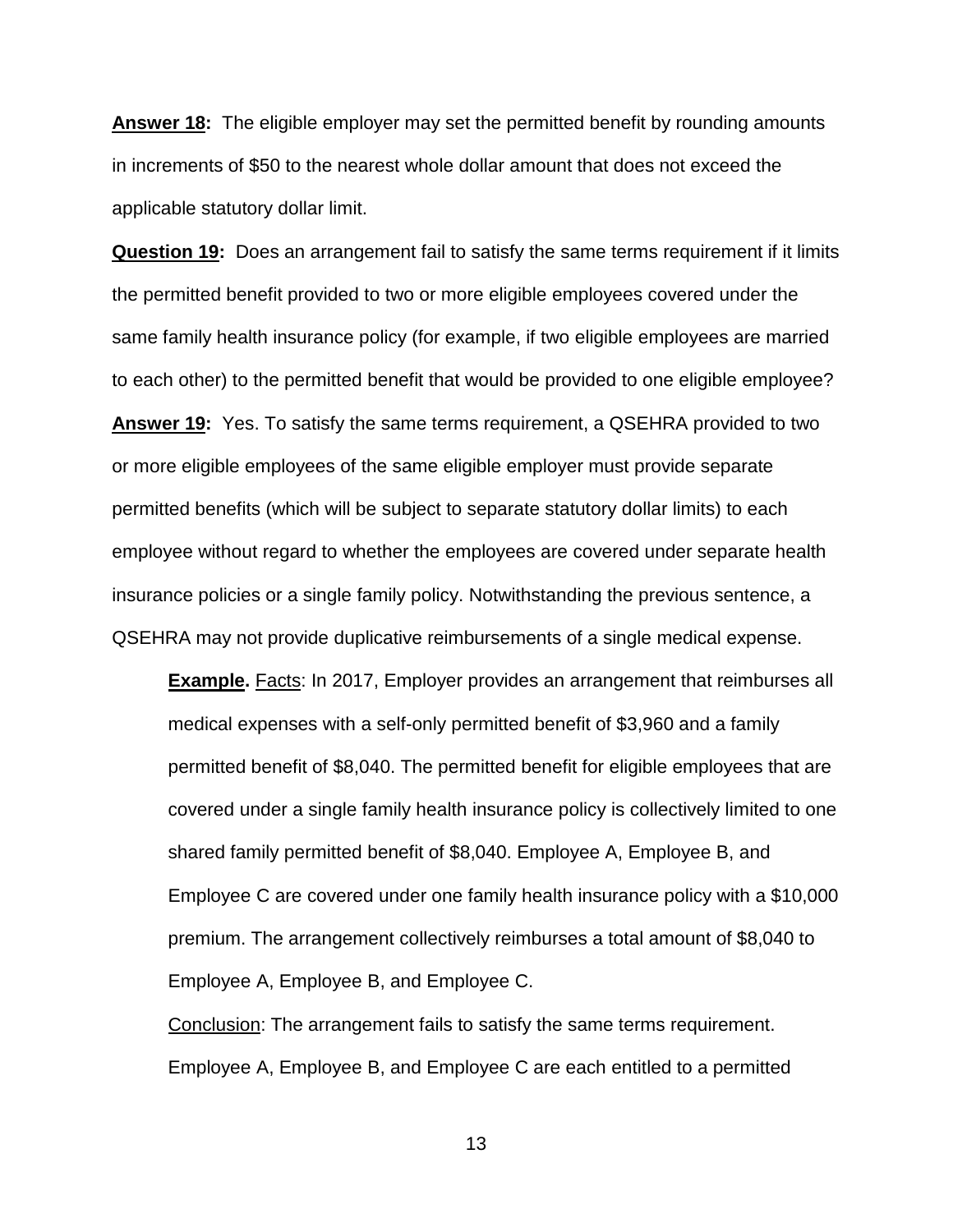**Answer 18:** The eligible employer may set the permitted benefit by rounding amounts in increments of \$50 to the nearest whole dollar amount that does not exceed the applicable statutory dollar limit.

**Question 19:** Does an arrangement fail to satisfy the same terms requirement if it limits the permitted benefit provided to two or more eligible employees covered under the same family health insurance policy (for example, if two eligible employees are married to each other) to the permitted benefit that would be provided to one eligible employee? **Answer 19:** Yes. To satisfy the same terms requirement, a QSEHRA provided to two or more eligible employees of the same eligible employer must provide separate permitted benefits (which will be subject to separate statutory dollar limits) to each employee without regard to whether the employees are covered under separate health insurance policies or a single family policy. Notwithstanding the previous sentence, a QSEHRA may not provide duplicative reimbursements of a single medical expense.

**Example.** Facts: In 2017, Employer provides an arrangement that reimburses all medical expenses with a self-only permitted benefit of \$3,960 and a family permitted benefit of \$8,040. The permitted benefit for eligible employees that are covered under a single family health insurance policy is collectively limited to one shared family permitted benefit of \$8,040. Employee A, Employee B, and Employee C are covered under one family health insurance policy with a \$10,000 premium. The arrangement collectively reimburses a total amount of \$8,040 to Employee A, Employee B, and Employee C.

Conclusion: The arrangement fails to satisfy the same terms requirement. Employee A, Employee B, and Employee C are each entitled to a permitted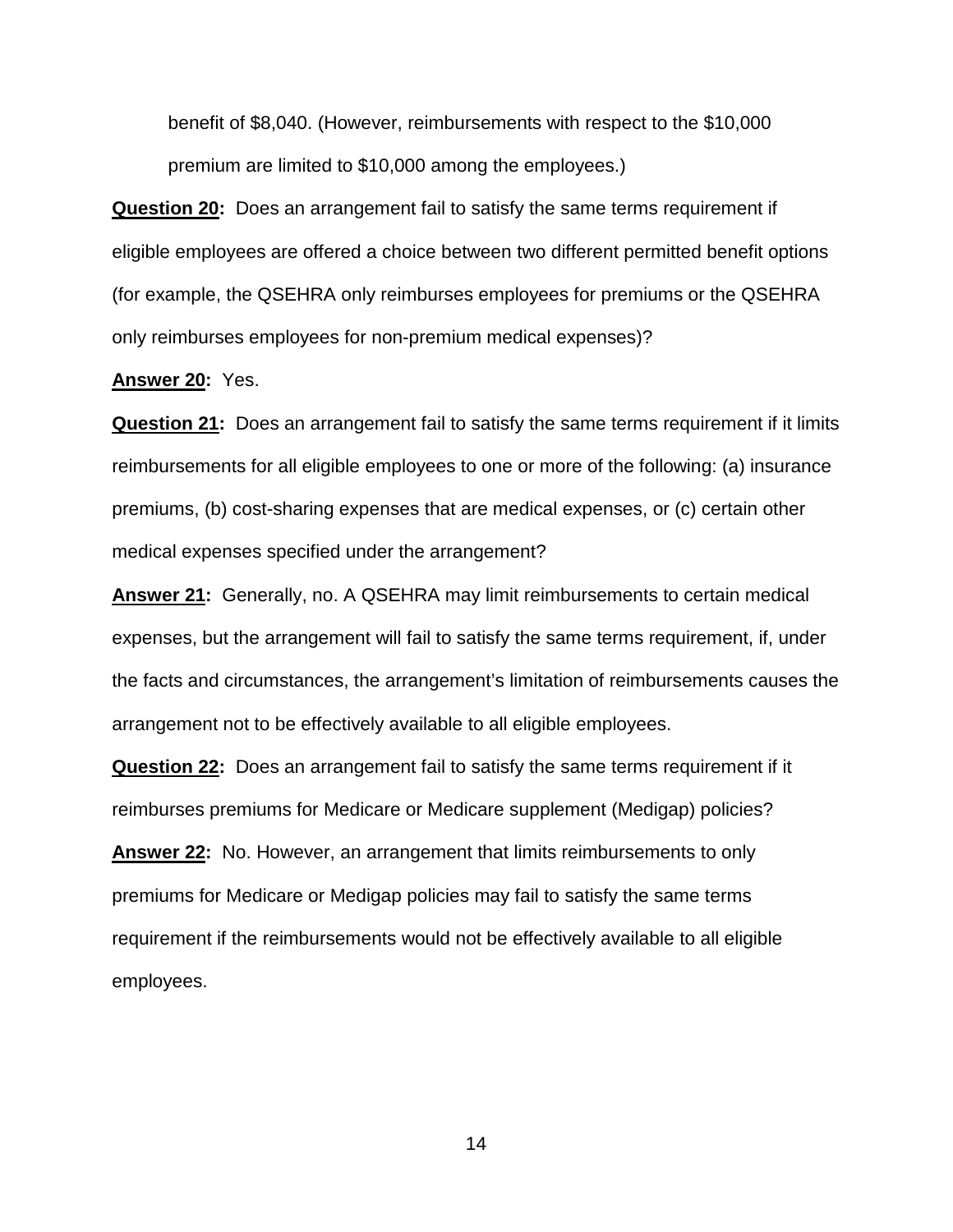benefit of \$8,040. (However, reimbursements with respect to the \$10,000 premium are limited to \$10,000 among the employees.)

**Question 20:** Does an arrangement fail to satisfy the same terms requirement if eligible employees are offered a choice between two different permitted benefit options (for example, the QSEHRA only reimburses employees for premiums or the QSEHRA only reimburses employees for non-premium medical expenses)?

#### **Answer 20:** Yes.

**Question 21:** Does an arrangement fail to satisfy the same terms requirement if it limits reimbursements for all eligible employees to one or more of the following: (a) insurance premiums, (b) cost-sharing expenses that are medical expenses, or (c) certain other medical expenses specified under the arrangement?

**Answer 21:** Generally, no. A QSEHRA may limit reimbursements to certain medical expenses, but the arrangement will fail to satisfy the same terms requirement, if, under the facts and circumstances, the arrangement's limitation of reimbursements causes the arrangement not to be effectively available to all eligible employees.

**Question 22:** Does an arrangement fail to satisfy the same terms requirement if it reimburses premiums for Medicare or Medicare supplement (Medigap) policies?

**Answer 22:** No. However, an arrangement that limits reimbursements to only premiums for Medicare or Medigap policies may fail to satisfy the same terms requirement if the reimbursements would not be effectively available to all eligible employees.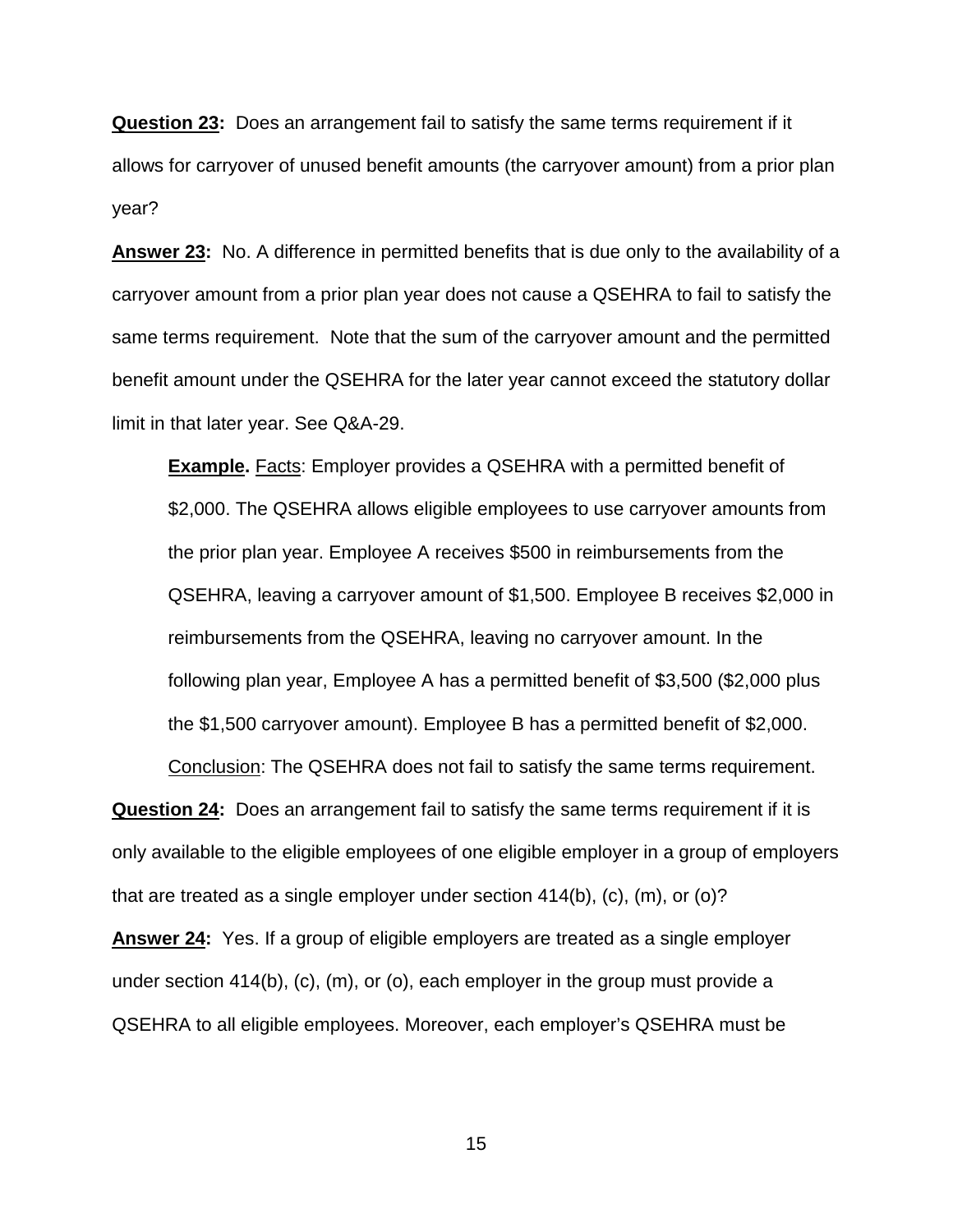**Question 23:** Does an arrangement fail to satisfy the same terms requirement if it allows for carryover of unused benefit amounts (the carryover amount) from a prior plan year?

**Answer 23:** No. A difference in permitted benefits that is due only to the availability of a carryover amount from a prior plan year does not cause a QSEHRA to fail to satisfy the same terms requirement. Note that the sum of the carryover amount and the permitted benefit amount under the QSEHRA for the later year cannot exceed the statutory dollar limit in that later year. See Q&A-29.

**Example.** Facts: Employer provides a QSEHRA with a permitted benefit of \$2,000. The QSEHRA allows eligible employees to use carryover amounts from the prior plan year. Employee A receives \$500 in reimbursements from the QSEHRA, leaving a carryover amount of \$1,500. Employee B receives \$2,000 in reimbursements from the QSEHRA, leaving no carryover amount. In the following plan year, Employee A has a permitted benefit of \$3,500 (\$2,000 plus the \$1,500 carryover amount). Employee B has a permitted benefit of \$2,000.

**Question 24:** Does an arrangement fail to satisfy the same terms requirement if it is only available to the eligible employees of one eligible employer in a group of employers that are treated as a single employer under section 414(b), (c), (m), or (o)?

Conclusion: The QSEHRA does not fail to satisfy the same terms requirement.

**Answer 24:** Yes. If a group of eligible employers are treated as a single employer under section 414(b), (c), (m), or (o), each employer in the group must provide a QSEHRA to all eligible employees. Moreover, each employer's QSEHRA must be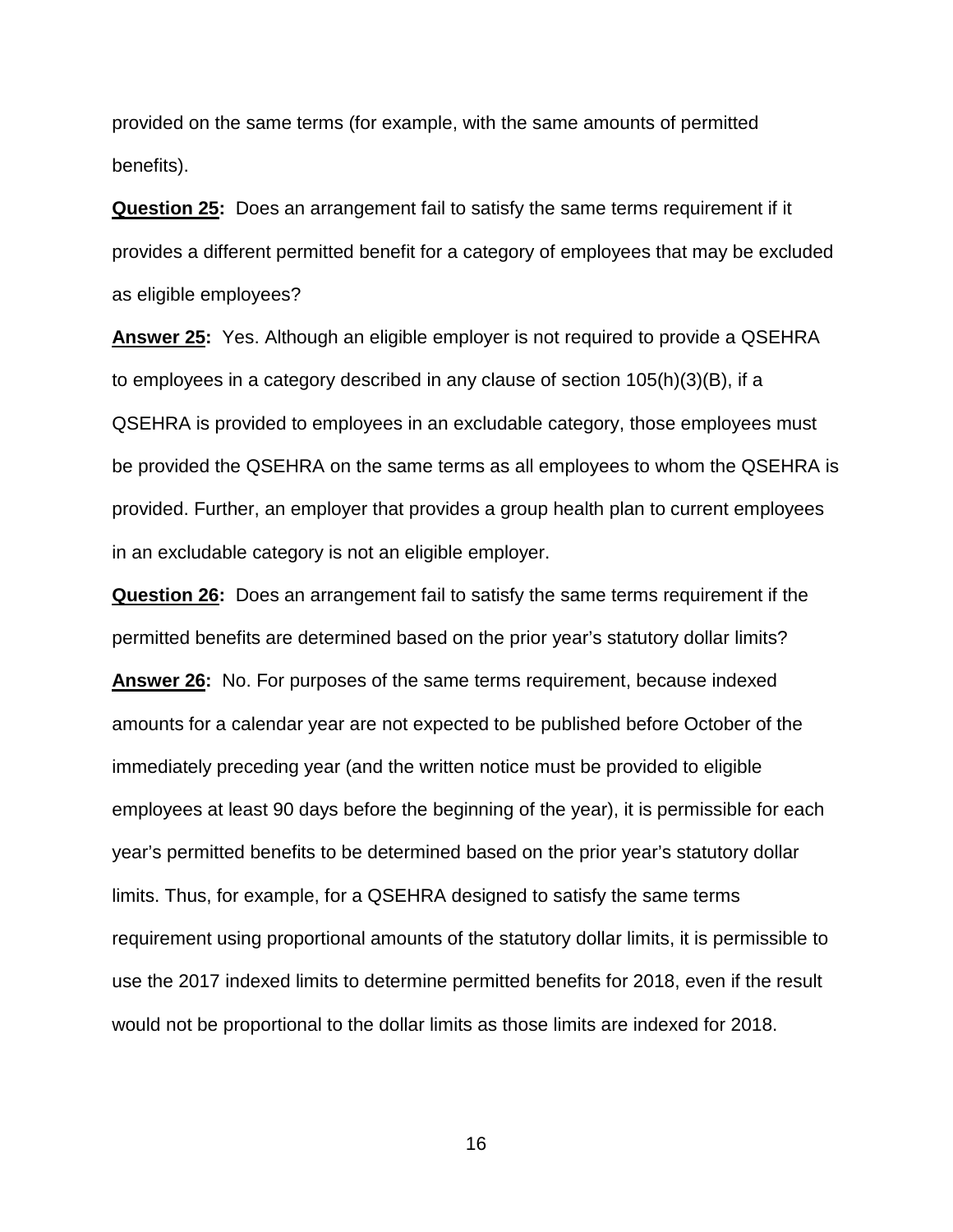provided on the same terms (for example, with the same amounts of permitted benefits).

**Question 25:** Does an arrangement fail to satisfy the same terms requirement if it provides a different permitted benefit for a category of employees that may be excluded as eligible employees?

**Answer 25:** Yes. Although an eligible employer is not required to provide a QSEHRA to employees in a category described in any clause of section 105(h)(3)(B), if a QSEHRA is provided to employees in an excludable category, those employees must be provided the QSEHRA on the same terms as all employees to whom the QSEHRA is provided. Further, an employer that provides a group health plan to current employees in an excludable category is not an eligible employer.

**Question 26:** Does an arrangement fail to satisfy the same terms requirement if the permitted benefits are determined based on the prior year's statutory dollar limits? **Answer 26:** No. For purposes of the same terms requirement, because indexed amounts for a calendar year are not expected to be published before October of the immediately preceding year (and the written notice must be provided to eligible employees at least 90 days before the beginning of the year), it is permissible for each year's permitted benefits to be determined based on the prior year's statutory dollar limits. Thus, for example, for a QSEHRA designed to satisfy the same terms requirement using proportional amounts of the statutory dollar limits, it is permissible to use the 2017 indexed limits to determine permitted benefits for 2018, even if the result would not be proportional to the dollar limits as those limits are indexed for 2018.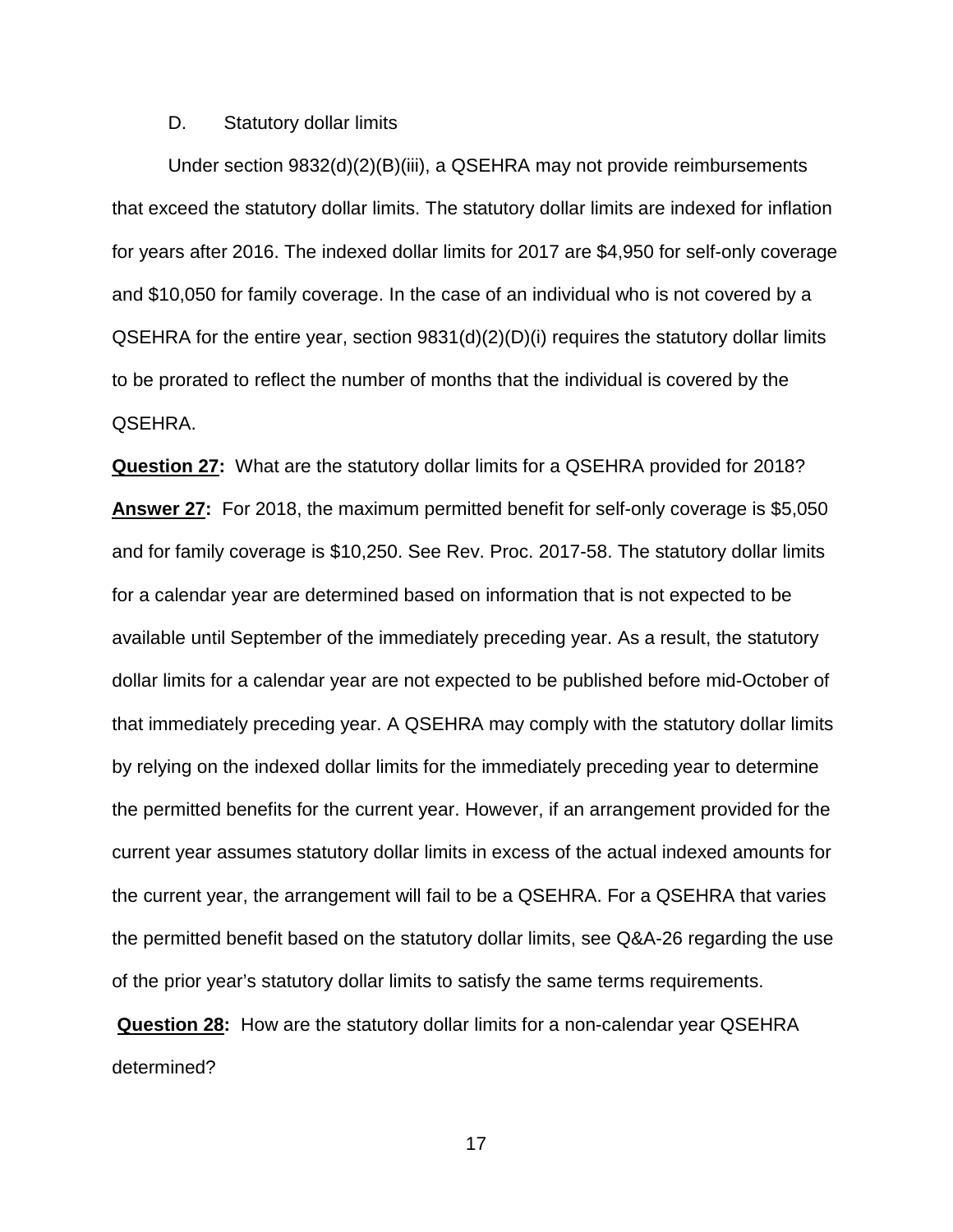### D. Statutory dollar limits

Under section 9832(d)(2)(B)(iii), a QSEHRA may not provide reimbursements that exceed the statutory dollar limits. The statutory dollar limits are indexed for inflation for years after 2016. The indexed dollar limits for 2017 are \$4,950 for self-only coverage and \$10,050 for family coverage. In the case of an individual who is not covered by a QSEHRA for the entire year, section 9831(d)(2)(D)(i) requires the statutory dollar limits to be prorated to reflect the number of months that the individual is covered by the QSEHRA.

**Question 27:** What are the statutory dollar limits for a QSEHRA provided for 2018? **Answer 27:** For 2018, the maximum permitted benefit for self-only coverage is \$5,050 and for family coverage is \$10,250. See Rev. Proc. 2017-58. The statutory dollar limits for a calendar year are determined based on information that is not expected to be available until September of the immediately preceding year. As a result, the statutory dollar limits for a calendar year are not expected to be published before mid-October of that immediately preceding year. A QSEHRA may comply with the statutory dollar limits by relying on the indexed dollar limits for the immediately preceding year to determine the permitted benefits for the current year. However, if an arrangement provided for the current year assumes statutory dollar limits in excess of the actual indexed amounts for the current year, the arrangement will fail to be a QSEHRA. For a QSEHRA that varies the permitted benefit based on the statutory dollar limits, see Q&A-26 regarding the use of the prior year's statutory dollar limits to satisfy the same terms requirements.

**Question 28:** How are the statutory dollar limits for a non-calendar year QSEHRA determined?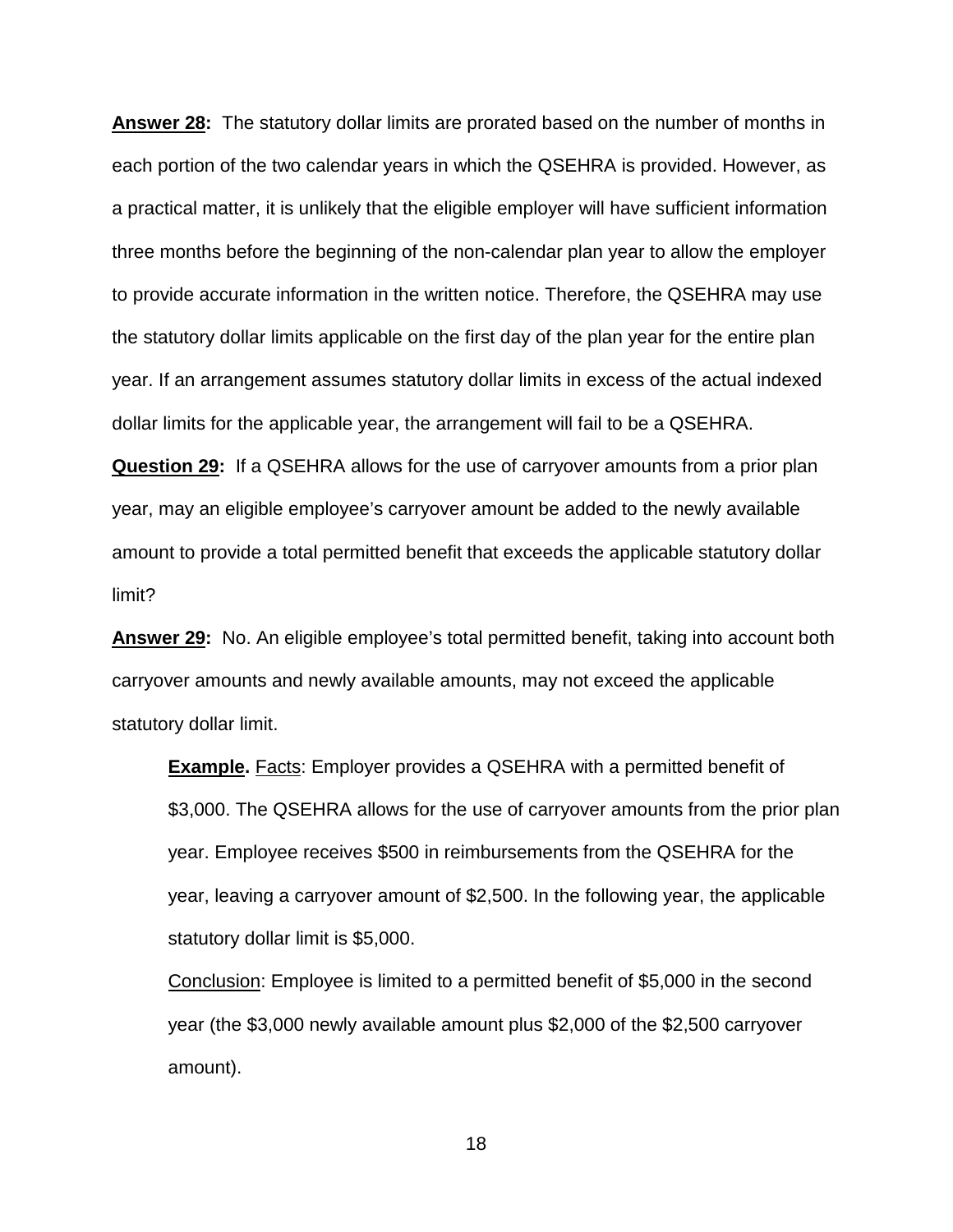**Answer 28:** The statutory dollar limits are prorated based on the number of months in each portion of the two calendar years in which the QSEHRA is provided. However, as a practical matter, it is unlikely that the eligible employer will have sufficient information three months before the beginning of the non-calendar plan year to allow the employer to provide accurate information in the written notice. Therefore, the QSEHRA may use the statutory dollar limits applicable on the first day of the plan year for the entire plan year. If an arrangement assumes statutory dollar limits in excess of the actual indexed dollar limits for the applicable year, the arrangement will fail to be a QSEHRA.

**Question 29:** If a QSEHRA allows for the use of carryover amounts from a prior plan year, may an eligible employee's carryover amount be added to the newly available amount to provide a total permitted benefit that exceeds the applicable statutory dollar limit?

**Answer 29:** No. An eligible employee's total permitted benefit, taking into account both carryover amounts and newly available amounts, may not exceed the applicable statutory dollar limit.

**Example.** Facts: Employer provides a QSEHRA with a permitted benefit of \$3,000. The QSEHRA allows for the use of carryover amounts from the prior plan year. Employee receives \$500 in reimbursements from the QSEHRA for the year, leaving a carryover amount of \$2,500. In the following year, the applicable statutory dollar limit is \$5,000.

Conclusion: Employee is limited to a permitted benefit of \$5,000 in the second year (the \$3,000 newly available amount plus \$2,000 of the \$2,500 carryover amount).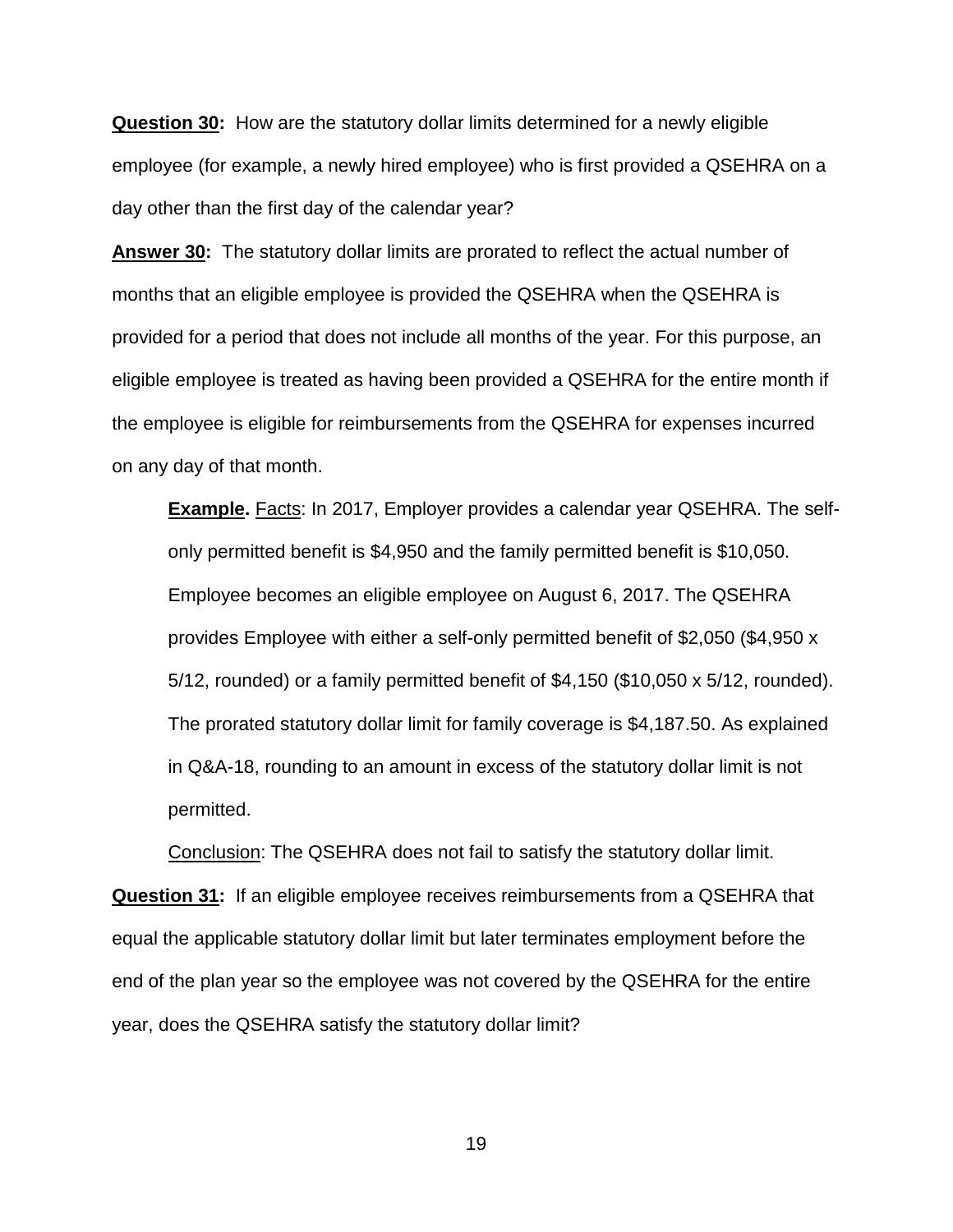**Question 30:** How are the statutory dollar limits determined for a newly eligible employee (for example, a newly hired employee) who is first provided a QSEHRA on a day other than the first day of the calendar year?

**Answer 30:** The statutory dollar limits are prorated to reflect the actual number of months that an eligible employee is provided the QSEHRA when the QSEHRA is provided for a period that does not include all months of the year. For this purpose, an eligible employee is treated as having been provided a QSEHRA for the entire month if the employee is eligible for reimbursements from the QSEHRA for expenses incurred on any day of that month.

**Example.** Facts: In 2017, Employer provides a calendar year QSEHRA. The selfonly permitted benefit is \$4,950 and the family permitted benefit is \$10,050. Employee becomes an eligible employee on August 6, 2017. The QSEHRA provides Employee with either a self-only permitted benefit of \$2,050 (\$4,950 x 5/12, rounded) or a family permitted benefit of \$4,150 (\$10,050 x 5/12, rounded). The prorated statutory dollar limit for family coverage is \$4,187.50. As explained in Q&A-18, rounding to an amount in excess of the statutory dollar limit is not permitted.

Conclusion: The QSEHRA does not fail to satisfy the statutory dollar limit. **Question 31:** If an eligible employee receives reimbursements from a QSEHRA that equal the applicable statutory dollar limit but later terminates employment before the end of the plan year so the employee was not covered by the QSEHRA for the entire year, does the QSEHRA satisfy the statutory dollar limit?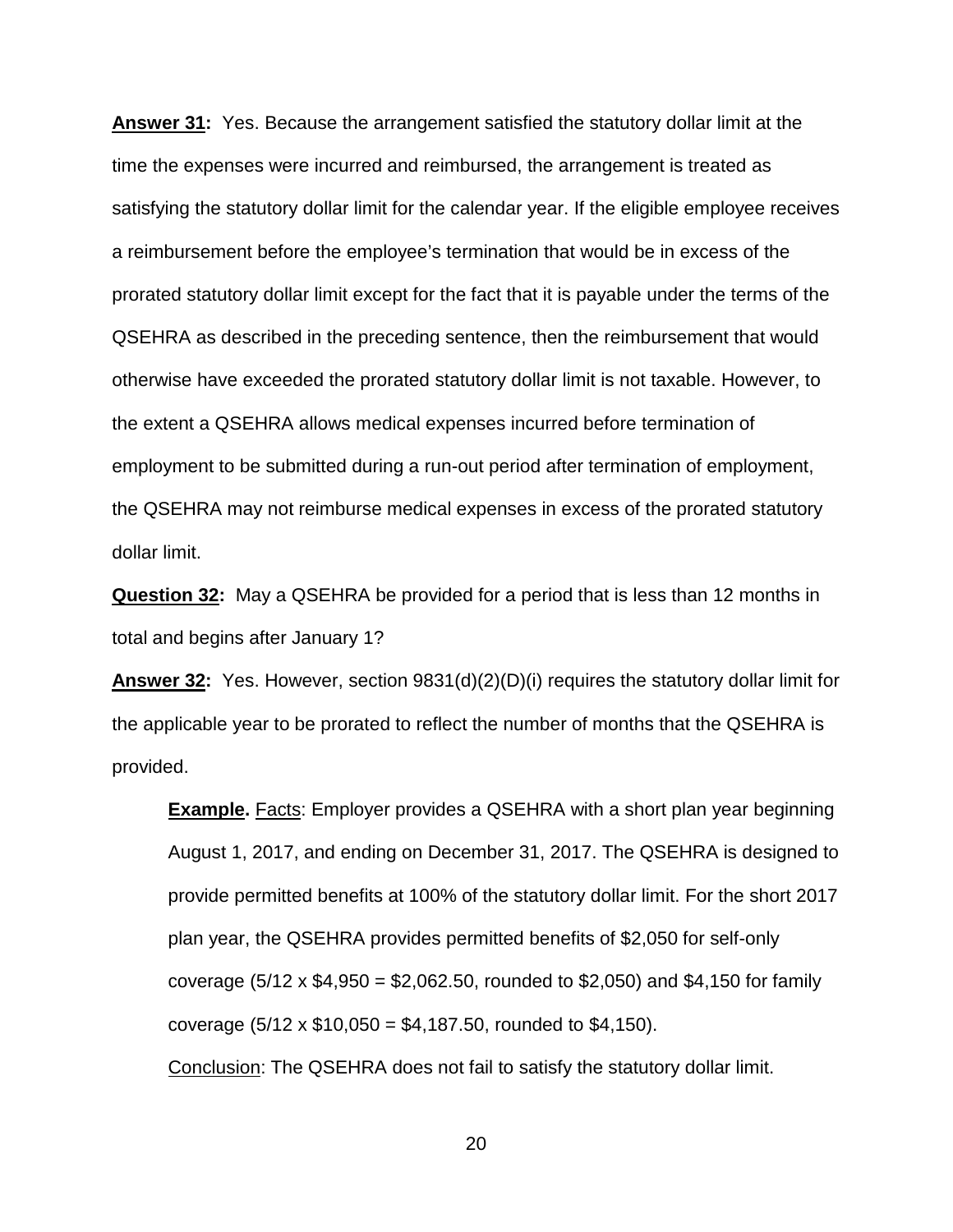**Answer 31:** Yes. Because the arrangement satisfied the statutory dollar limit at the time the expenses were incurred and reimbursed, the arrangement is treated as satisfying the statutory dollar limit for the calendar year. If the eligible employee receives a reimbursement before the employee's termination that would be in excess of the prorated statutory dollar limit except for the fact that it is payable under the terms of the QSEHRA as described in the preceding sentence, then the reimbursement that would otherwise have exceeded the prorated statutory dollar limit is not taxable. However, to the extent a QSEHRA allows medical expenses incurred before termination of employment to be submitted during a run-out period after termination of employment, the QSEHRA may not reimburse medical expenses in excess of the prorated statutory dollar limit.

**Question 32:** May a QSEHRA be provided for a period that is less than 12 months in total and begins after January 1?

**Answer 32:** Yes. However, section 9831(d)(2)(D)(i) requires the statutory dollar limit for the applicable year to be prorated to reflect the number of months that the QSEHRA is provided.

**Example.** Facts: Employer provides a QSEHRA with a short plan year beginning August 1, 2017, and ending on December 31, 2017. The QSEHRA is designed to provide permitted benefits at 100% of the statutory dollar limit. For the short 2017 plan year, the QSEHRA provides permitted benefits of \$2,050 for self-only coverage (5/12 x \$4,950 = \$2,062.50, rounded to \$2,050) and \$4,150 for family coverage  $(5/12 \times $10,050 = $4,187.50,$  rounded to \$4,150).

Conclusion: The QSEHRA does not fail to satisfy the statutory dollar limit.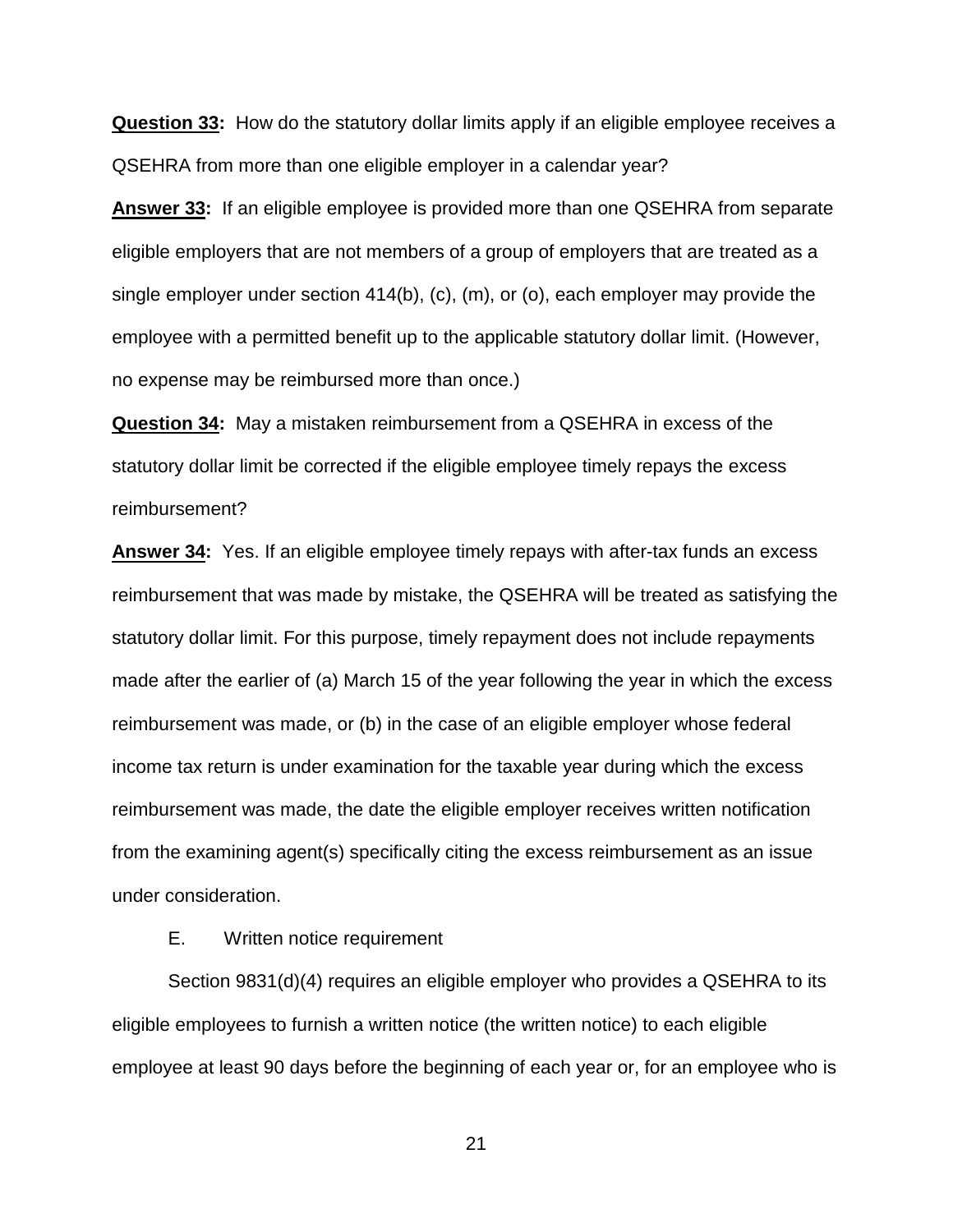**Question 33:** How do the statutory dollar limits apply if an eligible employee receives a QSEHRA from more than one eligible employer in a calendar year?

**Answer 33:** If an eligible employee is provided more than one QSEHRA from separate eligible employers that are not members of a group of employers that are treated as a single employer under section  $414(b)$ , (c), (m), or (o), each employer may provide the employee with a permitted benefit up to the applicable statutory dollar limit. (However, no expense may be reimbursed more than once.)

**Question 34:** May a mistaken reimbursement from a QSEHRA in excess of the statutory dollar limit be corrected if the eligible employee timely repays the excess reimbursement?

**Answer 34:** Yes. If an eligible employee timely repays with after-tax funds an excess reimbursement that was made by mistake, the QSEHRA will be treated as satisfying the statutory dollar limit. For this purpose, timely repayment does not include repayments made after the earlier of (a) March 15 of the year following the year in which the excess reimbursement was made, or (b) in the case of an eligible employer whose federal income tax return is under examination for the taxable year during which the excess reimbursement was made, the date the eligible employer receives written notification from the examining agent(s) specifically citing the excess reimbursement as an issue under consideration.

E. Written notice requirement

Section 9831(d)(4) requires an eligible employer who provides a QSEHRA to its eligible employees to furnish a written notice (the written notice) to each eligible employee at least 90 days before the beginning of each year or, for an employee who is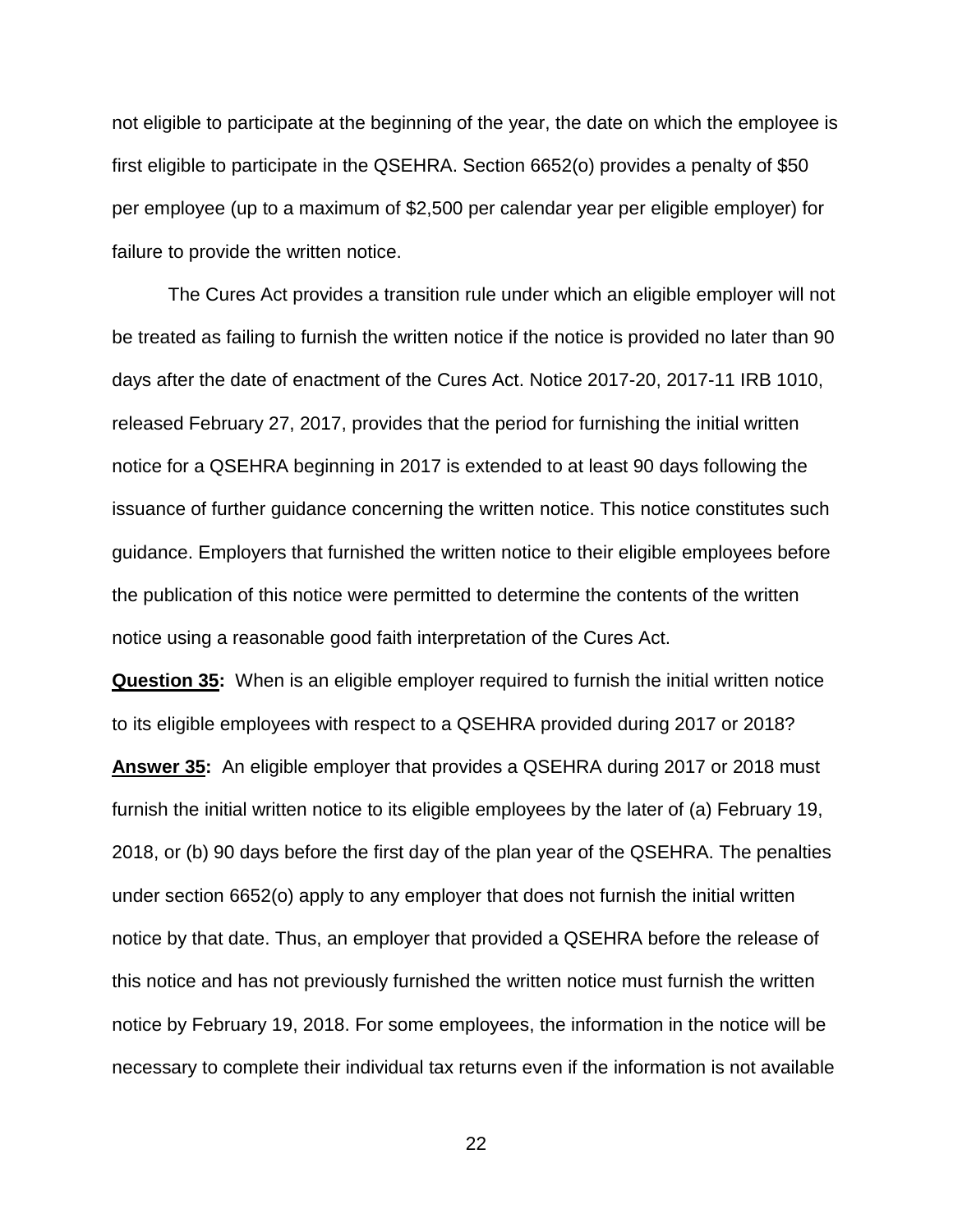not eligible to participate at the beginning of the year, the date on which the employee is first eligible to participate in the QSEHRA. Section 6652(o) provides a penalty of \$50 per employee (up to a maximum of \$2,500 per calendar year per eligible employer) for failure to provide the written notice.

The Cures Act provides a transition rule under which an eligible employer will not be treated as failing to furnish the written notice if the notice is provided no later than 90 days after the date of enactment of the Cures Act. Notice 2017-20, 2017-11 IRB 1010, released February 27, 2017, provides that the period for furnishing the initial written notice for a QSEHRA beginning in 2017 is extended to at least 90 days following the issuance of further guidance concerning the written notice. This notice constitutes such guidance. Employers that furnished the written notice to their eligible employees before the publication of this notice were permitted to determine the contents of the written notice using a reasonable good faith interpretation of the Cures Act.

**Question 35:** When is an eligible employer required to furnish the initial written notice to its eligible employees with respect to a QSEHRA provided during 2017 or 2018?

**Answer 35:** An eligible employer that provides a QSEHRA during 2017 or 2018 must furnish the initial written notice to its eligible employees by the later of (a) February 19, 2018, or (b) 90 days before the first day of the plan year of the QSEHRA. The penalties under section 6652(o) apply to any employer that does not furnish the initial written notice by that date. Thus, an employer that provided a QSEHRA before the release of this notice and has not previously furnished the written notice must furnish the written notice by February 19, 2018. For some employees, the information in the notice will be necessary to complete their individual tax returns even if the information is not available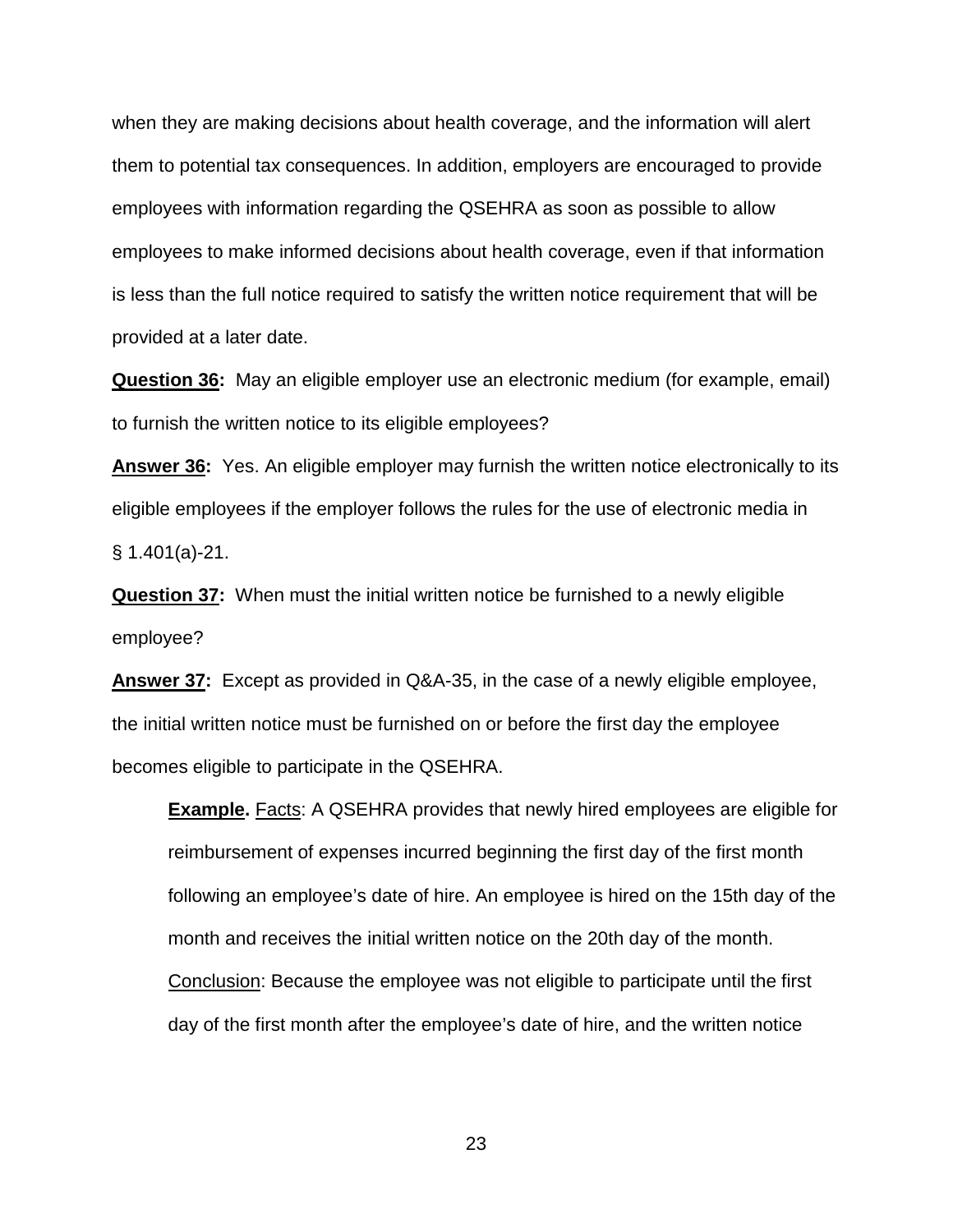when they are making decisions about health coverage, and the information will alert them to potential tax consequences. In addition, employers are encouraged to provide employees with information regarding the QSEHRA as soon as possible to allow employees to make informed decisions about health coverage, even if that information is less than the full notice required to satisfy the written notice requirement that will be provided at a later date.

**Question 36:** May an eligible employer use an electronic medium (for example, email) to furnish the written notice to its eligible employees?

**Answer 36:** Yes. An eligible employer may furnish the written notice electronically to its eligible employees if the employer follows the rules for the use of electronic media in § 1.401(a)-21.

**Question 37:** When must the initial written notice be furnished to a newly eligible employee?

**Answer 37:** Except as provided in Q&A-35, in the case of a newly eligible employee, the initial written notice must be furnished on or before the first day the employee becomes eligible to participate in the QSEHRA.

**Example.** Facts: A QSEHRA provides that newly hired employees are eligible for reimbursement of expenses incurred beginning the first day of the first month following an employee's date of hire. An employee is hired on the 15th day of the month and receives the initial written notice on the 20th day of the month. Conclusion: Because the employee was not eligible to participate until the first day of the first month after the employee's date of hire, and the written notice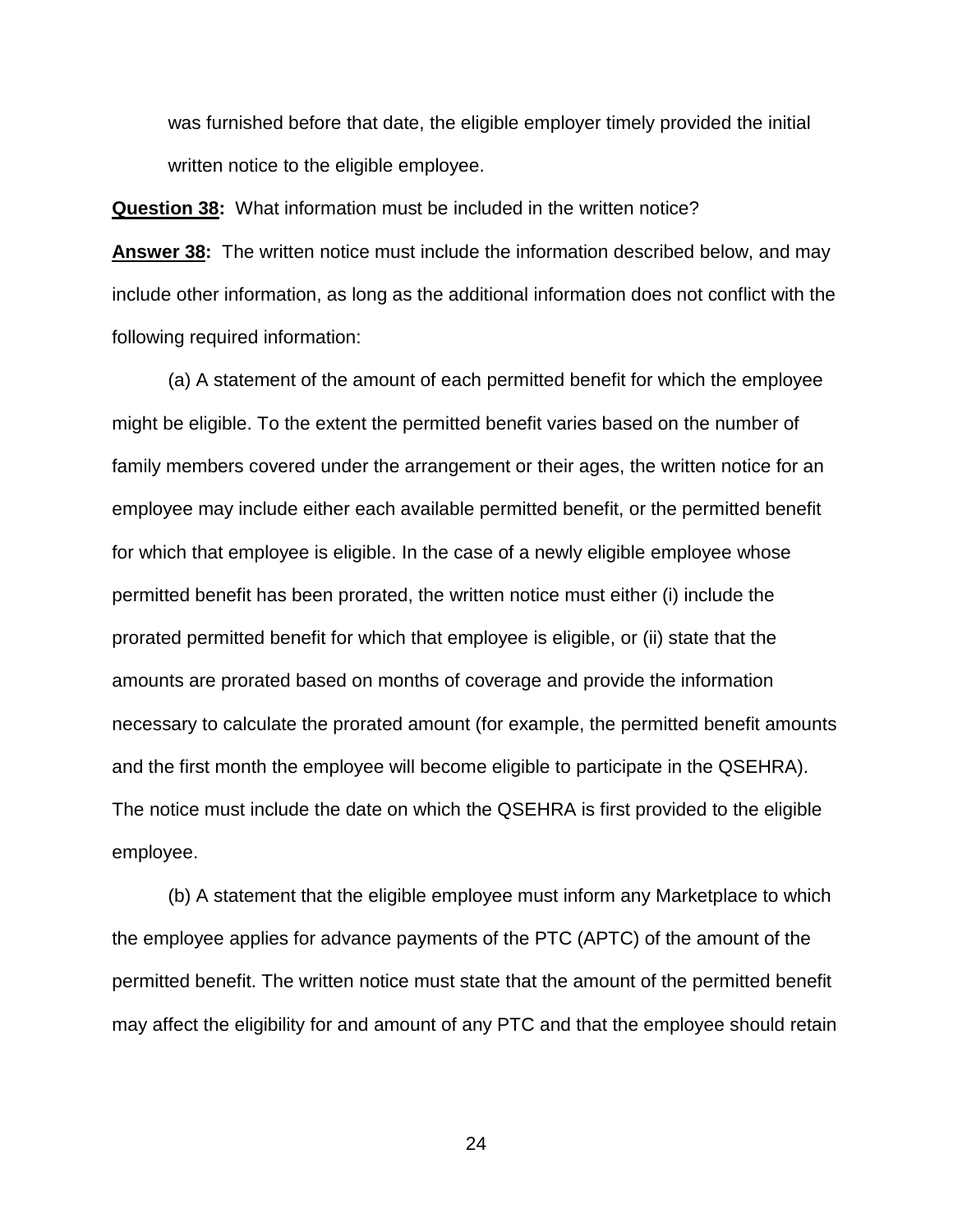was furnished before that date, the eligible employer timely provided the initial written notice to the eligible employee.

**Question 38:** What information must be included in the written notice?

**Answer 38:** The written notice must include the information described below, and may include other information, as long as the additional information does not conflict with the following required information:

(a) A statement of the amount of each permitted benefit for which the employee might be eligible. To the extent the permitted benefit varies based on the number of family members covered under the arrangement or their ages, the written notice for an employee may include either each available permitted benefit, or the permitted benefit for which that employee is eligible. In the case of a newly eligible employee whose permitted benefit has been prorated, the written notice must either (i) include the prorated permitted benefit for which that employee is eligible, or (ii) state that the amounts are prorated based on months of coverage and provide the information necessary to calculate the prorated amount (for example, the permitted benefit amounts and the first month the employee will become eligible to participate in the QSEHRA). The notice must include the date on which the QSEHRA is first provided to the eligible employee.

(b) A statement that the eligible employee must inform any Marketplace to which the employee applies for advance payments of the PTC (APTC) of the amount of the permitted benefit. The written notice must state that the amount of the permitted benefit may affect the eligibility for and amount of any PTC and that the employee should retain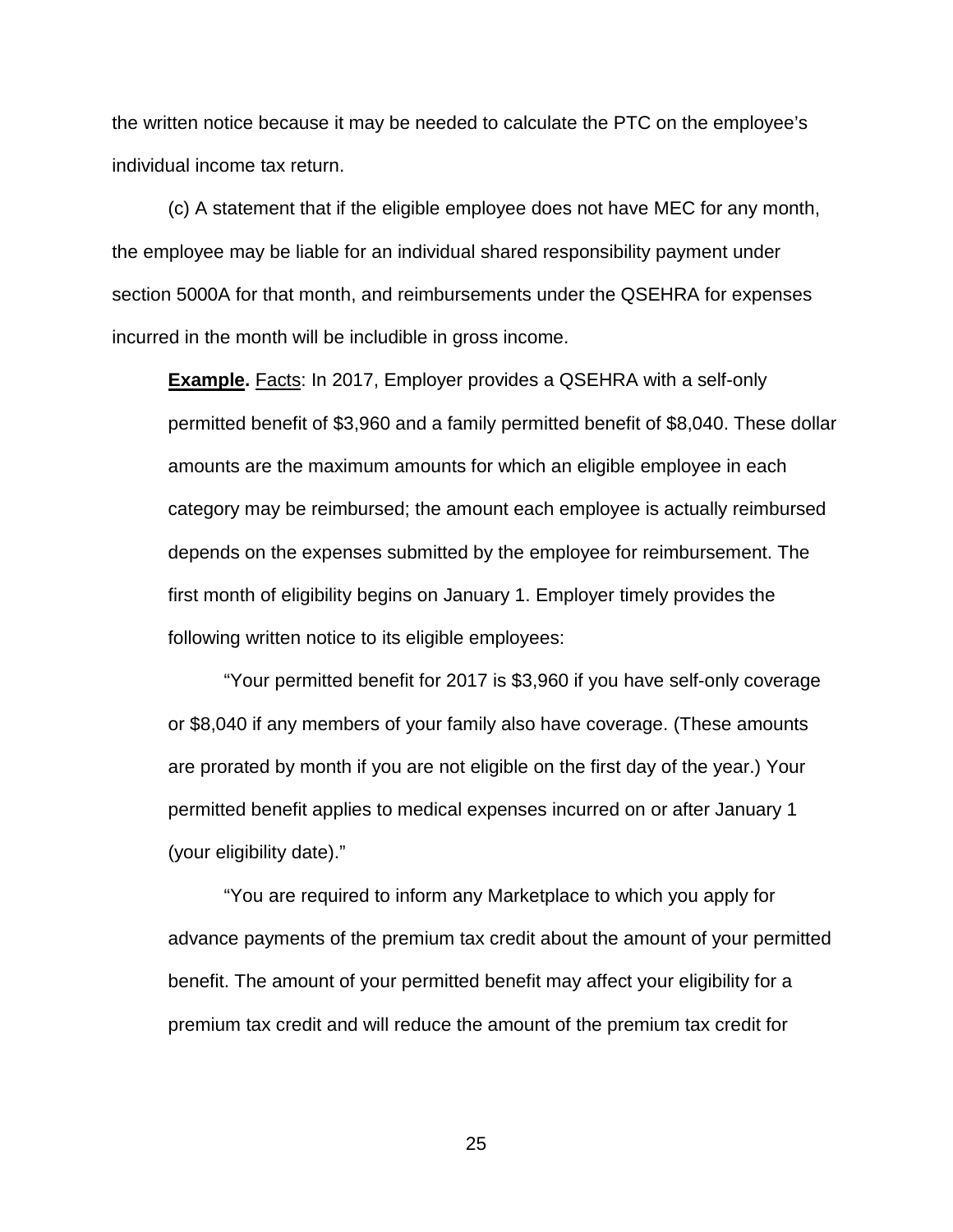the written notice because it may be needed to calculate the PTC on the employee's individual income tax return.

(c) A statement that if the eligible employee does not have MEC for any month, the employee may be liable for an individual shared responsibility payment under section 5000A for that month, and reimbursements under the QSEHRA for expenses incurred in the month will be includible in gross income.

**Example.** Facts: In 2017, Employer provides a QSEHRA with a self-only permitted benefit of \$3,960 and a family permitted benefit of \$8,040. These dollar amounts are the maximum amounts for which an eligible employee in each category may be reimbursed; the amount each employee is actually reimbursed depends on the expenses submitted by the employee for reimbursement. The first month of eligibility begins on January 1. Employer timely provides the following written notice to its eligible employees:

"Your permitted benefit for 2017 is \$3,960 if you have self-only coverage or \$8,040 if any members of your family also have coverage. (These amounts are prorated by month if you are not eligible on the first day of the year.) Your permitted benefit applies to medical expenses incurred on or after January 1 (your eligibility date)."

"You are required to inform any Marketplace to which you apply for advance payments of the premium tax credit about the amount of your permitted benefit. The amount of your permitted benefit may affect your eligibility for a premium tax credit and will reduce the amount of the premium tax credit for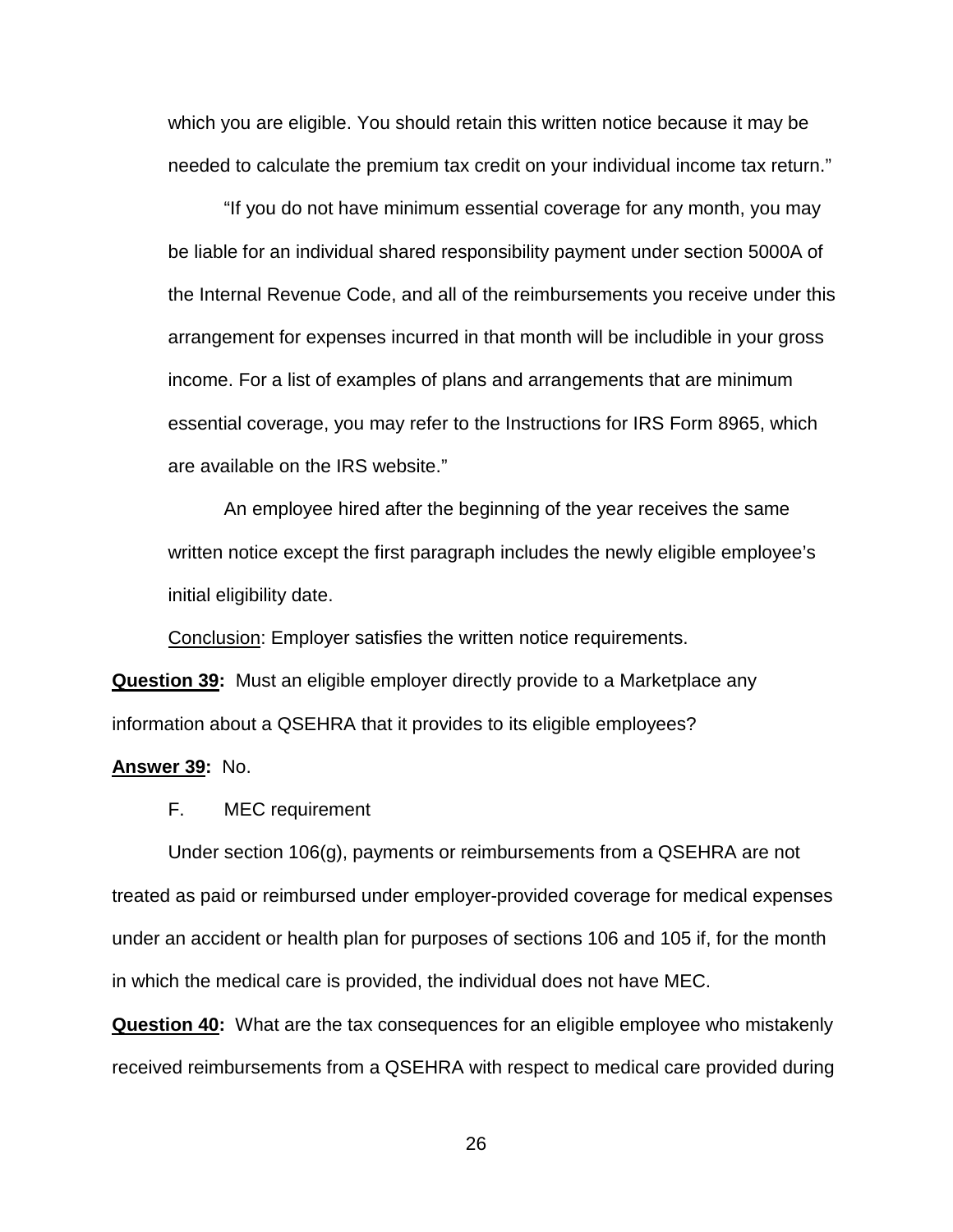which you are eligible. You should retain this written notice because it may be needed to calculate the premium tax credit on your individual income tax return."

"If you do not have minimum essential coverage for any month, you may be liable for an individual shared responsibility payment under section 5000A of the Internal Revenue Code, and all of the reimbursements you receive under this arrangement for expenses incurred in that month will be includible in your gross income. For a list of examples of plans and arrangements that are minimum essential coverage, you may refer to the Instructions for IRS Form 8965, which are available on the IRS website."

An employee hired after the beginning of the year receives the same written notice except the first paragraph includes the newly eligible employee's initial eligibility date.

Conclusion: Employer satisfies the written notice requirements.

**Question 39:** Must an eligible employer directly provide to a Marketplace any information about a QSEHRA that it provides to its eligible employees?

# **Answer 39:** No.

F. MEC requirement

Under section 106(g), payments or reimbursements from a QSEHRA are not treated as paid or reimbursed under employer-provided coverage for medical expenses under an accident or health plan for purposes of sections 106 and 105 if, for the month in which the medical care is provided, the individual does not have MEC.

**Question 40:** What are the tax consequences for an eligible employee who mistakenly received reimbursements from a QSEHRA with respect to medical care provided during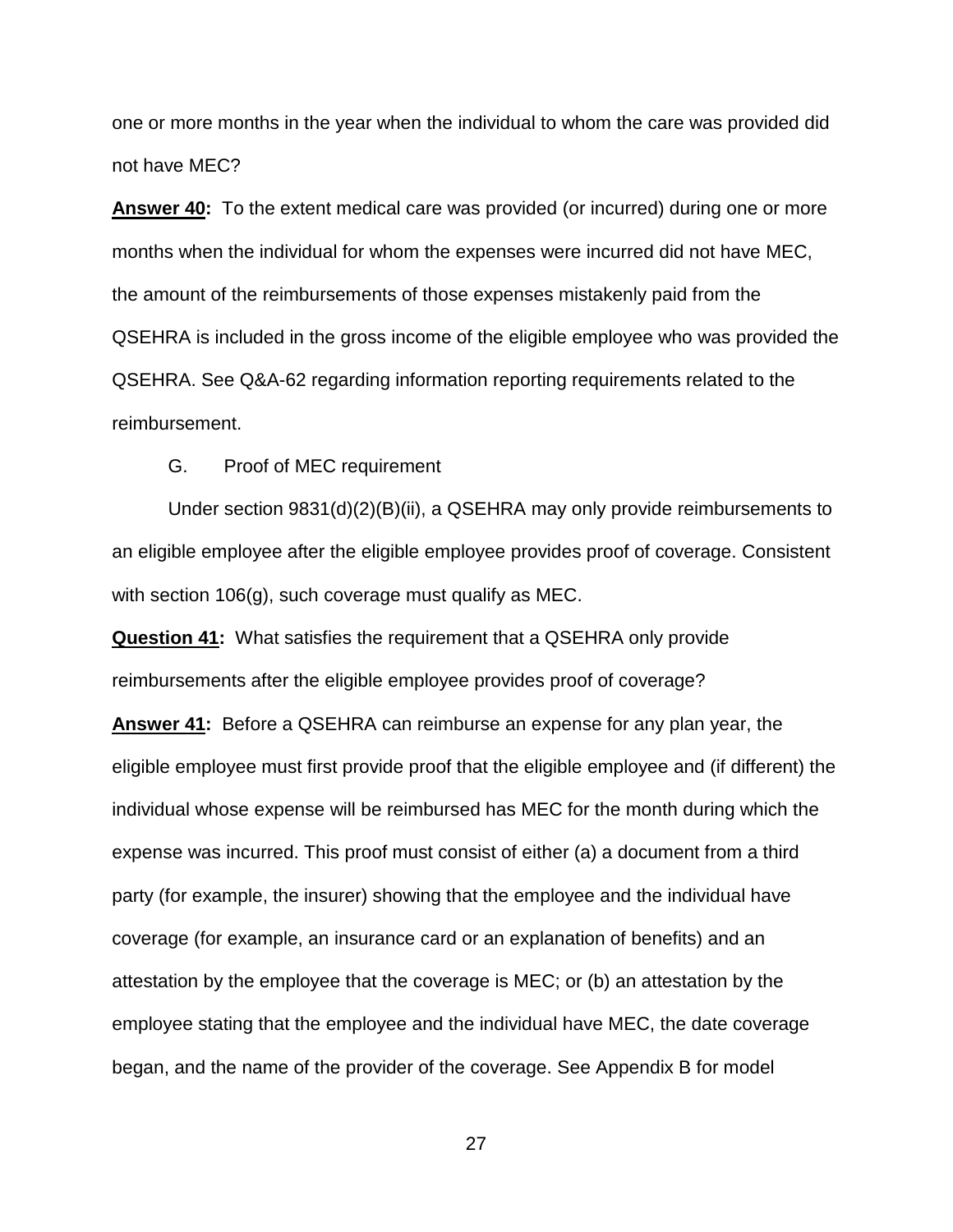one or more months in the year when the individual to whom the care was provided did not have MEC?

**Answer 40:** To the extent medical care was provided (or incurred) during one or more months when the individual for whom the expenses were incurred did not have MEC, the amount of the reimbursements of those expenses mistakenly paid from the QSEHRA is included in the gross income of the eligible employee who was provided the QSEHRA. See Q&A-62 regarding information reporting requirements related to the reimbursement.

G. Proof of MEC requirement

Under section 9831(d)(2)(B)(ii), a QSEHRA may only provide reimbursements to an eligible employee after the eligible employee provides proof of coverage. Consistent with section 106(g), such coverage must qualify as MEC.

**Question 41:** What satisfies the requirement that a QSEHRA only provide reimbursements after the eligible employee provides proof of coverage?

**Answer 41:** Before a QSEHRA can reimburse an expense for any plan year, the eligible employee must first provide proof that the eligible employee and (if different) the individual whose expense will be reimbursed has MEC for the month during which the expense was incurred. This proof must consist of either (a) a document from a third party (for example, the insurer) showing that the employee and the individual have coverage (for example, an insurance card or an explanation of benefits) and an attestation by the employee that the coverage is MEC; or (b) an attestation by the employee stating that the employee and the individual have MEC, the date coverage began, and the name of the provider of the coverage. See Appendix B for model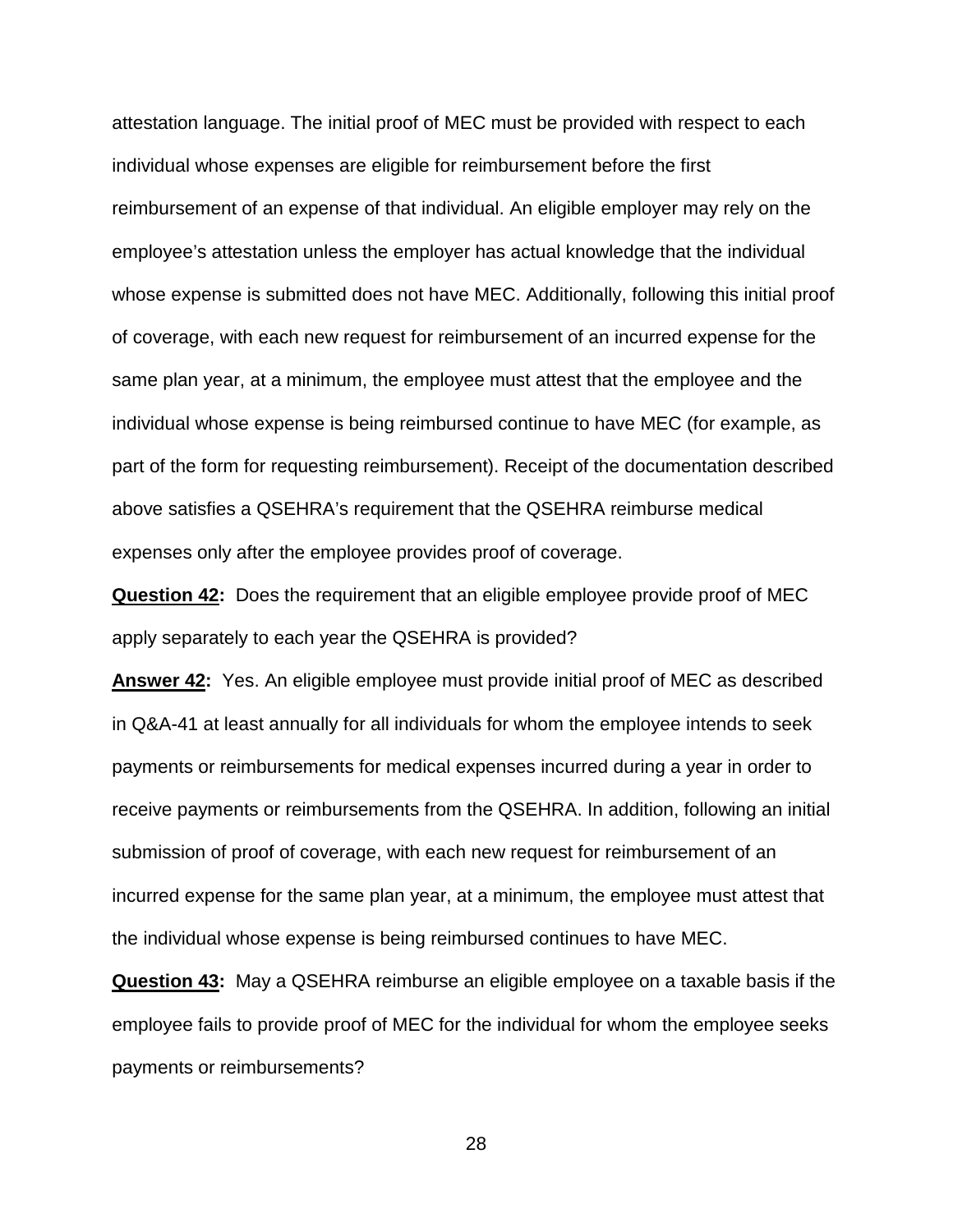attestation language. The initial proof of MEC must be provided with respect to each individual whose expenses are eligible for reimbursement before the first reimbursement of an expense of that individual. An eligible employer may rely on the employee's attestation unless the employer has actual knowledge that the individual whose expense is submitted does not have MEC. Additionally, following this initial proof of coverage, with each new request for reimbursement of an incurred expense for the same plan year, at a minimum, the employee must attest that the employee and the individual whose expense is being reimbursed continue to have MEC (for example, as part of the form for requesting reimbursement). Receipt of the documentation described above satisfies a QSEHRA's requirement that the QSEHRA reimburse medical expenses only after the employee provides proof of coverage.

**Question 42:** Does the requirement that an eligible employee provide proof of MEC apply separately to each year the QSEHRA is provided?

**Answer 42:** Yes. An eligible employee must provide initial proof of MEC as described in Q&A-41 at least annually for all individuals for whom the employee intends to seek payments or reimbursements for medical expenses incurred during a year in order to receive payments or reimbursements from the QSEHRA. In addition, following an initial submission of proof of coverage, with each new request for reimbursement of an incurred expense for the same plan year, at a minimum, the employee must attest that the individual whose expense is being reimbursed continues to have MEC.

**Question 43:** May a QSEHRA reimburse an eligible employee on a taxable basis if the employee fails to provide proof of MEC for the individual for whom the employee seeks payments or reimbursements?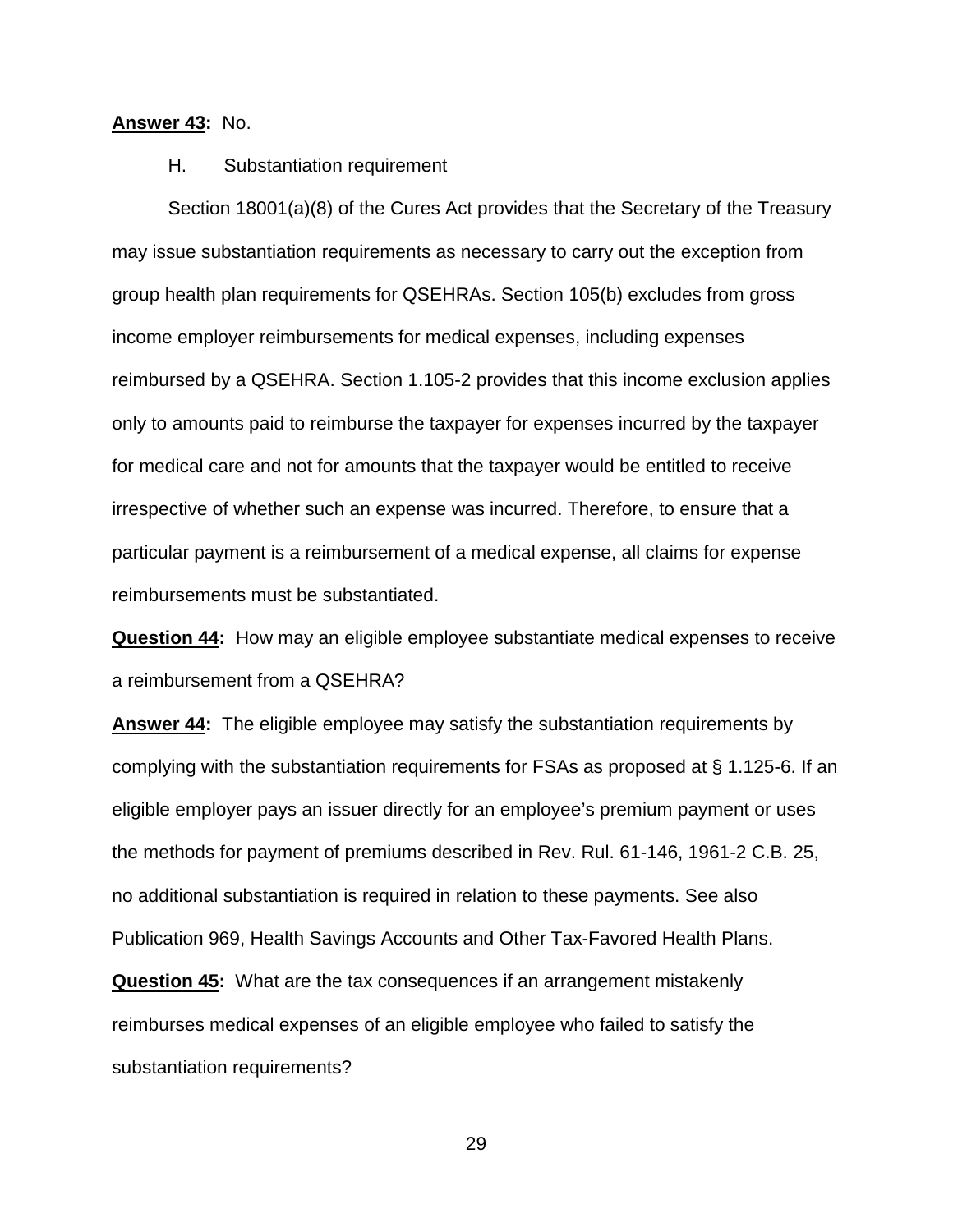### **Answer 43:** No.

H. Substantiation requirement

Section 18001(a)(8) of the Cures Act provides that the Secretary of the Treasury may issue substantiation requirements as necessary to carry out the exception from group health plan requirements for QSEHRAs. Section 105(b) excludes from gross income employer reimbursements for medical expenses, including expenses reimbursed by a QSEHRA. Section 1.105-2 provides that this income exclusion applies only to amounts paid to reimburse the taxpayer for expenses incurred by the taxpayer for medical care and not for amounts that the taxpayer would be entitled to receive irrespective of whether such an expense was incurred. Therefore, to ensure that a particular payment is a reimbursement of a medical expense, all claims for expense reimbursements must be substantiated.

**Question 44:** How may an eligible employee substantiate medical expenses to receive a reimbursement from a QSEHRA?

**Answer 44:** The eligible employee may satisfy the substantiation requirements by complying with the substantiation requirements for FSAs as proposed at § 1.125-6. If an eligible employer pays an issuer directly for an employee's premium payment or uses the methods for payment of premiums described in Rev. Rul. 61-146, 1961-2 C.B. 25, no additional substantiation is required in relation to these payments. See also Publication 969, Health Savings Accounts and Other Tax-Favored Health Plans.

**Question 45:** What are the tax consequences if an arrangement mistakenly reimburses medical expenses of an eligible employee who failed to satisfy the substantiation requirements?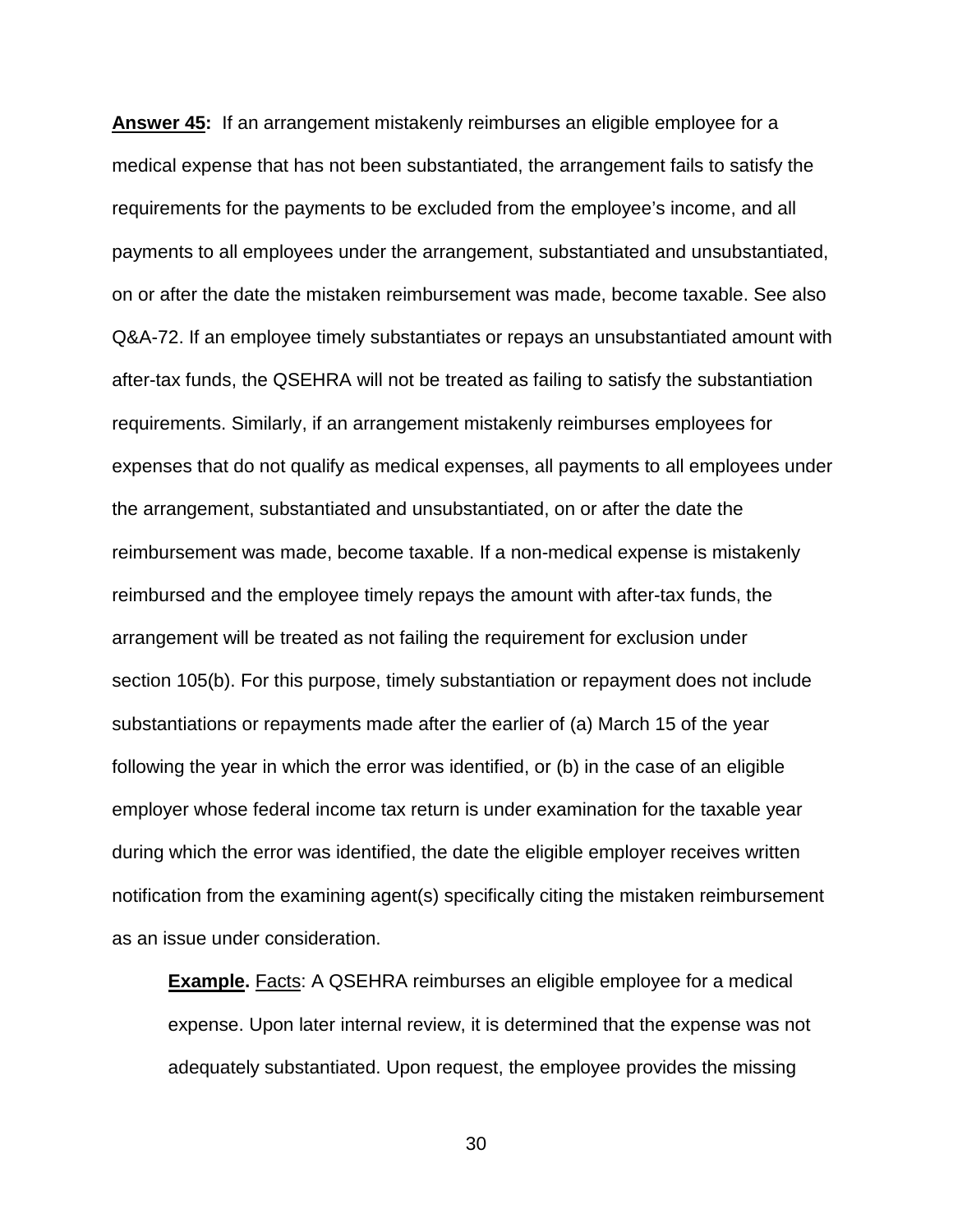**Answer 45:** If an arrangement mistakenly reimburses an eligible employee for a medical expense that has not been substantiated, the arrangement fails to satisfy the requirements for the payments to be excluded from the employee's income, and all payments to all employees under the arrangement, substantiated and unsubstantiated, on or after the date the mistaken reimbursement was made, become taxable. See also Q&A-72. If an employee timely substantiates or repays an unsubstantiated amount with after-tax funds, the QSEHRA will not be treated as failing to satisfy the substantiation requirements. Similarly, if an arrangement mistakenly reimburses employees for expenses that do not qualify as medical expenses, all payments to all employees under the arrangement, substantiated and unsubstantiated, on or after the date the reimbursement was made, become taxable. If a non-medical expense is mistakenly reimbursed and the employee timely repays the amount with after-tax funds, the arrangement will be treated as not failing the requirement for exclusion under section 105(b). For this purpose, timely substantiation or repayment does not include substantiations or repayments made after the earlier of (a) March 15 of the year following the year in which the error was identified, or (b) in the case of an eligible employer whose federal income tax return is under examination for the taxable year during which the error was identified, the date the eligible employer receives written notification from the examining agent(s) specifically citing the mistaken reimbursement as an issue under consideration.

**Example.** Facts: A QSEHRA reimburses an eligible employee for a medical expense. Upon later internal review, it is determined that the expense was not adequately substantiated. Upon request, the employee provides the missing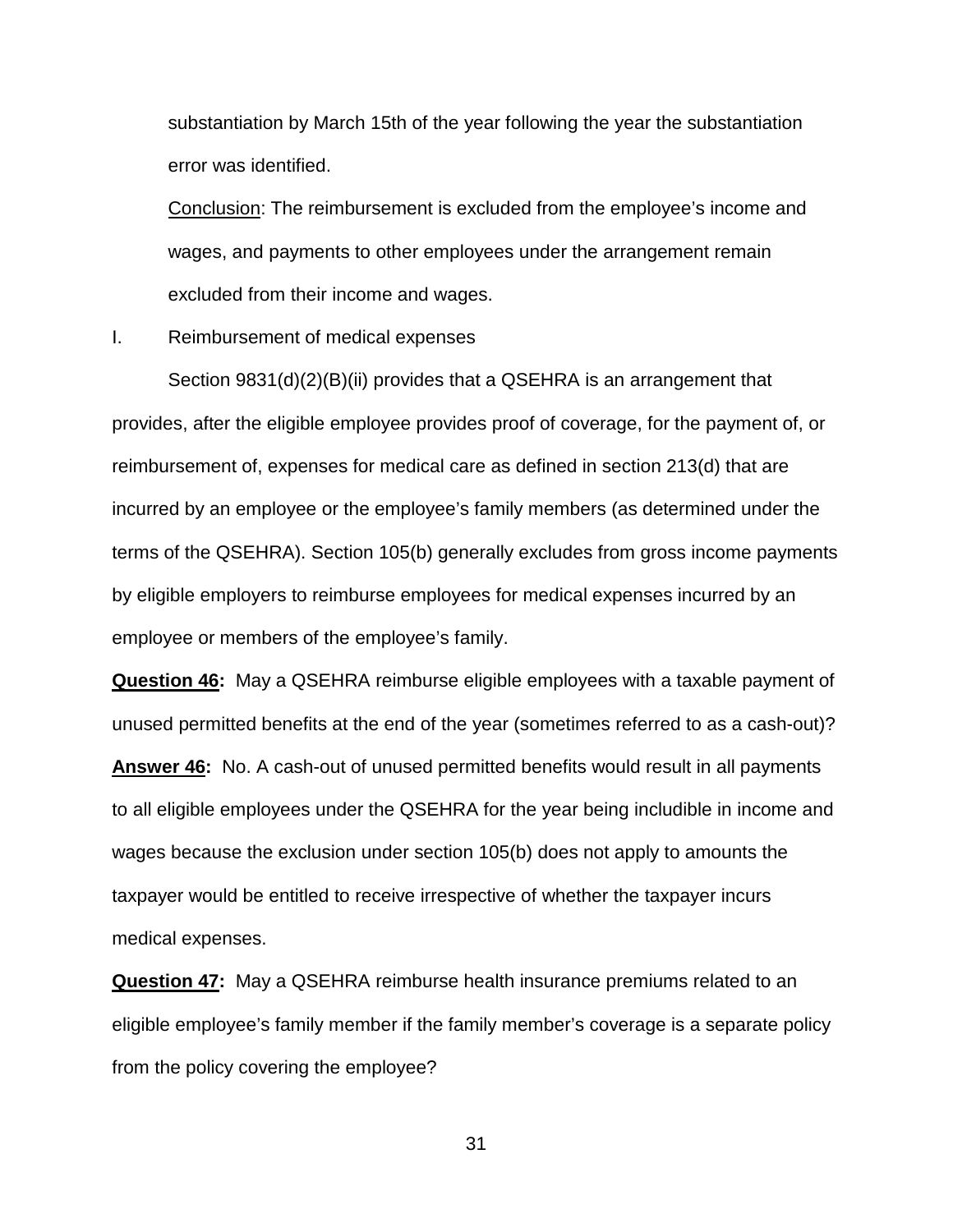substantiation by March 15th of the year following the year the substantiation error was identified.

Conclusion: The reimbursement is excluded from the employee's income and wages, and payments to other employees under the arrangement remain excluded from their income and wages.

I. Reimbursement of medical expenses

Section 9831(d)(2)(B)(ii) provides that a QSEHRA is an arrangement that provides, after the eligible employee provides proof of coverage, for the payment of, or reimbursement of, expenses for medical care as defined in section 213(d) that are incurred by an employee or the employee's family members (as determined under the terms of the QSEHRA). Section 105(b) generally excludes from gross income payments by eligible employers to reimburse employees for medical expenses incurred by an employee or members of the employee's family.

**Question 46:** May a QSEHRA reimburse eligible employees with a taxable payment of unused permitted benefits at the end of the year (sometimes referred to as a cash-out)?

**Answer 46:** No. A cash-out of unused permitted benefits would result in all payments to all eligible employees under the QSEHRA for the year being includible in income and wages because the exclusion under section 105(b) does not apply to amounts the taxpayer would be entitled to receive irrespective of whether the taxpayer incurs medical expenses.

**Question 47:** May a QSEHRA reimburse health insurance premiums related to an eligible employee's family member if the family member's coverage is a separate policy from the policy covering the employee?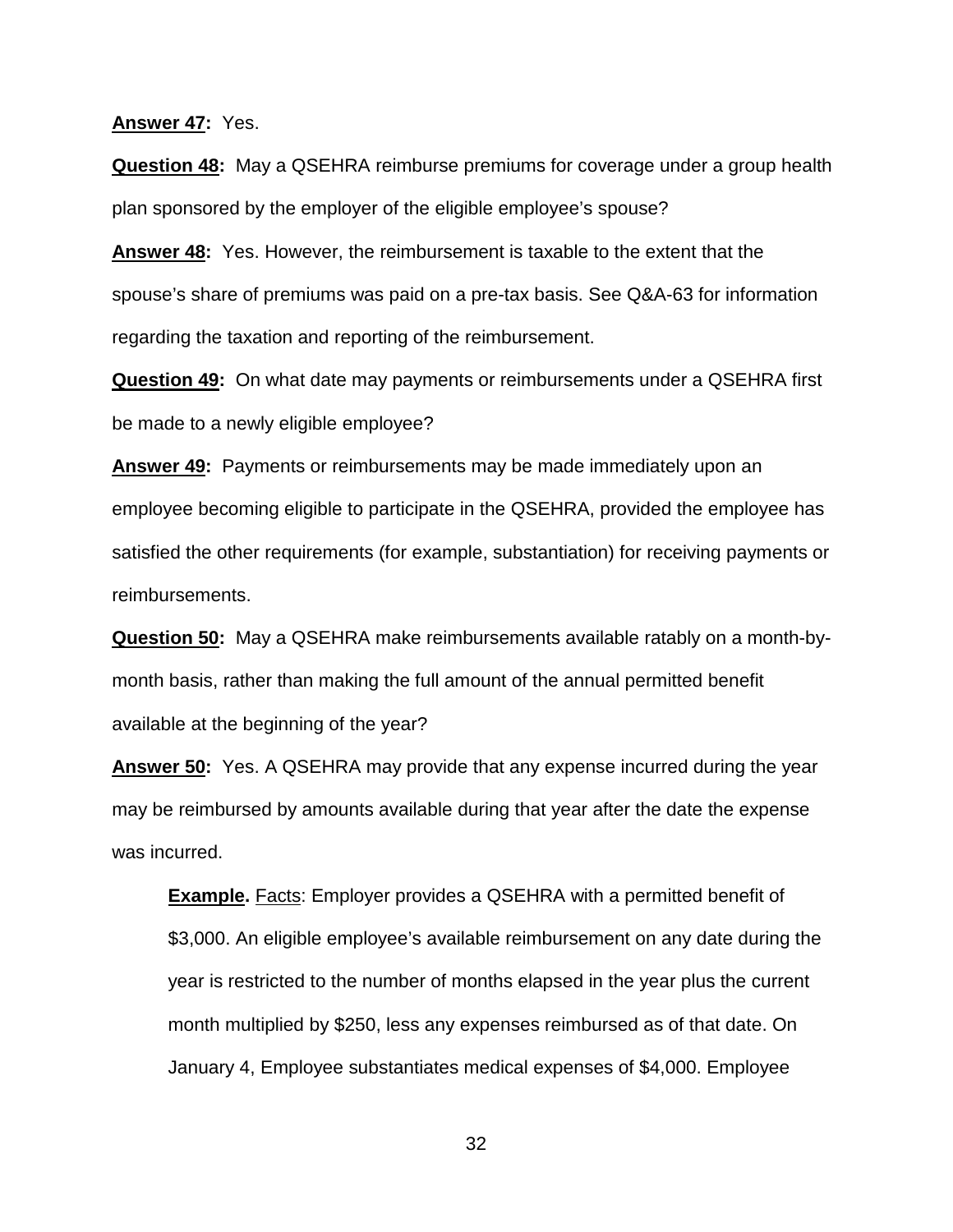#### **Answer 47:** Yes.

**Question 48:** May a QSEHRA reimburse premiums for coverage under a group health plan sponsored by the employer of the eligible employee's spouse?

**Answer 48:** Yes. However, the reimbursement is taxable to the extent that the spouse's share of premiums was paid on a pre-tax basis. See Q&A-63 for information regarding the taxation and reporting of the reimbursement.

**Question 49:** On what date may payments or reimbursements under a QSEHRA first be made to a newly eligible employee?

**Answer 49:** Payments or reimbursements may be made immediately upon an employee becoming eligible to participate in the QSEHRA, provided the employee has satisfied the other requirements (for example, substantiation) for receiving payments or reimbursements.

**Question 50:** May a QSEHRA make reimbursements available ratably on a month-bymonth basis, rather than making the full amount of the annual permitted benefit available at the beginning of the year?

**Answer 50:** Yes. A QSEHRA may provide that any expense incurred during the year may be reimbursed by amounts available during that year after the date the expense was incurred.

**Example.** Facts: Employer provides a QSEHRA with a permitted benefit of \$3,000. An eligible employee's available reimbursement on any date during the year is restricted to the number of months elapsed in the year plus the current month multiplied by \$250, less any expenses reimbursed as of that date. On January 4, Employee substantiates medical expenses of \$4,000. Employee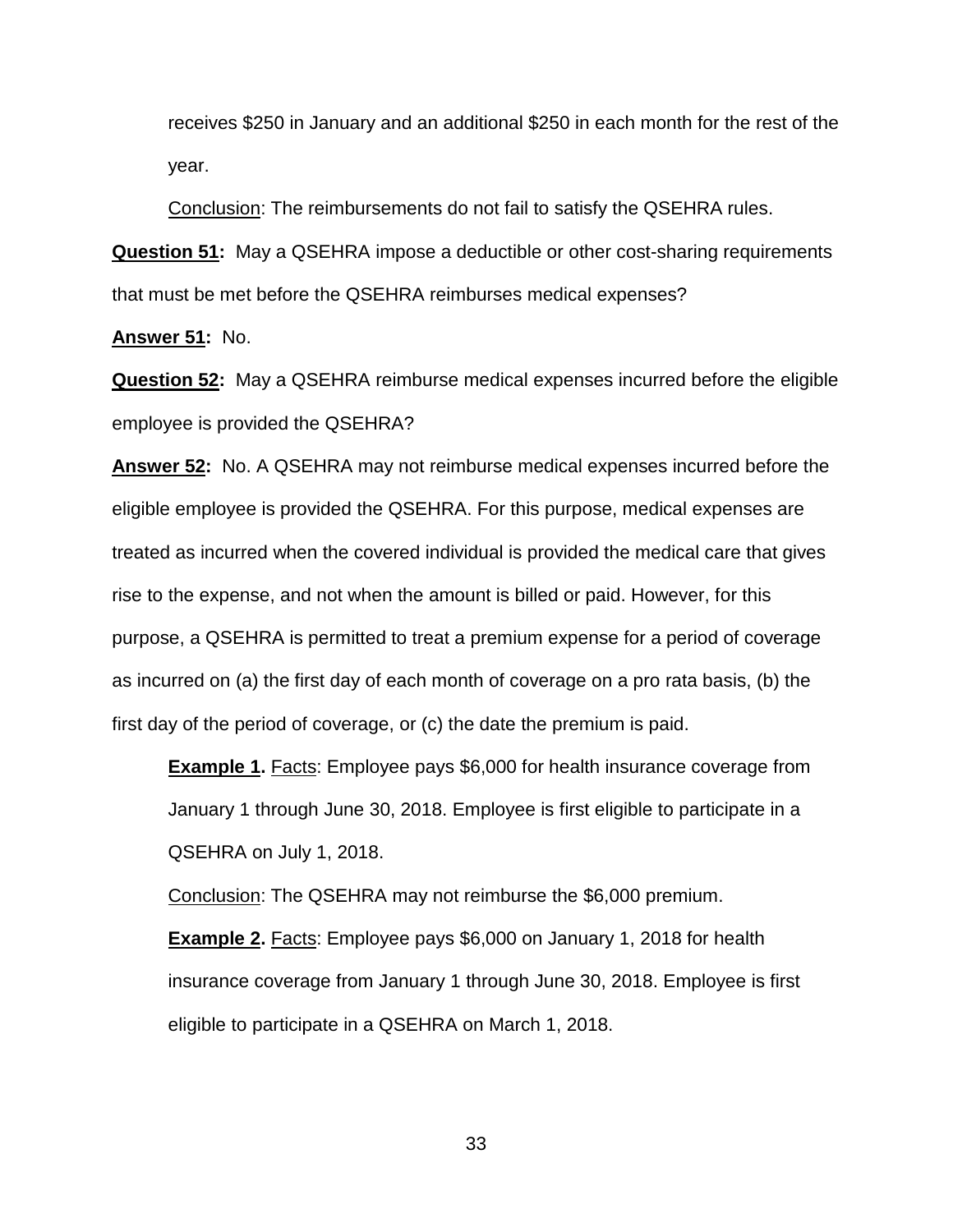receives \$250 in January and an additional \$250 in each month for the rest of the year.

Conclusion: The reimbursements do not fail to satisfy the QSEHRA rules.

**Question 51:** May a QSEHRA impose a deductible or other cost-sharing requirements that must be met before the QSEHRA reimburses medical expenses?

**Answer 51:** No.

**Question 52:** May a QSEHRA reimburse medical expenses incurred before the eligible employee is provided the QSEHRA?

**Answer 52:** No. A QSEHRA may not reimburse medical expenses incurred before the eligible employee is provided the QSEHRA. For this purpose, medical expenses are treated as incurred when the covered individual is provided the medical care that gives rise to the expense, and not when the amount is billed or paid. However, for this purpose, a QSEHRA is permitted to treat a premium expense for a period of coverage as incurred on (a) the first day of each month of coverage on a pro rata basis, (b) the first day of the period of coverage, or (c) the date the premium is paid.

**Example 1.** Facts: Employee pays \$6,000 for health insurance coverage from January 1 through June 30, 2018. Employee is first eligible to participate in a QSEHRA on July 1, 2018.

Conclusion: The QSEHRA may not reimburse the \$6,000 premium.

**Example 2.** Facts: Employee pays \$6,000 on January 1, 2018 for health insurance coverage from January 1 through June 30, 2018. Employee is first eligible to participate in a QSEHRA on March 1, 2018.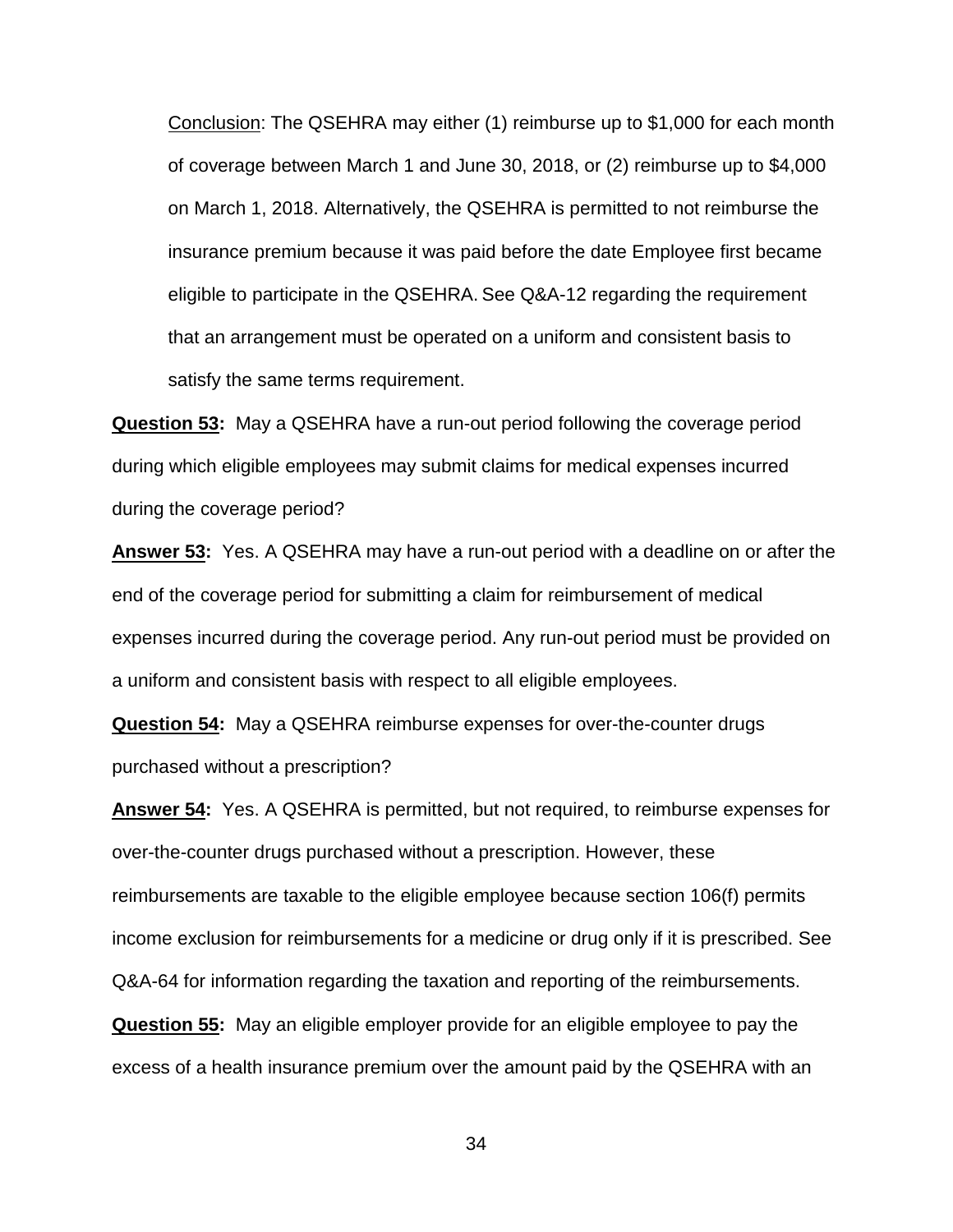Conclusion: The QSEHRA may either (1) reimburse up to \$1,000 for each month of coverage between March 1 and June 30, 2018, or (2) reimburse up to \$4,000 on March 1, 2018. Alternatively, the QSEHRA is permitted to not reimburse the insurance premium because it was paid before the date Employee first became eligible to participate in the QSEHRA. See Q&A-12 regarding the requirement that an arrangement must be operated on a uniform and consistent basis to satisfy the same terms requirement.

**Question 53:** May a QSEHRA have a run-out period following the coverage period during which eligible employees may submit claims for medical expenses incurred during the coverage period?

**Answer 53:** Yes. A QSEHRA may have a run-out period with a deadline on or after the end of the coverage period for submitting a claim for reimbursement of medical expenses incurred during the coverage period. Any run-out period must be provided on a uniform and consistent basis with respect to all eligible employees.

**Question 54:** May a QSEHRA reimburse expenses for over-the-counter drugs purchased without a prescription?

**Answer 54:** Yes. A QSEHRA is permitted, but not required, to reimburse expenses for over-the-counter drugs purchased without a prescription. However, these reimbursements are taxable to the eligible employee because section 106(f) permits income exclusion for reimbursements for a medicine or drug only if it is prescribed. See Q&A-64 for information regarding the taxation and reporting of the reimbursements. **Question 55:** May an eligible employer provide for an eligible employee to pay the

excess of a health insurance premium over the amount paid by the QSEHRA with an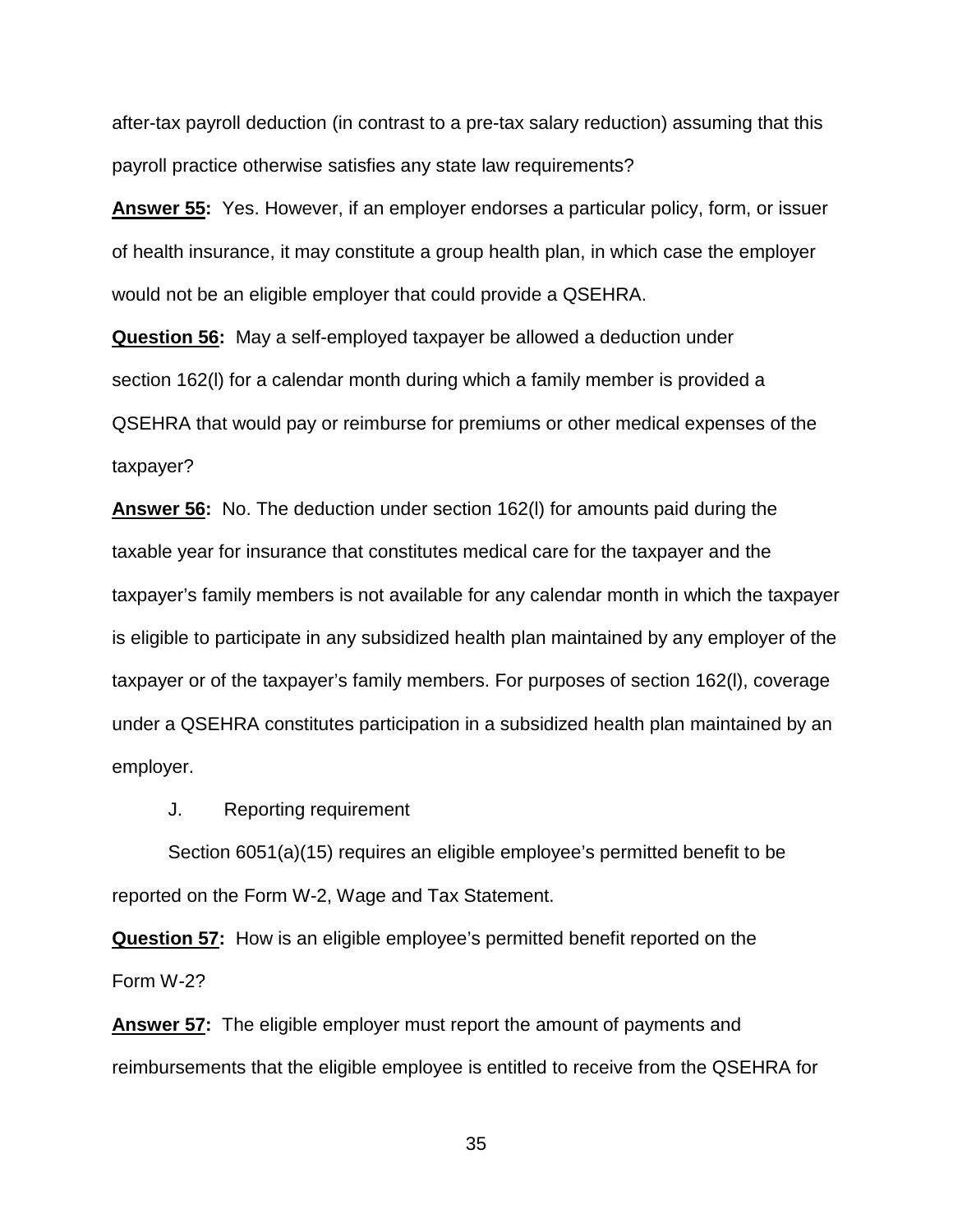after-tax payroll deduction (in contrast to a pre-tax salary reduction) assuming that this payroll practice otherwise satisfies any state law requirements?

**Answer 55:** Yes. However, if an employer endorses a particular policy, form, or issuer of health insurance, it may constitute a group health plan, in which case the employer would not be an eligible employer that could provide a QSEHRA.

**Question 56:** May a self-employed taxpayer be allowed a deduction under section 162(l) for a calendar month during which a family member is provided a QSEHRA that would pay or reimburse for premiums or other medical expenses of the taxpayer?

**Answer 56:** No. The deduction under section 162(l) for amounts paid during the taxable year for insurance that constitutes medical care for the taxpayer and the taxpayer's family members is not available for any calendar month in which the taxpayer is eligible to participate in any subsidized health plan maintained by any employer of the taxpayer or of the taxpayer's family members. For purposes of section 162(l), coverage under a QSEHRA constitutes participation in a subsidized health plan maintained by an employer.

J. Reporting requirement

Section 6051(a)(15) requires an eligible employee's permitted benefit to be reported on the Form W-2, Wage and Tax Statement.

**Question 57:** How is an eligible employee's permitted benefit reported on the Form W-2?

**Answer 57:** The eligible employer must report the amount of payments and reimbursements that the eligible employee is entitled to receive from the QSEHRA for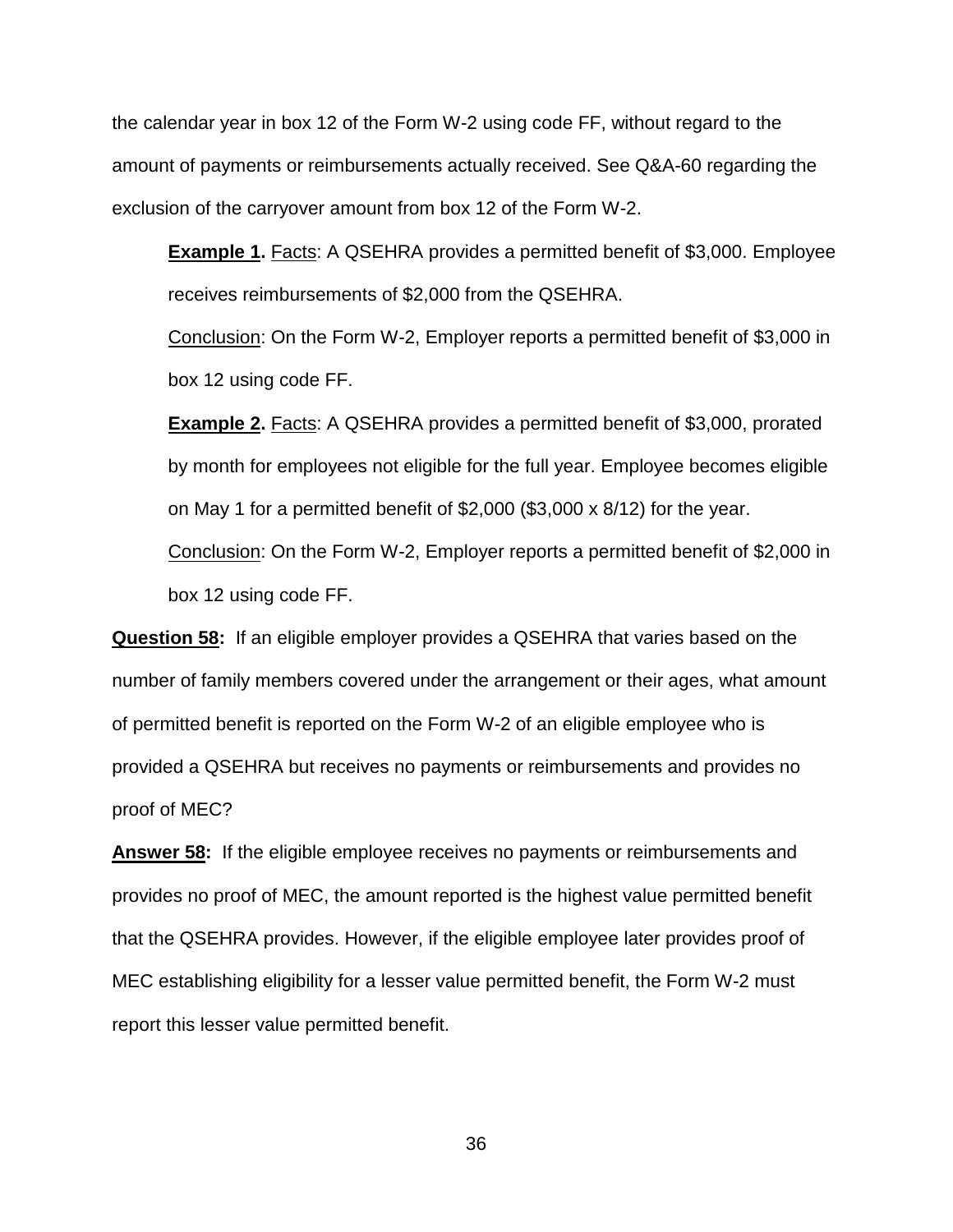the calendar year in box 12 of the Form W-2 using code FF, without regard to the amount of payments or reimbursements actually received. See Q&A-60 regarding the exclusion of the carryover amount from box 12 of the Form W-2.

**Example 1.** Facts: A QSEHRA provides a permitted benefit of \$3,000. Employee receives reimbursements of \$2,000 from the QSEHRA.

Conclusion: On the Form W-2, Employer reports a permitted benefit of \$3,000 in box 12 using code FF.

**Example 2.** Facts: A QSEHRA provides a permitted benefit of \$3,000, prorated by month for employees not eligible for the full year. Employee becomes eligible on May 1 for a permitted benefit of \$2,000 (\$3,000 x 8/12) for the year.

Conclusion: On the Form W-2, Employer reports a permitted benefit of \$2,000 in box 12 using code FF.

**Question 58:** If an eligible employer provides a QSEHRA that varies based on the number of family members covered under the arrangement or their ages, what amount of permitted benefit is reported on the Form W-2 of an eligible employee who is provided a QSEHRA but receives no payments or reimbursements and provides no proof of MEC?

**Answer 58:** If the eligible employee receives no payments or reimbursements and provides no proof of MEC, the amount reported is the highest value permitted benefit that the QSEHRA provides. However, if the eligible employee later provides proof of MEC establishing eligibility for a lesser value permitted benefit, the Form W-2 must report this lesser value permitted benefit.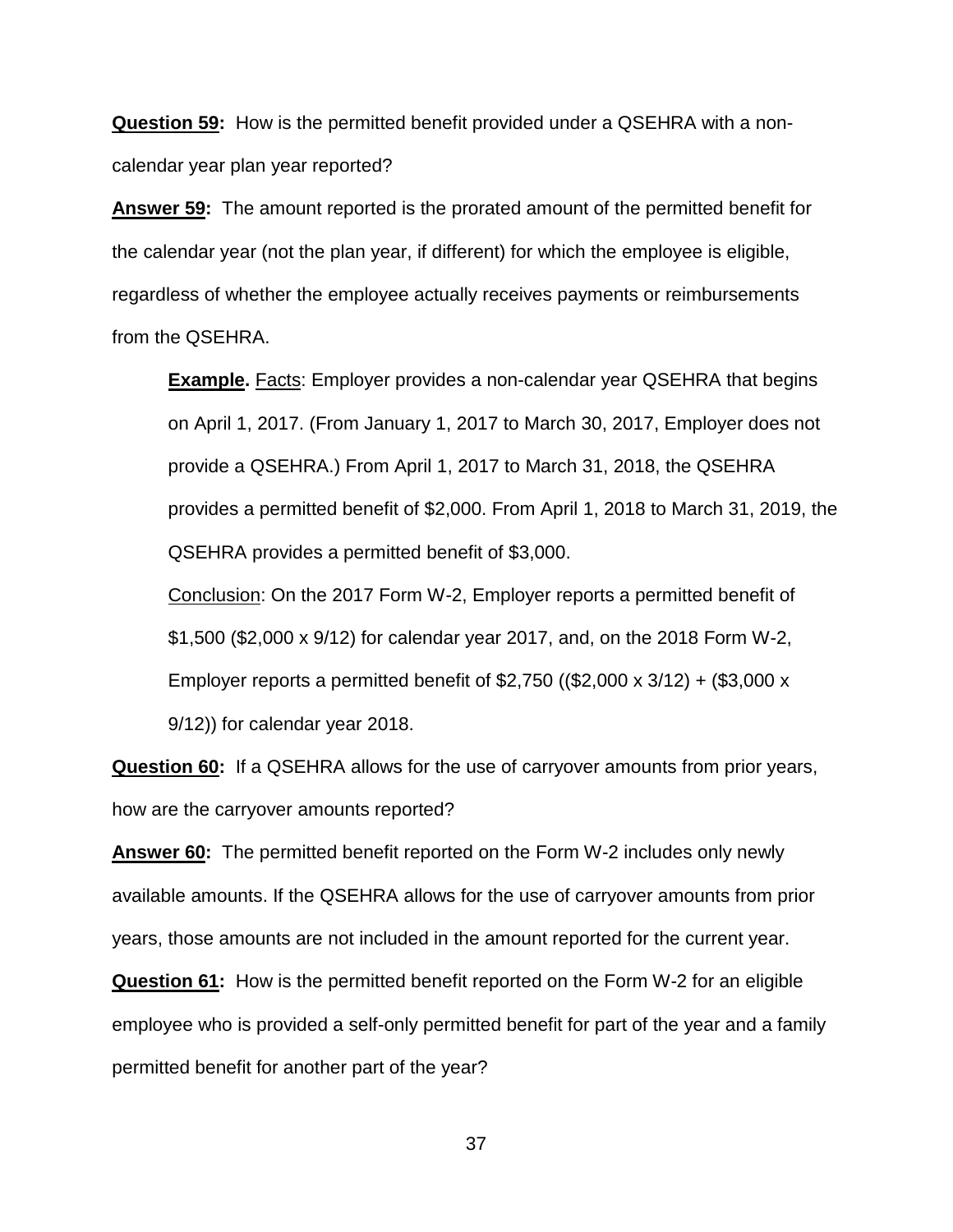**Question 59:** How is the permitted benefit provided under a QSEHRA with a noncalendar year plan year reported?

**Answer 59:** The amount reported is the prorated amount of the permitted benefit for the calendar year (not the plan year, if different) for which the employee is eligible, regardless of whether the employee actually receives payments or reimbursements from the QSEHRA.

**Example.** Facts: Employer provides a non-calendar year QSEHRA that begins on April 1, 2017. (From January 1, 2017 to March 30, 2017, Employer does not provide a QSEHRA.) From April 1, 2017 to March 31, 2018, the QSEHRA provides a permitted benefit of \$2,000. From April 1, 2018 to March 31, 2019, the QSEHRA provides a permitted benefit of \$3,000.

Conclusion: On the 2017 Form W-2, Employer reports a permitted benefit of \$1,500 (\$2,000 x 9/12) for calendar year 2017, and, on the 2018 Form W-2, Employer reports a permitted benefit of \$2,750 ((\$2,000 x 3/12) + (\$3,000 x 9/12)) for calendar year 2018.

**Question 60:** If a QSEHRA allows for the use of carryover amounts from prior years, how are the carryover amounts reported?

**Answer 60:** The permitted benefit reported on the Form W-2 includes only newly available amounts. If the QSEHRA allows for the use of carryover amounts from prior years, those amounts are not included in the amount reported for the current year.

**Question 61:** How is the permitted benefit reported on the Form W-2 for an eligible employee who is provided a self-only permitted benefit for part of the year and a family permitted benefit for another part of the year?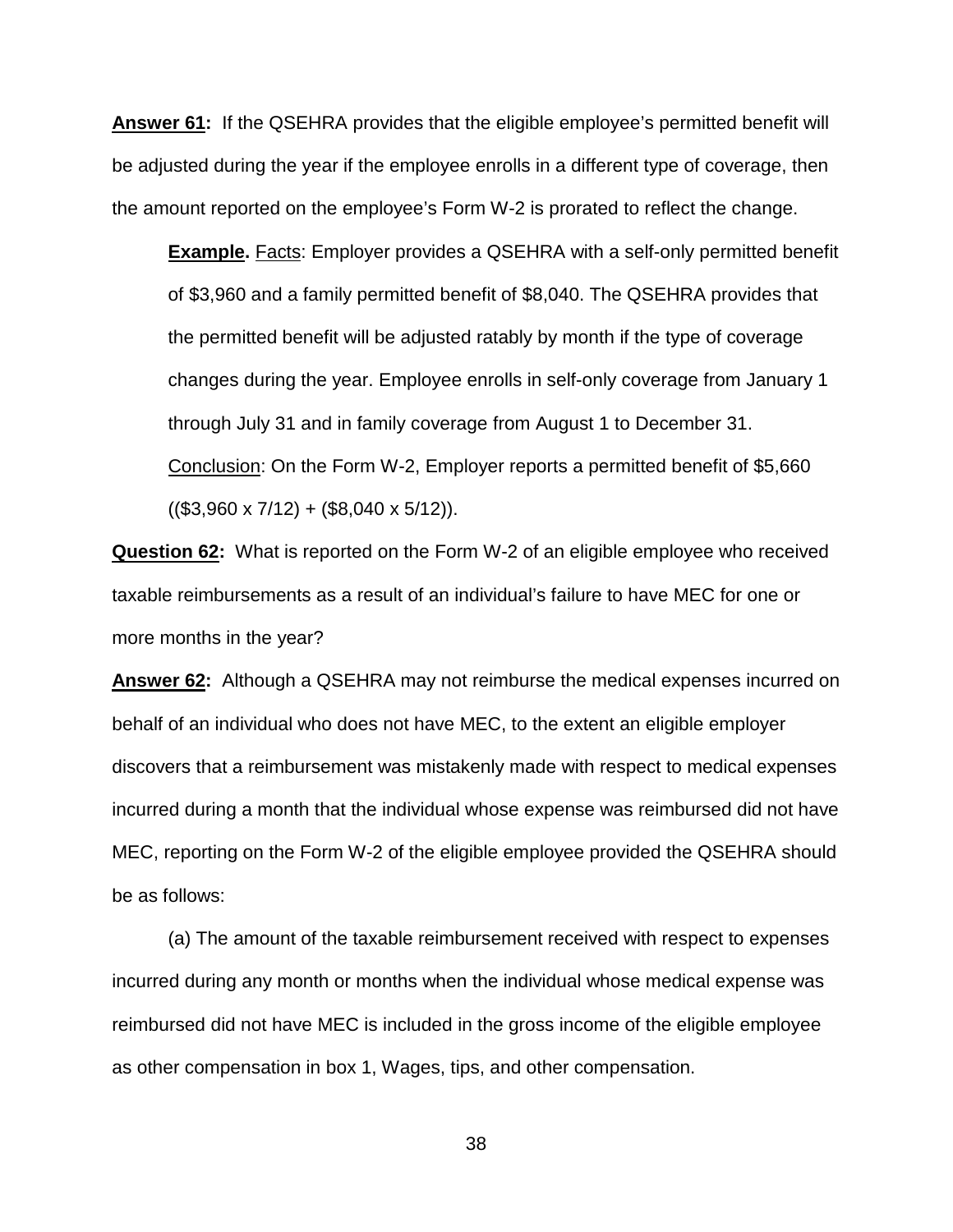**Answer 61:** If the QSEHRA provides that the eligible employee's permitted benefit will be adjusted during the year if the employee enrolls in a different type of coverage, then the amount reported on the employee's Form W-2 is prorated to reflect the change.

**Example.** Facts: Employer provides a QSEHRA with a self-only permitted benefit of \$3,960 and a family permitted benefit of \$8,040. The QSEHRA provides that the permitted benefit will be adjusted ratably by month if the type of coverage changes during the year. Employee enrolls in self-only coverage from January 1 through July 31 and in family coverage from August 1 to December 31. Conclusion: On the Form W-2, Employer reports a permitted benefit of \$5,660  $((\$3,960 \times 7/12) + (\$8,040 \times 5/12)).$ 

**Question 62:** What is reported on the Form W-2 of an eligible employee who received taxable reimbursements as a result of an individual's failure to have MEC for one or more months in the year?

**Answer 62:** Although a QSEHRA may not reimburse the medical expenses incurred on behalf of an individual who does not have MEC, to the extent an eligible employer discovers that a reimbursement was mistakenly made with respect to medical expenses incurred during a month that the individual whose expense was reimbursed did not have MEC, reporting on the Form W-2 of the eligible employee provided the QSEHRA should be as follows:

(a) The amount of the taxable reimbursement received with respect to expenses incurred during any month or months when the individual whose medical expense was reimbursed did not have MEC is included in the gross income of the eligible employee as other compensation in box 1, Wages, tips, and other compensation.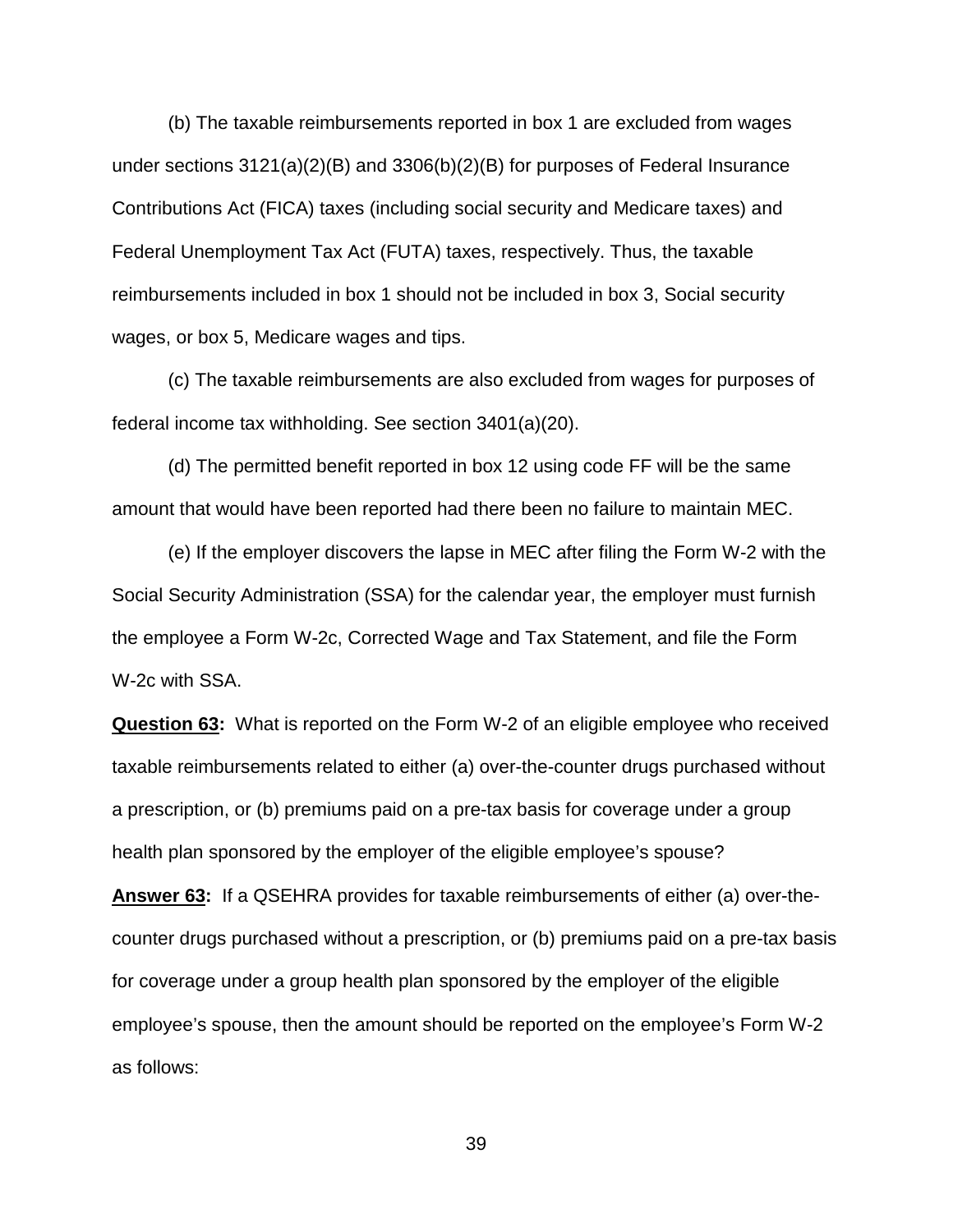(b) The taxable reimbursements reported in box 1 are excluded from wages under sections 3121(a)(2)(B) and 3306(b)(2)(B) for purposes of Federal Insurance Contributions Act (FICA) taxes (including social security and Medicare taxes) and Federal Unemployment Tax Act (FUTA) taxes, respectively. Thus, the taxable reimbursements included in box 1 should not be included in box 3, Social security wages, or box 5, Medicare wages and tips.

(c) The taxable reimbursements are also excluded from wages for purposes of federal income tax withholding. See section 3401(a)(20).

(d) The permitted benefit reported in box 12 using code FF will be the same amount that would have been reported had there been no failure to maintain MEC.

(e) If the employer discovers the lapse in MEC after filing the Form W-2 with the Social Security Administration (SSA) for the calendar year, the employer must furnish the employee a Form W-2c, Corrected Wage and Tax Statement, and file the Form W-2c with SSA.

**Question 63:** What is reported on the Form W-2 of an eligible employee who received taxable reimbursements related to either (a) over-the-counter drugs purchased without a prescription, or (b) premiums paid on a pre-tax basis for coverage under a group health plan sponsored by the employer of the eligible employee's spouse?

**Answer 63:** If a QSEHRA provides for taxable reimbursements of either (a) over-thecounter drugs purchased without a prescription, or (b) premiums paid on a pre-tax basis for coverage under a group health plan sponsored by the employer of the eligible employee's spouse, then the amount should be reported on the employee's Form W-2 as follows: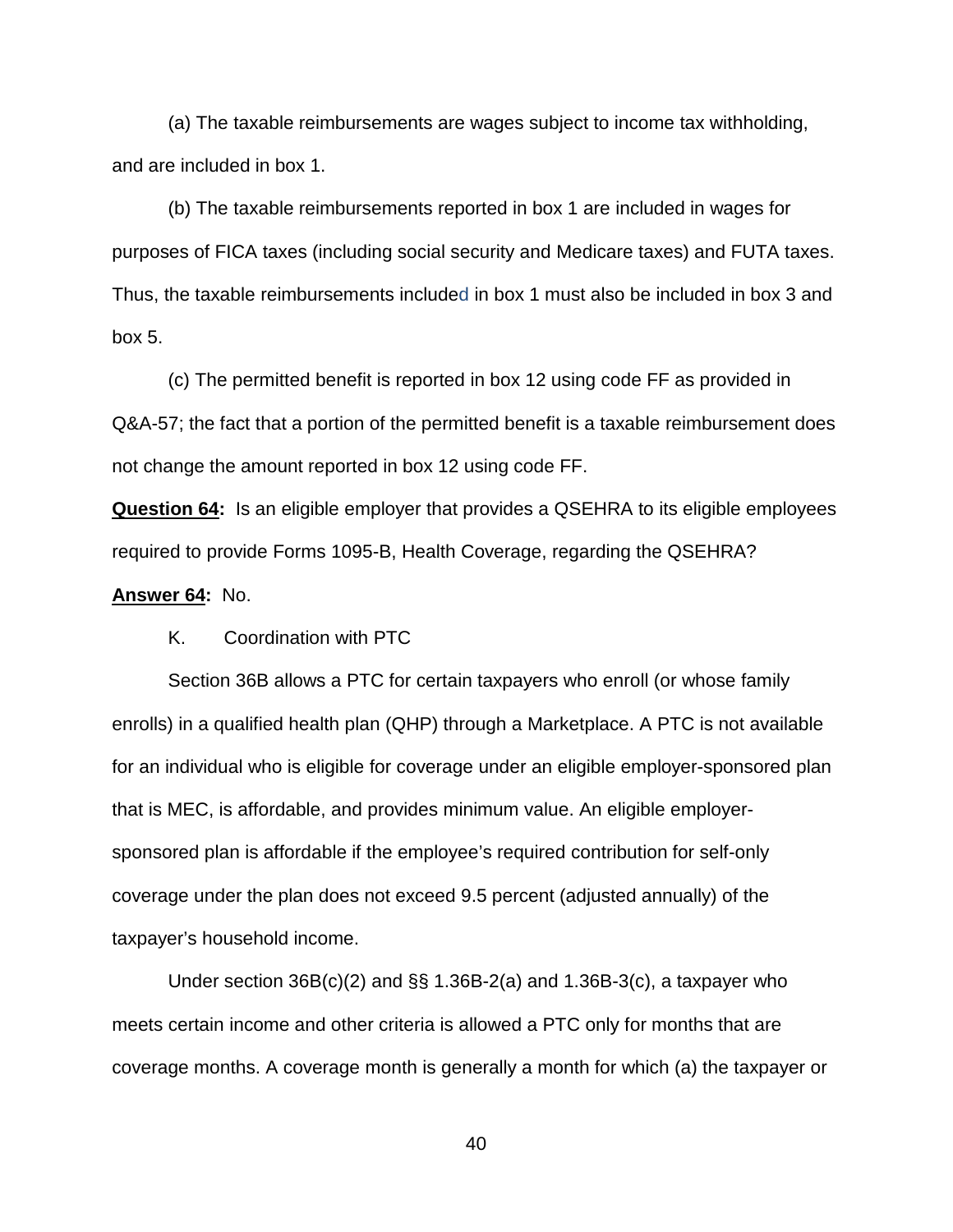(a) The taxable reimbursements are wages subject to income tax withholding, and are included in box 1.

(b) The taxable reimbursements reported in box 1 are included in wages for purposes of FICA taxes (including social security and Medicare taxes) and FUTA taxes. Thus, the taxable reimbursements included in box 1 must also be included in box 3 and box 5.

(c) The permitted benefit is reported in box 12 using code FF as provided in Q&A-57; the fact that a portion of the permitted benefit is a taxable reimbursement does not change the amount reported in box 12 using code FF.

**Question 64:** Is an eligible employer that provides a QSEHRA to its eligible employees required to provide Forms 1095-B, Health Coverage, regarding the QSEHRA?

## **Answer 64:** No.

# K. Coordination with PTC

Section 36B allows a PTC for certain taxpayers who enroll (or whose family enrolls) in a qualified health plan (QHP) through a Marketplace. A PTC is not available for an individual who is eligible for coverage under an eligible employer-sponsored plan that is MEC, is affordable, and provides minimum value. An eligible employersponsored plan is affordable if the employee's required contribution for self-only coverage under the plan does not exceed 9.5 percent (adjusted annually) of the taxpayer's household income.

Under section  $36B(c)(2)$  and  $\S$  $1.36B-2(a)$  and 1.36B-3(c), a taxpayer who meets certain income and other criteria is allowed a PTC only for months that are coverage months. A coverage month is generally a month for which (a) the taxpayer or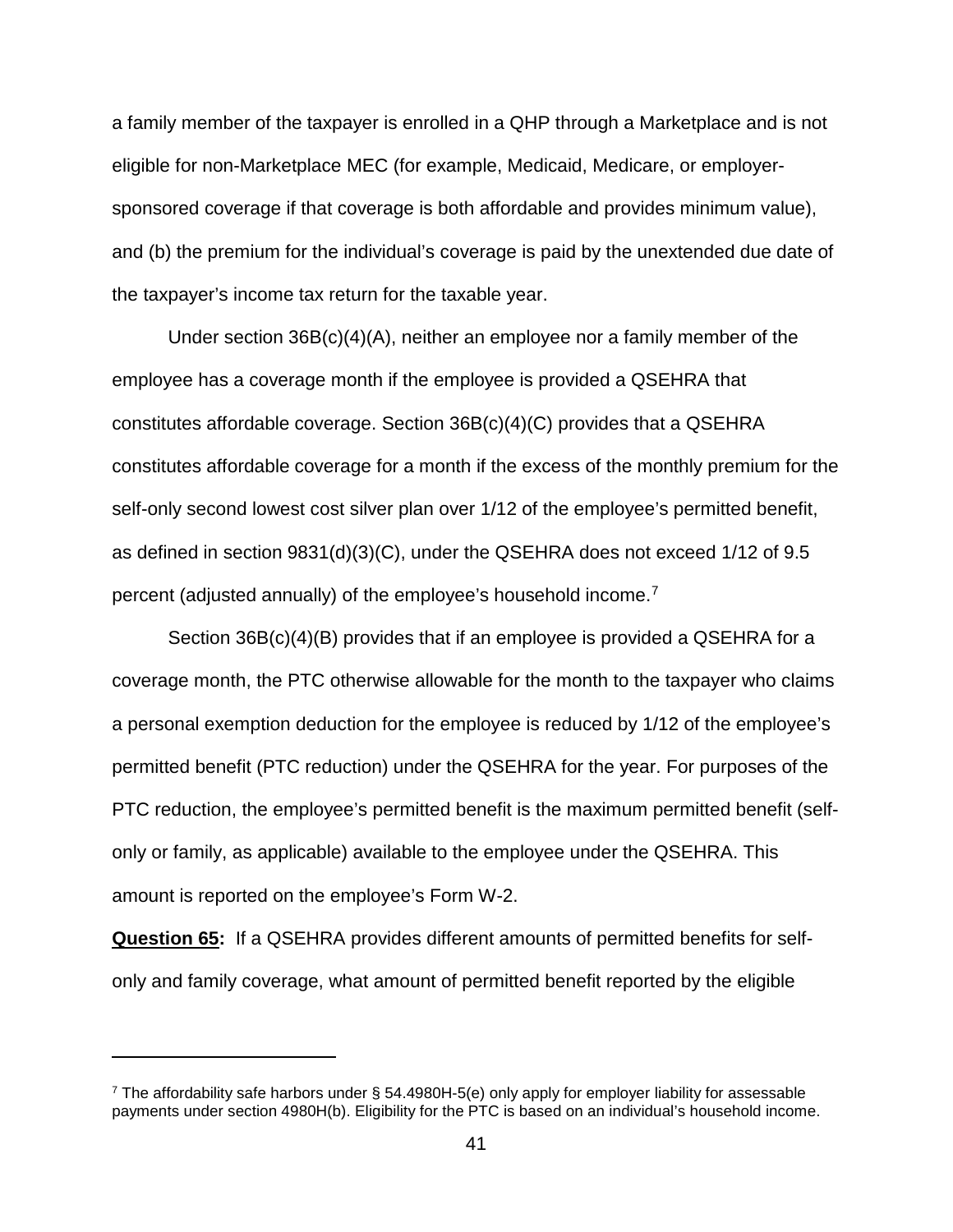a family member of the taxpayer is enrolled in a QHP through a Marketplace and is not eligible for non-Marketplace MEC (for example, Medicaid, Medicare, or employersponsored coverage if that coverage is both affordable and provides minimum value), and (b) the premium for the individual's coverage is paid by the unextended due date of the taxpayer's income tax return for the taxable year.

Under section 36B(c)(4)(A), neither an employee nor a family member of the employee has a coverage month if the employee is provided a QSEHRA that constitutes affordable coverage. Section 36B(c)(4)(C) provides that a QSEHRA constitutes affordable coverage for a month if the excess of the monthly premium for the self-only second lowest cost silver plan over 1/12 of the employee's permitted benefit, as defined in section 9831(d)(3)(C), under the QSEHRA does not exceed 1/12 of 9.5 percent (adjusted annually) of the employee's household income.[7](#page-40-0)

Section 36B(c)(4)(B) provides that if an employee is provided a QSEHRA for a coverage month, the PTC otherwise allowable for the month to the taxpayer who claims a personal exemption deduction for the employee is reduced by 1/12 of the employee's permitted benefit (PTC reduction) under the QSEHRA for the year. For purposes of the PTC reduction, the employee's permitted benefit is the maximum permitted benefit (selfonly or family, as applicable) available to the employee under the QSEHRA. This amount is reported on the employee's Form W-2.

**Question 65:** If a QSEHRA provides different amounts of permitted benefits for selfonly and family coverage, what amount of permitted benefit reported by the eligible

 $\overline{a}$ 

<span id="page-40-0"></span><sup>7</sup> The affordability safe harbors under § 54.4980H-5(e) only apply for employer liability for assessable payments under section 4980H(b). Eligibility for the PTC is based on an individual's household income.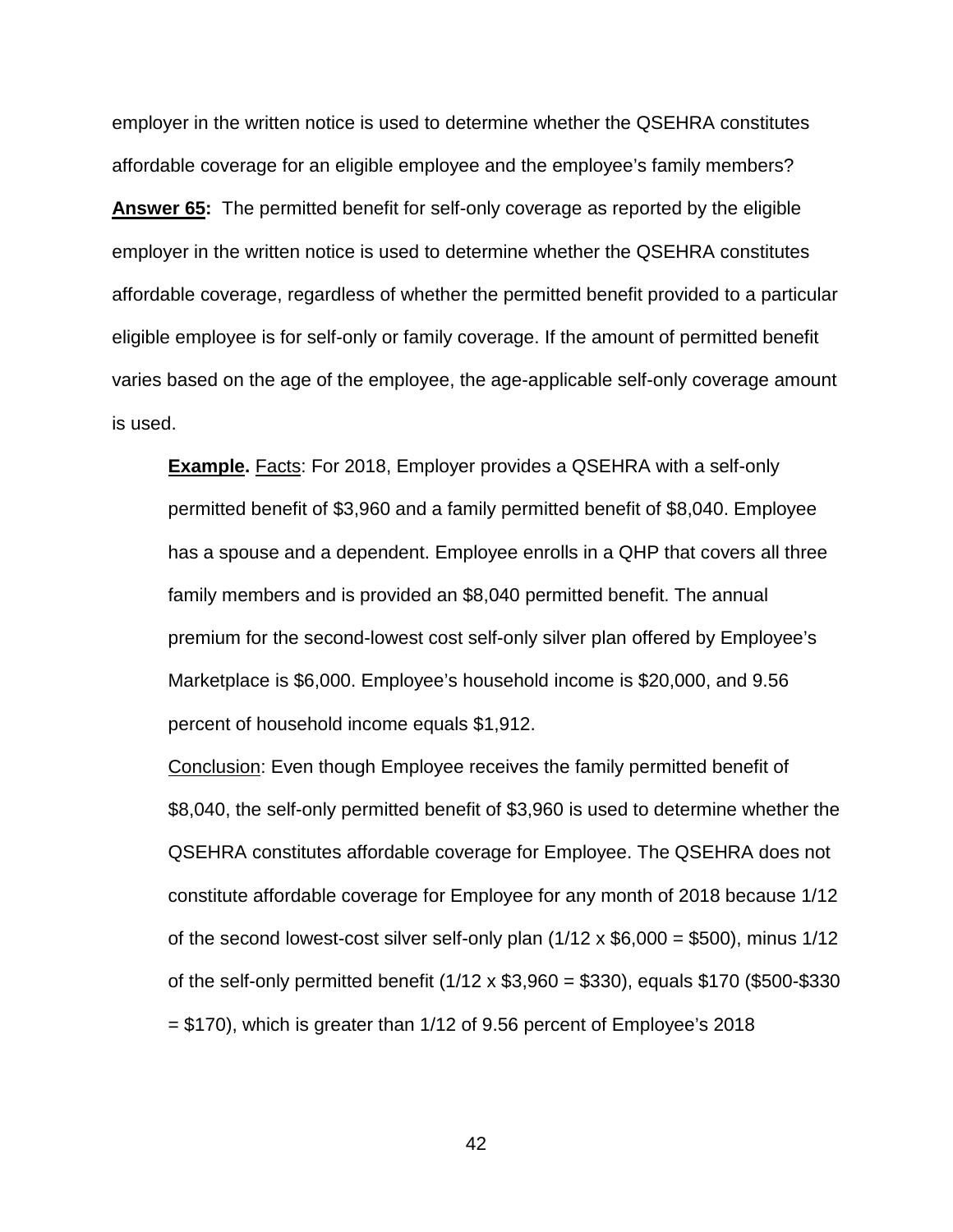employer in the written notice is used to determine whether the QSEHRA constitutes affordable coverage for an eligible employee and the employee's family members? **Answer 65:** The permitted benefit for self-only coverage as reported by the eligible employer in the written notice is used to determine whether the QSEHRA constitutes affordable coverage, regardless of whether the permitted benefit provided to a particular eligible employee is for self-only or family coverage. If the amount of permitted benefit varies based on the age of the employee, the age-applicable self-only coverage amount is used.

**Example.** Facts: For 2018, Employer provides a QSEHRA with a self-only permitted benefit of \$3,960 and a family permitted benefit of \$8,040. Employee has a spouse and a dependent. Employee enrolls in a QHP that covers all three family members and is provided an \$8,040 permitted benefit. The annual premium for the second-lowest cost self-only silver plan offered by Employee's Marketplace is \$6,000. Employee's household income is \$20,000, and 9.56 percent of household income equals \$1,912.

Conclusion: Even though Employee receives the family permitted benefit of \$8,040, the self-only permitted benefit of \$3,960 is used to determine whether the QSEHRA constitutes affordable coverage for Employee. The QSEHRA does not constitute affordable coverage for Employee for any month of 2018 because 1/12 of the second lowest-cost silver self-only plan  $(1/12 \times $6,000 = $500)$ , minus  $1/12$ of the self-only permitted benefit (1/12 x \$3,960 = \$330), equals \$170 (\$500-\$330  $=$  \$170), which is greater than 1/12 of 9.56 percent of Employee's 2018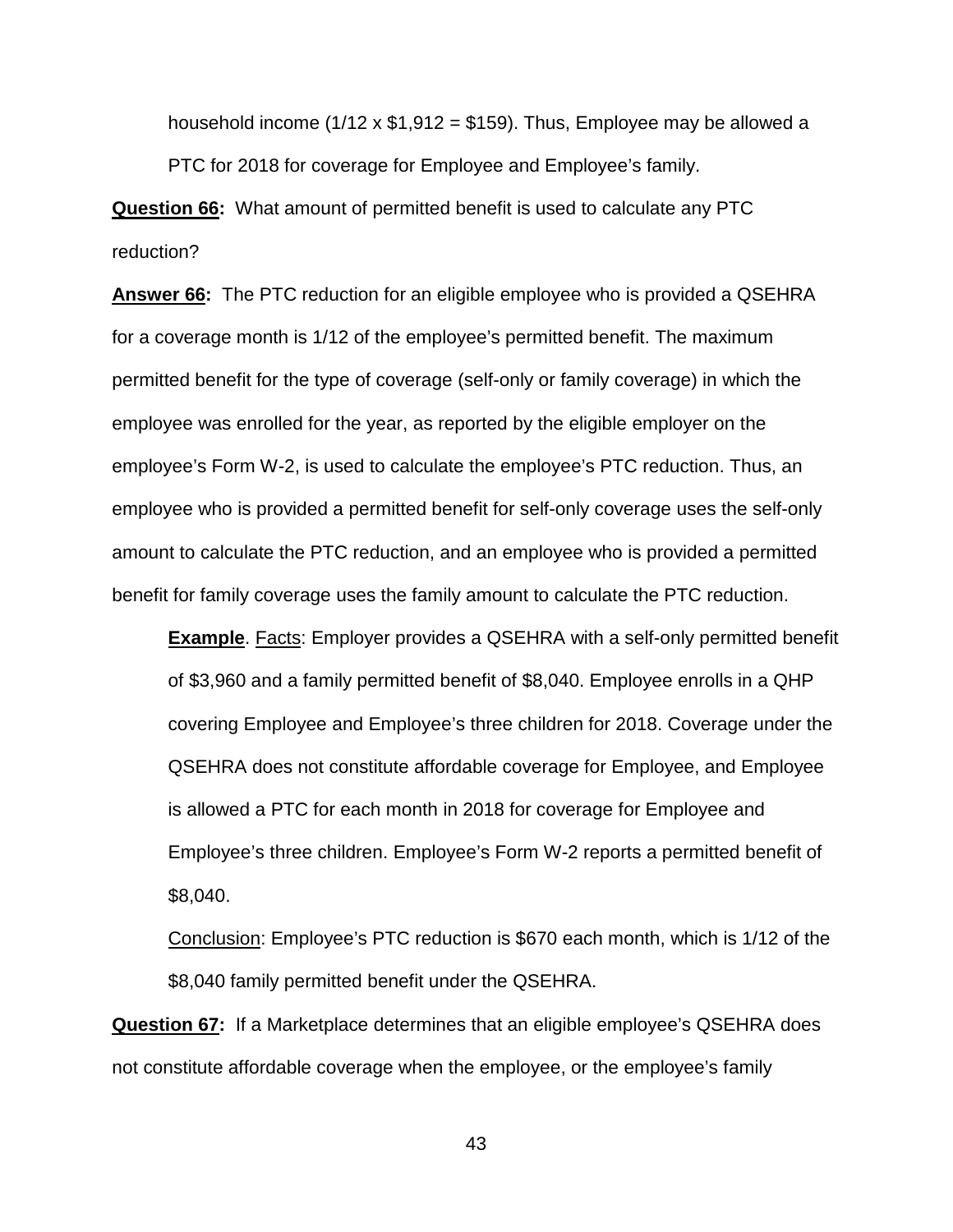household income  $(1/12 \times $1,912 = $159)$ . Thus, Employee may be allowed a PTC for 2018 for coverage for Employee and Employee's family.

**Question 66:** What amount of permitted benefit is used to calculate any PTC reduction?

**Answer 66:** The PTC reduction for an eligible employee who is provided a QSEHRA for a coverage month is 1/12 of the employee's permitted benefit. The maximum permitted benefit for the type of coverage (self-only or family coverage) in which the employee was enrolled for the year, as reported by the eligible employer on the employee's Form W-2, is used to calculate the employee's PTC reduction. Thus, an employee who is provided a permitted benefit for self-only coverage uses the self-only amount to calculate the PTC reduction, and an employee who is provided a permitted benefit for family coverage uses the family amount to calculate the PTC reduction.

**Example**. Facts: Employer provides a QSEHRA with a self-only permitted benefit of \$3,960 and a family permitted benefit of \$8,040. Employee enrolls in a QHP covering Employee and Employee's three children for 2018. Coverage under the QSEHRA does not constitute affordable coverage for Employee, and Employee is allowed a PTC for each month in 2018 for coverage for Employee and Employee's three children. Employee's Form W-2 reports a permitted benefit of \$8,040.

Conclusion: Employee's PTC reduction is \$670 each month, which is 1/12 of the \$8,040 family permitted benefit under the QSEHRA.

**Question 67:** If a Marketplace determines that an eligible employee's QSEHRA does not constitute affordable coverage when the employee, or the employee's family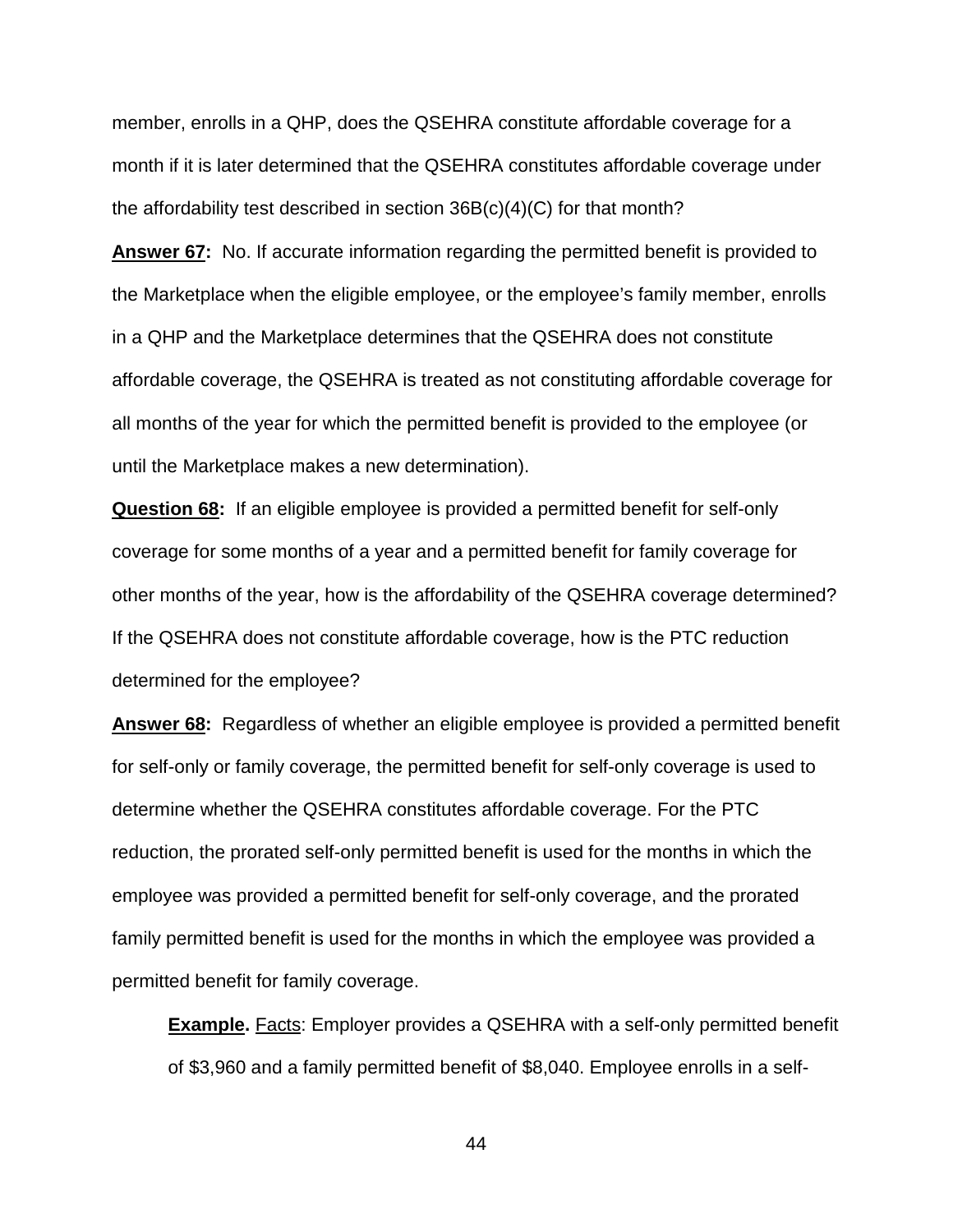member, enrolls in a QHP, does the QSEHRA constitute affordable coverage for a month if it is later determined that the QSEHRA constitutes affordable coverage under the affordability test described in section 36B(c)(4)(C) for that month?

**Answer 67:** No. If accurate information regarding the permitted benefit is provided to the Marketplace when the eligible employee, or the employee's family member, enrolls in a QHP and the Marketplace determines that the QSEHRA does not constitute affordable coverage, the QSEHRA is treated as not constituting affordable coverage for all months of the year for which the permitted benefit is provided to the employee (or until the Marketplace makes a new determination).

**Question 68:** If an eligible employee is provided a permitted benefit for self-only coverage for some months of a year and a permitted benefit for family coverage for other months of the year, how is the affordability of the QSEHRA coverage determined? If the QSEHRA does not constitute affordable coverage, how is the PTC reduction determined for the employee?

**Answer 68:** Regardless of whether an eligible employee is provided a permitted benefit for self-only or family coverage, the permitted benefit for self-only coverage is used to determine whether the QSEHRA constitutes affordable coverage. For the PTC reduction, the prorated self-only permitted benefit is used for the months in which the employee was provided a permitted benefit for self-only coverage, and the prorated family permitted benefit is used for the months in which the employee was provided a permitted benefit for family coverage.

**Example.** Facts: Employer provides a QSEHRA with a self-only permitted benefit of \$3,960 and a family permitted benefit of \$8,040. Employee enrolls in a self-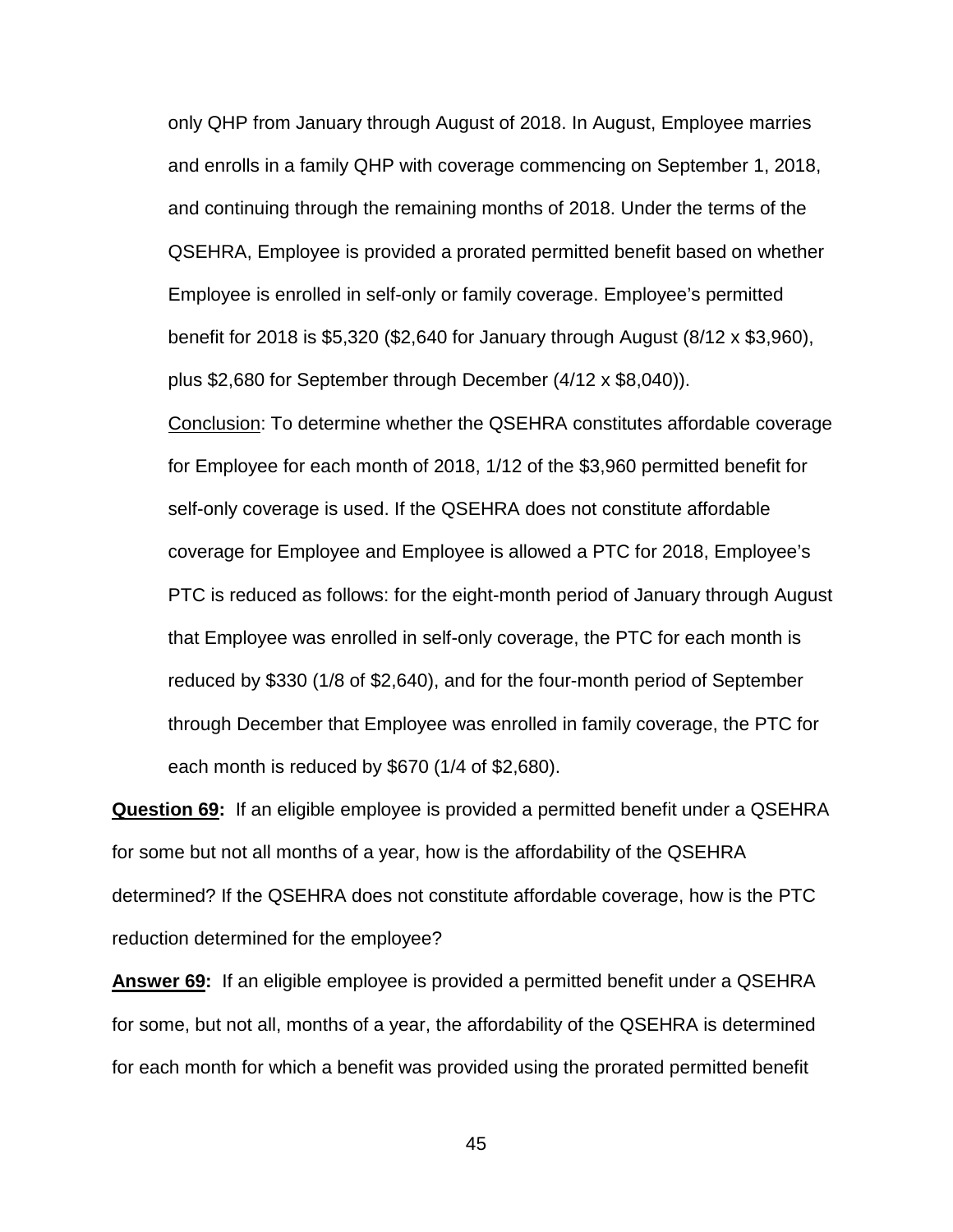only QHP from January through August of 2018. In August, Employee marries and enrolls in a family QHP with coverage commencing on September 1, 2018, and continuing through the remaining months of 2018. Under the terms of the QSEHRA, Employee is provided a prorated permitted benefit based on whether Employee is enrolled in self-only or family coverage. Employee's permitted benefit for 2018 is \$5,320 (\$2,640 for January through August (8/12 x \$3,960), plus \$2,680 for September through December (4/12 x \$8,040)).

Conclusion: To determine whether the QSEHRA constitutes affordable coverage for Employee for each month of 2018, 1/12 of the \$3,960 permitted benefit for self-only coverage is used. If the QSEHRA does not constitute affordable coverage for Employee and Employee is allowed a PTC for 2018, Employee's PTC is reduced as follows: for the eight-month period of January through August that Employee was enrolled in self-only coverage, the PTC for each month is reduced by \$330 (1/8 of \$2,640), and for the four-month period of September through December that Employee was enrolled in family coverage, the PTC for each month is reduced by \$670 (1/4 of \$2,680).

**Question 69:** If an eligible employee is provided a permitted benefit under a QSEHRA for some but not all months of a year, how is the affordability of the QSEHRA determined? If the QSEHRA does not constitute affordable coverage, how is the PTC reduction determined for the employee?

**Answer 69:** If an eligible employee is provided a permitted benefit under a QSEHRA for some, but not all, months of a year, the affordability of the QSEHRA is determined for each month for which a benefit was provided using the prorated permitted benefit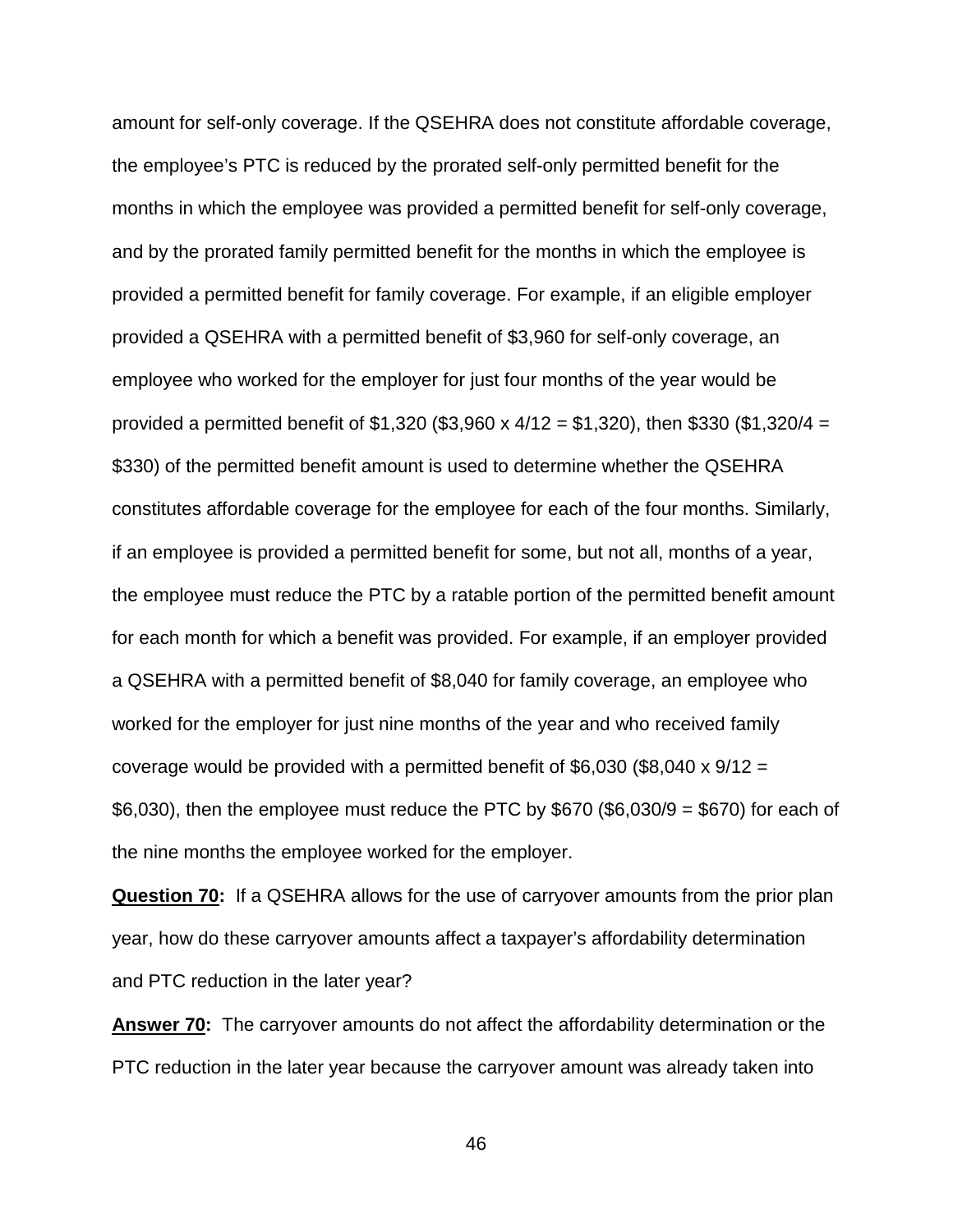amount for self-only coverage. If the QSEHRA does not constitute affordable coverage, the employee's PTC is reduced by the prorated self-only permitted benefit for the months in which the employee was provided a permitted benefit for self-only coverage, and by the prorated family permitted benefit for the months in which the employee is provided a permitted benefit for family coverage. For example, if an eligible employer provided a QSEHRA with a permitted benefit of \$3,960 for self-only coverage, an employee who worked for the employer for just four months of the year would be provided a permitted benefit of \$1,320 (\$3,960 x  $4/12 = $1,320$ ), then \$330 (\$1,320/4 = \$330) of the permitted benefit amount is used to determine whether the QSEHRA constitutes affordable coverage for the employee for each of the four months. Similarly, if an employee is provided a permitted benefit for some, but not all, months of a year, the employee must reduce the PTC by a ratable portion of the permitted benefit amount for each month for which a benefit was provided. For example, if an employer provided a QSEHRA with a permitted benefit of \$8,040 for family coverage, an employee who worked for the employer for just nine months of the year and who received family coverage would be provided with a permitted benefit of \$6,030 (\$8,040 x  $9/12 =$  $$6,030$ , then the employee must reduce the PTC by  $$670$  ( $$6,030/9 = $670$ ) for each of the nine months the employee worked for the employer.

**Question 70:** If a QSEHRA allows for the use of carryover amounts from the prior plan year, how do these carryover amounts affect a taxpayer's affordability determination and PTC reduction in the later year?

**Answer 70:** The carryover amounts do not affect the affordability determination or the PTC reduction in the later year because the carryover amount was already taken into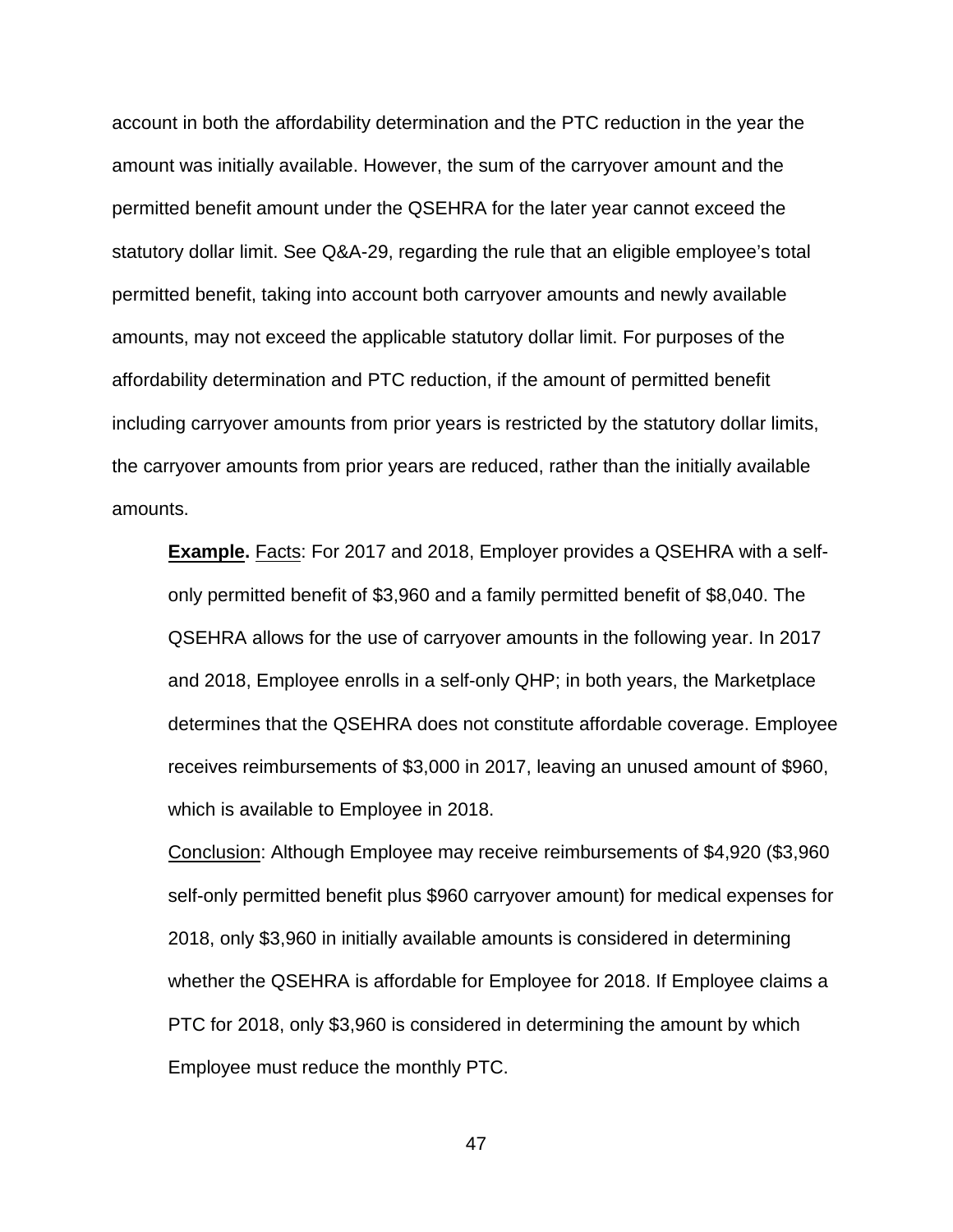account in both the affordability determination and the PTC reduction in the year the amount was initially available. However, the sum of the carryover amount and the permitted benefit amount under the QSEHRA for the later year cannot exceed the statutory dollar limit. See Q&A-29, regarding the rule that an eligible employee's total permitted benefit, taking into account both carryover amounts and newly available amounts, may not exceed the applicable statutory dollar limit. For purposes of the affordability determination and PTC reduction, if the amount of permitted benefit including carryover amounts from prior years is restricted by the statutory dollar limits, the carryover amounts from prior years are reduced, rather than the initially available amounts.

**Example.** Facts: For 2017 and 2018, Employer provides a QSEHRA with a selfonly permitted benefit of \$3,960 and a family permitted benefit of \$8,040. The QSEHRA allows for the use of carryover amounts in the following year. In 2017 and 2018, Employee enrolls in a self-only QHP; in both years, the Marketplace determines that the QSEHRA does not constitute affordable coverage. Employee receives reimbursements of \$3,000 in 2017, leaving an unused amount of \$960, which is available to Employee in 2018.

Conclusion: Although Employee may receive reimbursements of \$4,920 (\$3,960 self-only permitted benefit plus \$960 carryover amount) for medical expenses for 2018, only \$3,960 in initially available amounts is considered in determining whether the QSEHRA is affordable for Employee for 2018. If Employee claims a PTC for 2018, only \$3,960 is considered in determining the amount by which Employee must reduce the monthly PTC.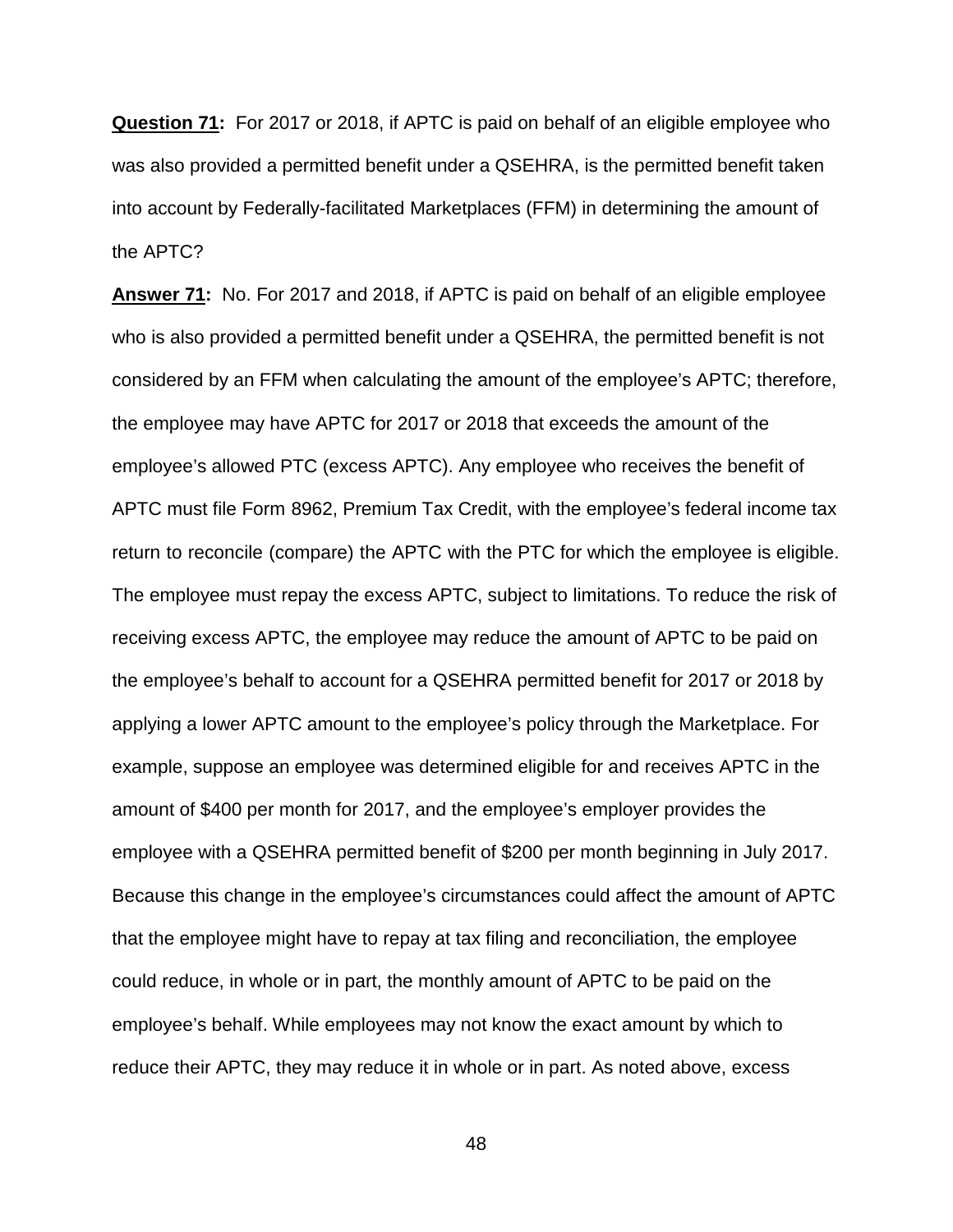**Question 71:** For 2017 or 2018, if APTC is paid on behalf of an eligible employee who was also provided a permitted benefit under a QSEHRA, is the permitted benefit taken into account by Federally-facilitated Marketplaces (FFM) in determining the amount of the APTC?

**Answer 71:** No. For 2017 and 2018, if APTC is paid on behalf of an eligible employee who is also provided a permitted benefit under a QSEHRA, the permitted benefit is not considered by an FFM when calculating the amount of the employee's APTC; therefore, the employee may have APTC for 2017 or 2018 that exceeds the amount of the employee's allowed PTC (excess APTC). Any employee who receives the benefit of APTC must file Form 8962, Premium Tax Credit, with the employee's federal income tax return to reconcile (compare) the APTC with the PTC for which the employee is eligible. The employee must repay the excess APTC, subject to limitations. To reduce the risk of receiving excess APTC, the employee may reduce the amount of APTC to be paid on the employee's behalf to account for a QSEHRA permitted benefit for 2017 or 2018 by applying a lower APTC amount to the employee's policy through the Marketplace. For example, suppose an employee was determined eligible for and receives APTC in the amount of \$400 per month for 2017, and the employee's employer provides the employee with a QSEHRA permitted benefit of \$200 per month beginning in July 2017. Because this change in the employee's circumstances could affect the amount of APTC that the employee might have to repay at tax filing and reconciliation, the employee could reduce, in whole or in part, the monthly amount of APTC to be paid on the employee's behalf. While employees may not know the exact amount by which to reduce their APTC, they may reduce it in whole or in part. As noted above, excess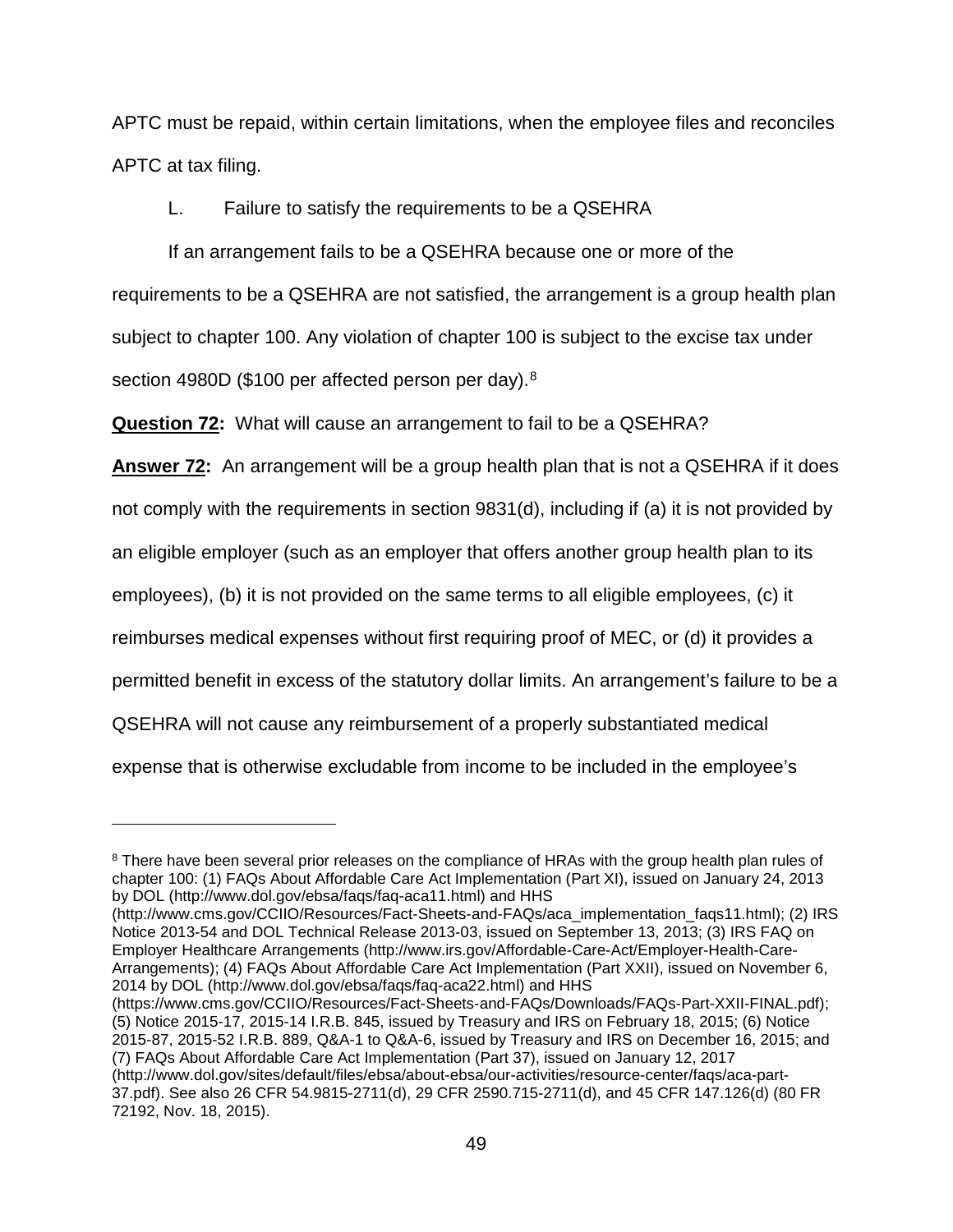APTC must be repaid, within certain limitations, when the employee files and reconciles APTC at tax filing.

L. Failure to satisfy the requirements to be a QSEHRA

If an arrangement fails to be a QSEHRA because one or more of the requirements to be a QSEHRA are not satisfied, the arrangement is a group health plan subject to chapter 100. Any violation of chapter 100 is subject to the excise tax under section 49[8](#page-48-0)0D (\$100 per affected person per day).<sup>8</sup>

**Question 72:** What will cause an arrangement to fail to be a QSEHRA?

**Answer 72:** An arrangement will be a group health plan that is not a QSEHRA if it does not comply with the requirements in section 9831(d), including if (a) it is not provided by an eligible employer (such as an employer that offers another group health plan to its employees), (b) it is not provided on the same terms to all eligible employees, (c) it reimburses medical expenses without first requiring proof of MEC, or (d) it provides a permitted benefit in excess of the statutory dollar limits. An arrangement's failure to be a QSEHRA will not cause any reimbursement of a properly substantiated medical expense that is otherwise excludable from income to be included in the employee's

 $\overline{a}$ 

(http://www.cms.gov/CCIIO/Resources/Fact-Sheets-and-FAQs/aca\_implementation\_faqs11.html); (2) IRS Notice 2013-54 and DOL Technical Release 2013-03, issued on September 13, 2013; (3) IRS FAQ on Employer Healthcare Arrangements (http://www.irs.gov/Affordable-Care-Act/Employer-Health-Care-Arrangements); (4) FAQs About Affordable Care Act Implementation (Part XXII), issued on November 6, 2014 by DOL (http://www.dol.gov/ebsa/faqs/faq-aca22.html) and HHS

(https://www.cms.gov/CCIIO/Resources/Fact-Sheets-and-FAQs/Downloads/FAQs-Part-XXII-FINAL.pdf); (5) Notice 2015-17, 2015-14 I.R.B. 845, issued by Treasury and IRS on February 18, 2015; (6) Notice 2015-87, 2015-52 I.R.B. 889, Q&A-1 to Q&A-6, issued by Treasury and IRS on December 16, 2015; and (7) FAQs About Affordable Care Act Implementation (Part 37), issued on January 12, 2017 (http://www.dol.gov/sites/default/files/ebsa/about-ebsa/our-activities/resource-center/faqs/aca-part-37.pdf). See also 26 CFR 54.9815-2711(d), 29 CFR 2590.715-2711(d), and 45 CFR 147.126(d) (80 FR 72192, Nov. 18, 2015).

<span id="page-48-0"></span><sup>&</sup>lt;sup>8</sup> There have been several prior releases on the compliance of HRAs with the group health plan rules of chapter 100: (1) FAQs About Affordable Care Act Implementation (Part XI), issued on January 24, 2013 by DOL (http://www.dol.gov/ebsa/faqs/faq-aca11.html) and HHS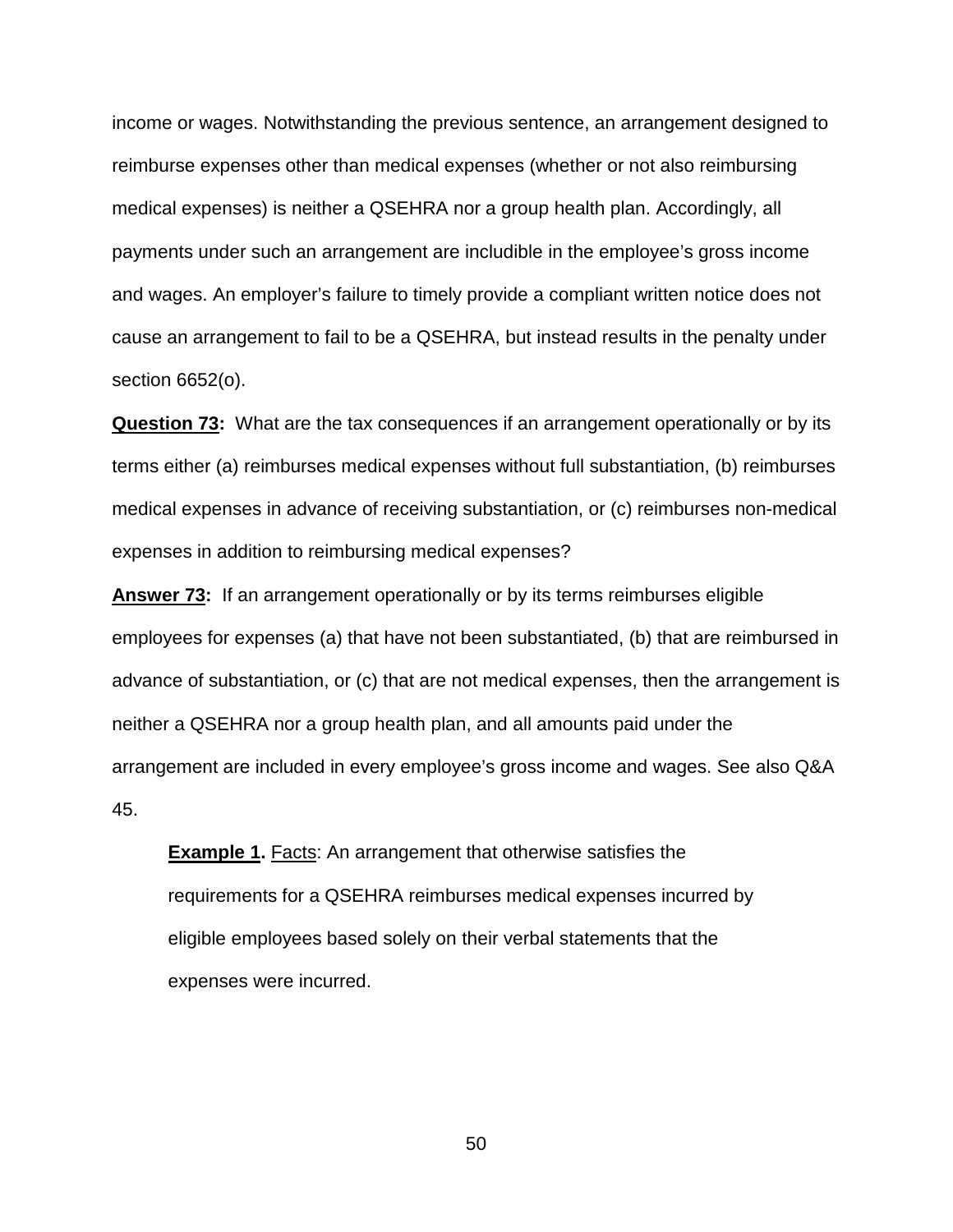income or wages. Notwithstanding the previous sentence, an arrangement designed to reimburse expenses other than medical expenses (whether or not also reimbursing medical expenses) is neither a QSEHRA nor a group health plan. Accordingly, all payments under such an arrangement are includible in the employee's gross income and wages. An employer's failure to timely provide a compliant written notice does not cause an arrangement to fail to be a QSEHRA, but instead results in the penalty under section 6652(o).

**Question 73:** What are the tax consequences if an arrangement operationally or by its terms either (a) reimburses medical expenses without full substantiation, (b) reimburses medical expenses in advance of receiving substantiation, or (c) reimburses non-medical expenses in addition to reimbursing medical expenses?

**Answer 73:** If an arrangement operationally or by its terms reimburses eligible employees for expenses (a) that have not been substantiated, (b) that are reimbursed in advance of substantiation, or (c) that are not medical expenses, then the arrangement is neither a QSEHRA nor a group health plan, and all amounts paid under the arrangement are included in every employee's gross income and wages. See also Q&A 45.

**Example 1.** Facts: An arrangement that otherwise satisfies the requirements for a QSEHRA reimburses medical expenses incurred by eligible employees based solely on their verbal statements that the expenses were incurred.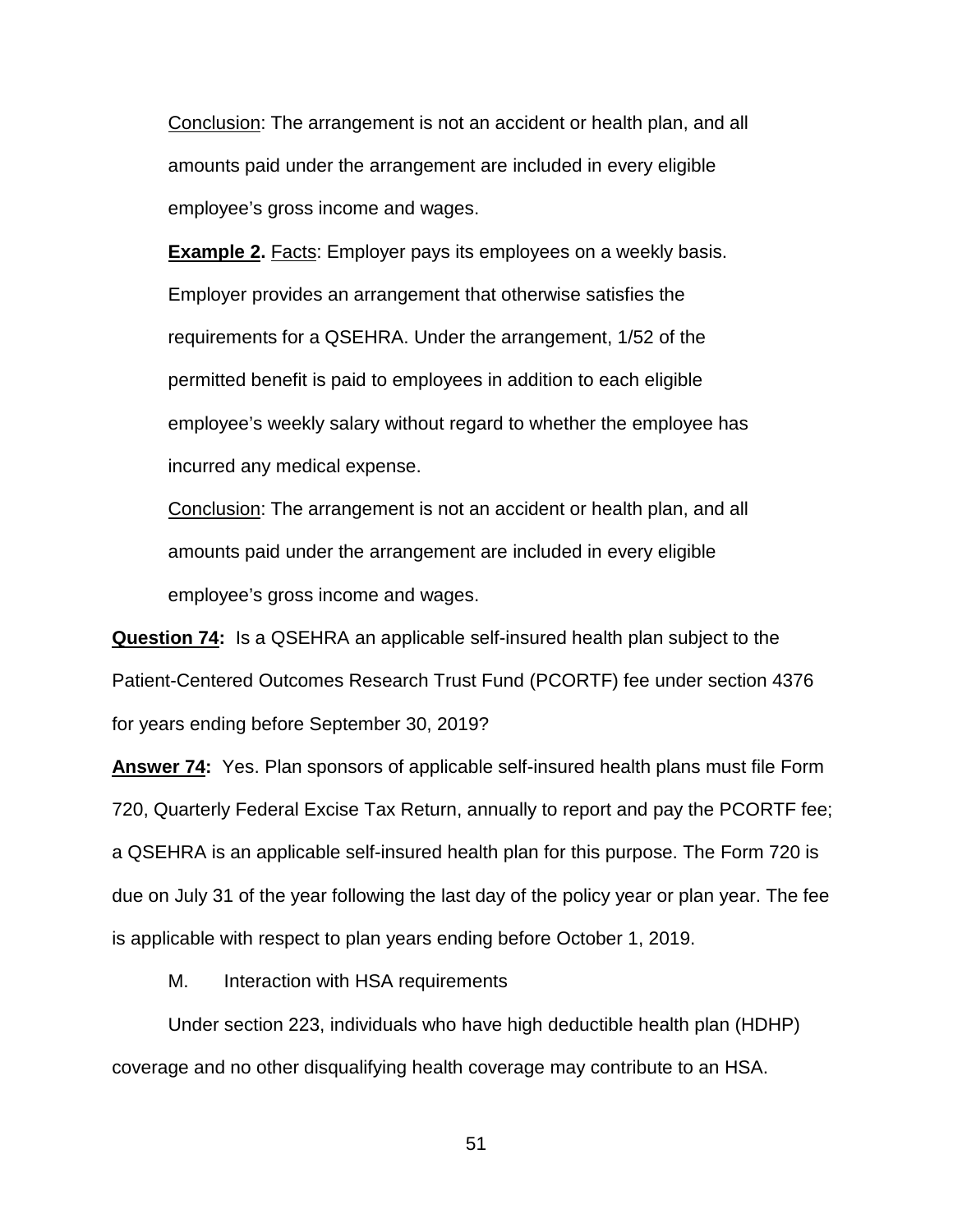Conclusion: The arrangement is not an accident or health plan, and all amounts paid under the arrangement are included in every eligible employee's gross income and wages.

**Example 2.** Facts: Employer pays its employees on a weekly basis. Employer provides an arrangement that otherwise satisfies the requirements for a QSEHRA. Under the arrangement, 1/52 of the permitted benefit is paid to employees in addition to each eligible employee's weekly salary without regard to whether the employee has incurred any medical expense.

Conclusion: The arrangement is not an accident or health plan, and all amounts paid under the arrangement are included in every eligible employee's gross income and wages.

**Question 74:** Is a QSEHRA an applicable self-insured health plan subject to the Patient-Centered Outcomes Research Trust Fund (PCORTF) fee under section 4376 for years ending before September 30, 2019?

**Answer 74:** Yes. Plan sponsors of applicable self-insured health plans must file Form 720, Quarterly Federal Excise Tax Return, annually to report and pay the PCORTF fee; a QSEHRA is an applicable self-insured health plan for this purpose. The Form 720 is due on July 31 of the year following the last day of the policy year or plan year. The fee is applicable with respect to plan years ending before October 1, 2019.

M. Interaction with HSA requirements

Under section 223, individuals who have high deductible health plan (HDHP) coverage and no other disqualifying health coverage may contribute to an HSA.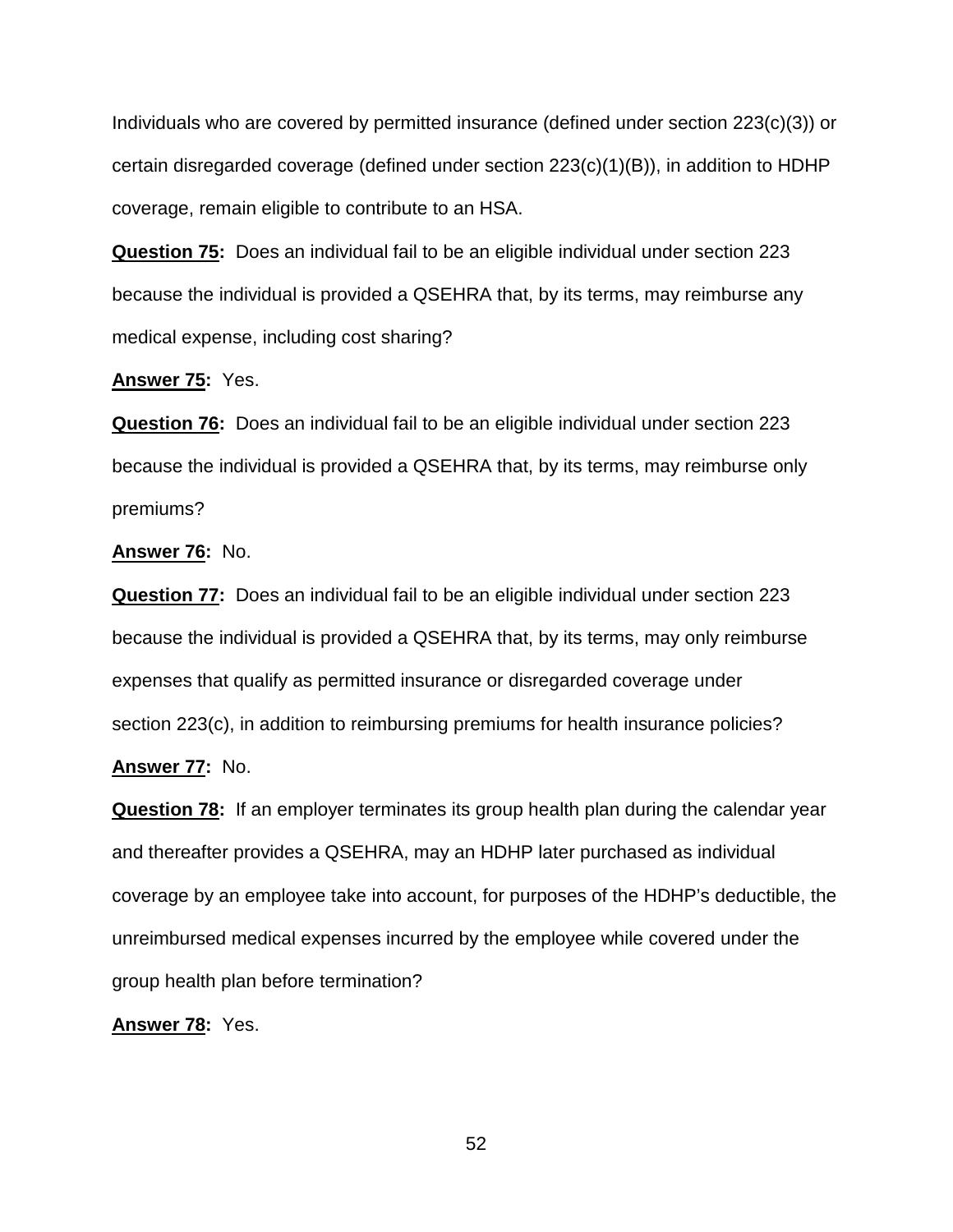Individuals who are covered by permitted insurance (defined under section 223(c)(3)) or certain disregarded coverage (defined under section 223(c)(1)(B)), in addition to HDHP coverage, remain eligible to contribute to an HSA.

**Question 75:** Does an individual fail to be an eligible individual under section 223 because the individual is provided a QSEHRA that, by its terms, may reimburse any medical expense, including cost sharing?

## **Answer 75:** Yes.

**Question 76:** Does an individual fail to be an eligible individual under section 223 because the individual is provided a QSEHRA that, by its terms, may reimburse only premiums?

# **Answer 76:** No.

**Question 77:** Does an individual fail to be an eligible individual under section 223 because the individual is provided a QSEHRA that, by its terms, may only reimburse expenses that qualify as permitted insurance or disregarded coverage under section 223(c), in addition to reimbursing premiums for health insurance policies?

# **Answer 77:** No.

**Question 78:** If an employer terminates its group health plan during the calendar year and thereafter provides a QSEHRA, may an HDHP later purchased as individual coverage by an employee take into account, for purposes of the HDHP's deductible, the unreimbursed medical expenses incurred by the employee while covered under the group health plan before termination?

# **Answer 78:** Yes.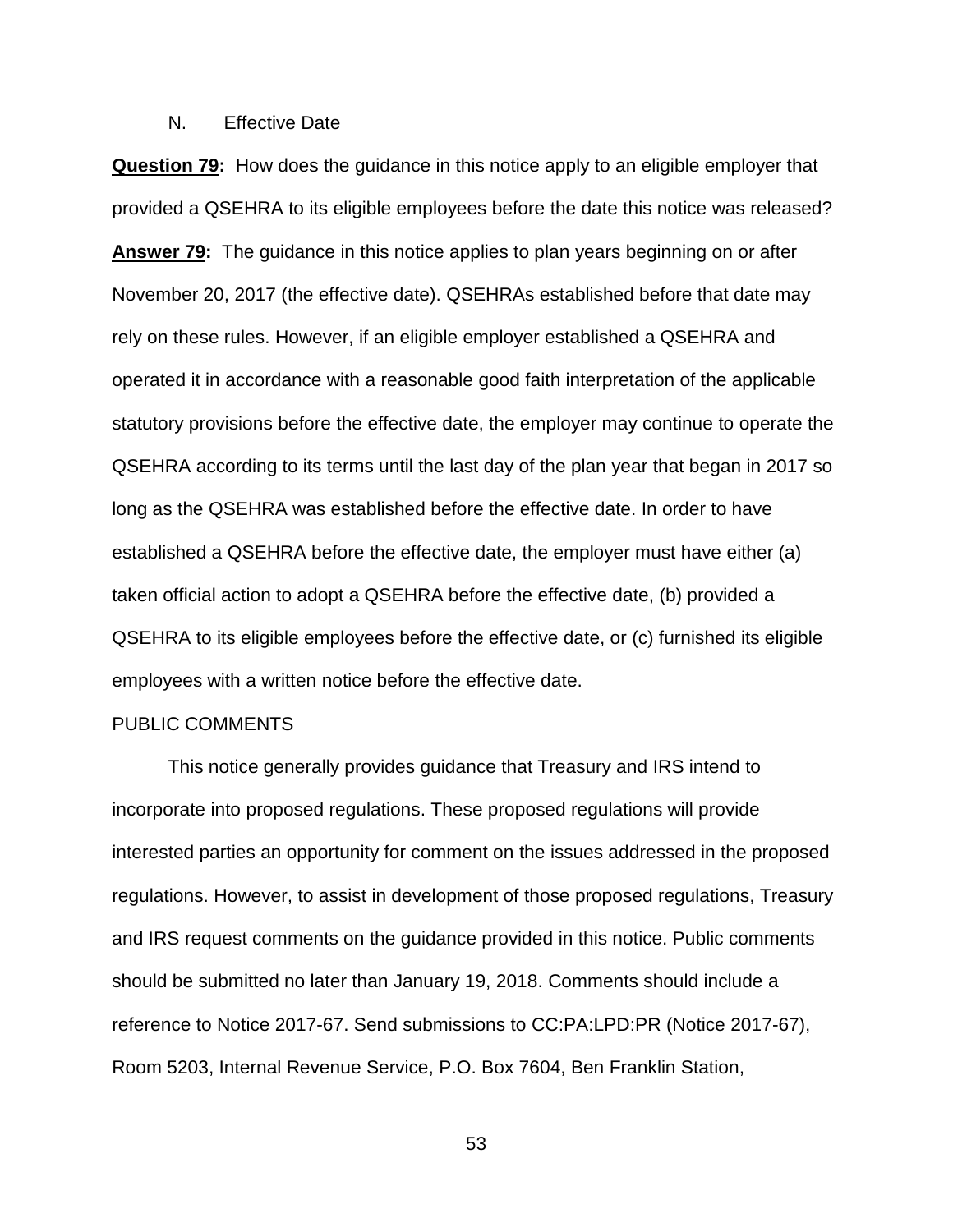# N. Effective Date

**Question 79:** How does the guidance in this notice apply to an eligible employer that provided a QSEHRA to its eligible employees before the date this notice was released? **Answer 79:** The guidance in this notice applies to plan years beginning on or after November 20, 2017 (the effective date). QSEHRAs established before that date may rely on these rules. However, if an eligible employer established a QSEHRA and operated it in accordance with a reasonable good faith interpretation of the applicable statutory provisions before the effective date, the employer may continue to operate the QSEHRA according to its terms until the last day of the plan year that began in 2017 so long as the QSEHRA was established before the effective date. In order to have established a QSEHRA before the effective date, the employer must have either (a) taken official action to adopt a QSEHRA before the effective date, (b) provided a QSEHRA to its eligible employees before the effective date, or (c) furnished its eligible employees with a written notice before the effective date.

### PUBLIC COMMENTS

This notice generally provides guidance that Treasury and IRS intend to incorporate into proposed regulations. These proposed regulations will provide interested parties an opportunity for comment on the issues addressed in the proposed regulations. However, to assist in development of those proposed regulations, Treasury and IRS request comments on the guidance provided in this notice. Public comments should be submitted no later than January 19, 2018. Comments should include a reference to Notice 2017-67. Send submissions to CC:PA:LPD:PR (Notice 2017-67), Room 5203, Internal Revenue Service, P.O. Box 7604, Ben Franklin Station,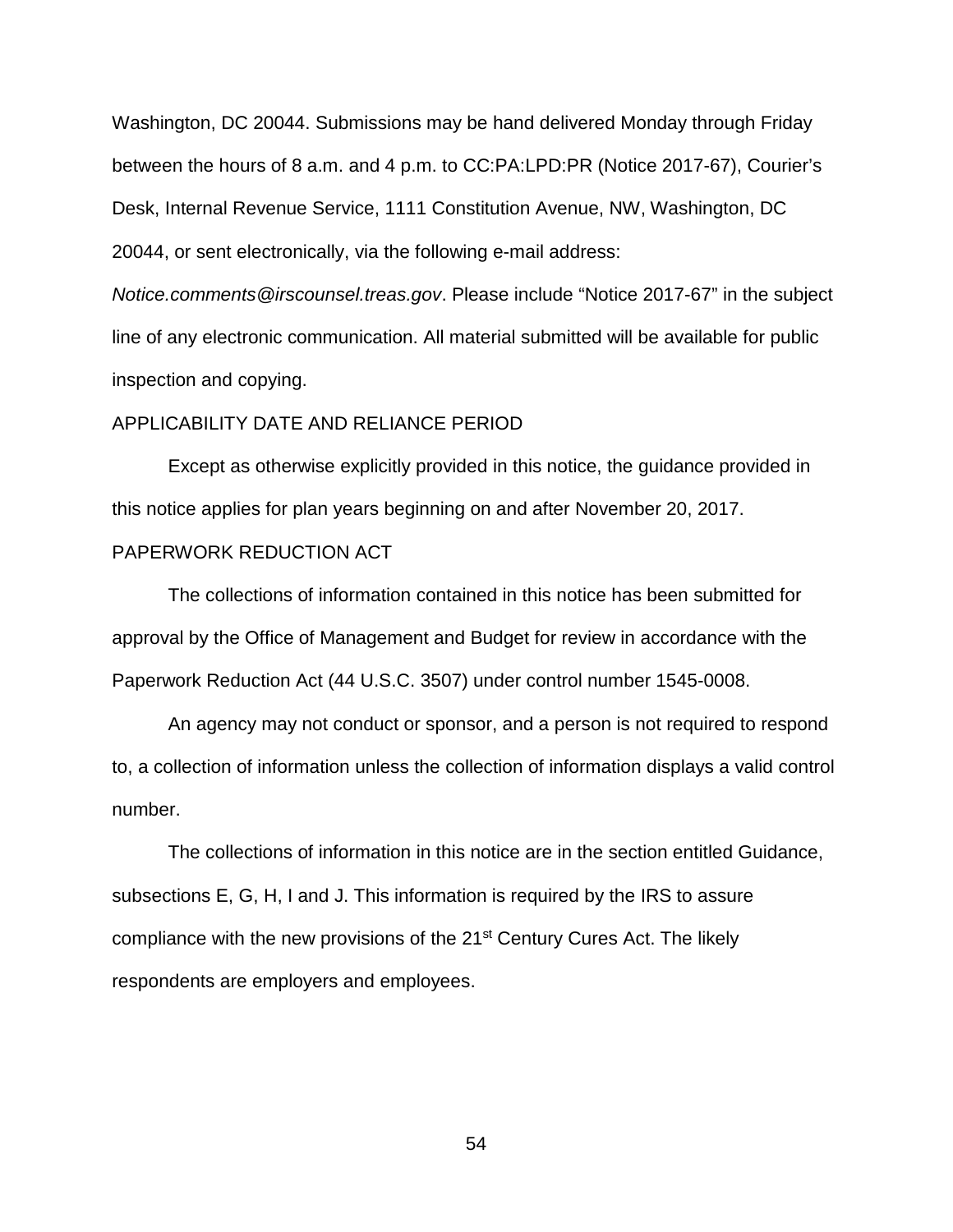Washington, DC 20044. Submissions may be hand delivered Monday through Friday between the hours of 8 a.m. and 4 p.m. to CC:PA:LPD:PR (Notice 2017-67), Courier's Desk, Internal Revenue Service, 1111 Constitution Avenue, NW, Washington, DC 20044, or sent electronically, via the following e-mail address:

*Notice.comments@irscounsel.treas.gov*. Please include "Notice 2017-67" in the subject line of any electronic communication. All material submitted will be available for public inspection and copying.

## APPLICABILITY DATE AND RELIANCE PERIOD

Except as otherwise explicitly provided in this notice, the guidance provided in this notice applies for plan years beginning on and after November 20, 2017.

# PAPERWORK REDUCTION ACT

The collections of information contained in this notice has been submitted for approval by the Office of Management and Budget for review in accordance with the Paperwork Reduction Act (44 U.S.C. 3507) under control number 1545-0008.

An agency may not conduct or sponsor, and a person is not required to respond to, a collection of information unless the collection of information displays a valid control number.

The collections of information in this notice are in the section entitled Guidance, subsections E, G, H, I and J. This information is required by the IRS to assure compliance with the new provisions of the 21<sup>st</sup> Century Cures Act. The likely respondents are employers and employees.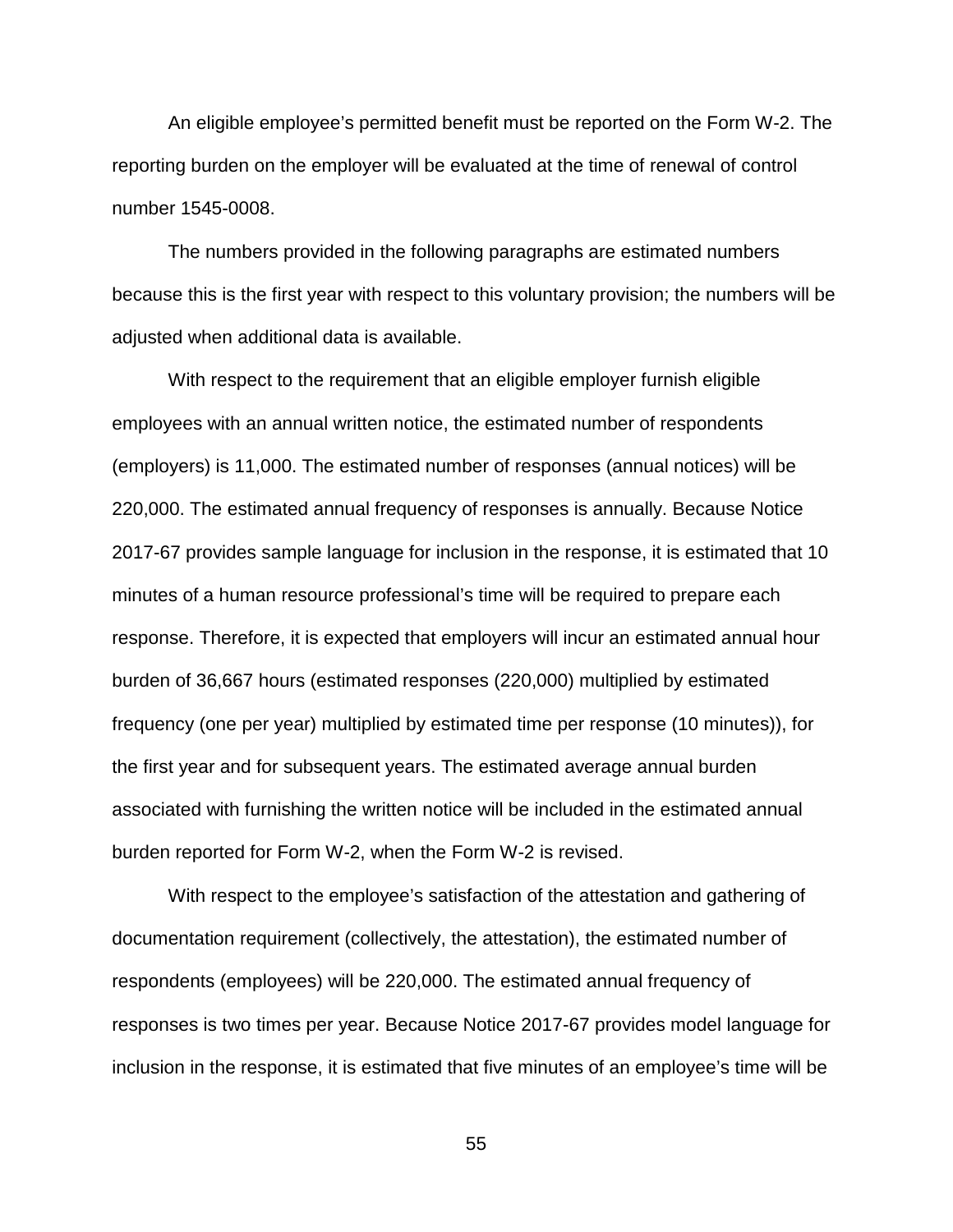An eligible employee's permitted benefit must be reported on the Form W-2. The reporting burden on the employer will be evaluated at the time of renewal of control number 1545-0008.

The numbers provided in the following paragraphs are estimated numbers because this is the first year with respect to this voluntary provision; the numbers will be adjusted when additional data is available.

With respect to the requirement that an eligible employer furnish eligible employees with an annual written notice, the estimated number of respondents (employers) is 11,000. The estimated number of responses (annual notices) will be 220,000. The estimated annual frequency of responses is annually. Because Notice 2017-67 provides sample language for inclusion in the response, it is estimated that 10 minutes of a human resource professional's time will be required to prepare each response. Therefore, it is expected that employers will incur an estimated annual hour burden of 36,667 hours (estimated responses (220,000) multiplied by estimated frequency (one per year) multiplied by estimated time per response (10 minutes)), for the first year and for subsequent years. The estimated average annual burden associated with furnishing the written notice will be included in the estimated annual burden reported for Form W-2, when the Form W-2 is revised.

With respect to the employee's satisfaction of the attestation and gathering of documentation requirement (collectively, the attestation), the estimated number of respondents (employees) will be 220,000. The estimated annual frequency of responses is two times per year. Because Notice 2017-67 provides model language for inclusion in the response, it is estimated that five minutes of an employee's time will be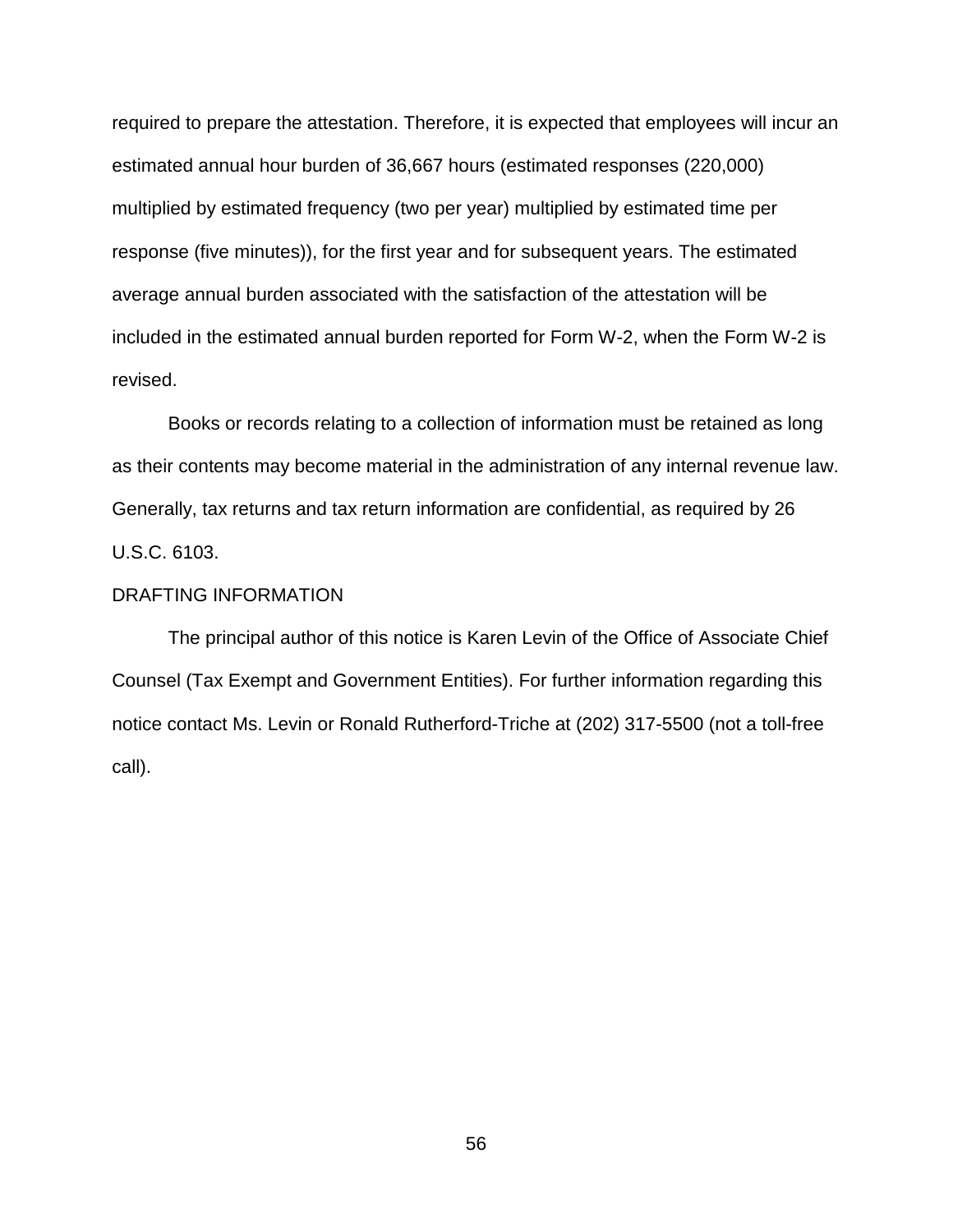required to prepare the attestation. Therefore, it is expected that employees will incur an estimated annual hour burden of 36,667 hours (estimated responses (220,000) multiplied by estimated frequency (two per year) multiplied by estimated time per response (five minutes)), for the first year and for subsequent years. The estimated average annual burden associated with the satisfaction of the attestation will be included in the estimated annual burden reported for Form W-2, when the Form W-2 is revised.

Books or records relating to a collection of information must be retained as long as their contents may become material in the administration of any internal revenue law. Generally, tax returns and tax return information are confidential, as required by 26 U.S.C. 6103.

# DRAFTING INFORMATION

The principal author of this notice is Karen Levin of the Office of Associate Chief Counsel (Tax Exempt and Government Entities). For further information regarding this notice contact Ms. Levin or Ronald Rutherford-Triche at (202) 317-5500 (not a toll-free call).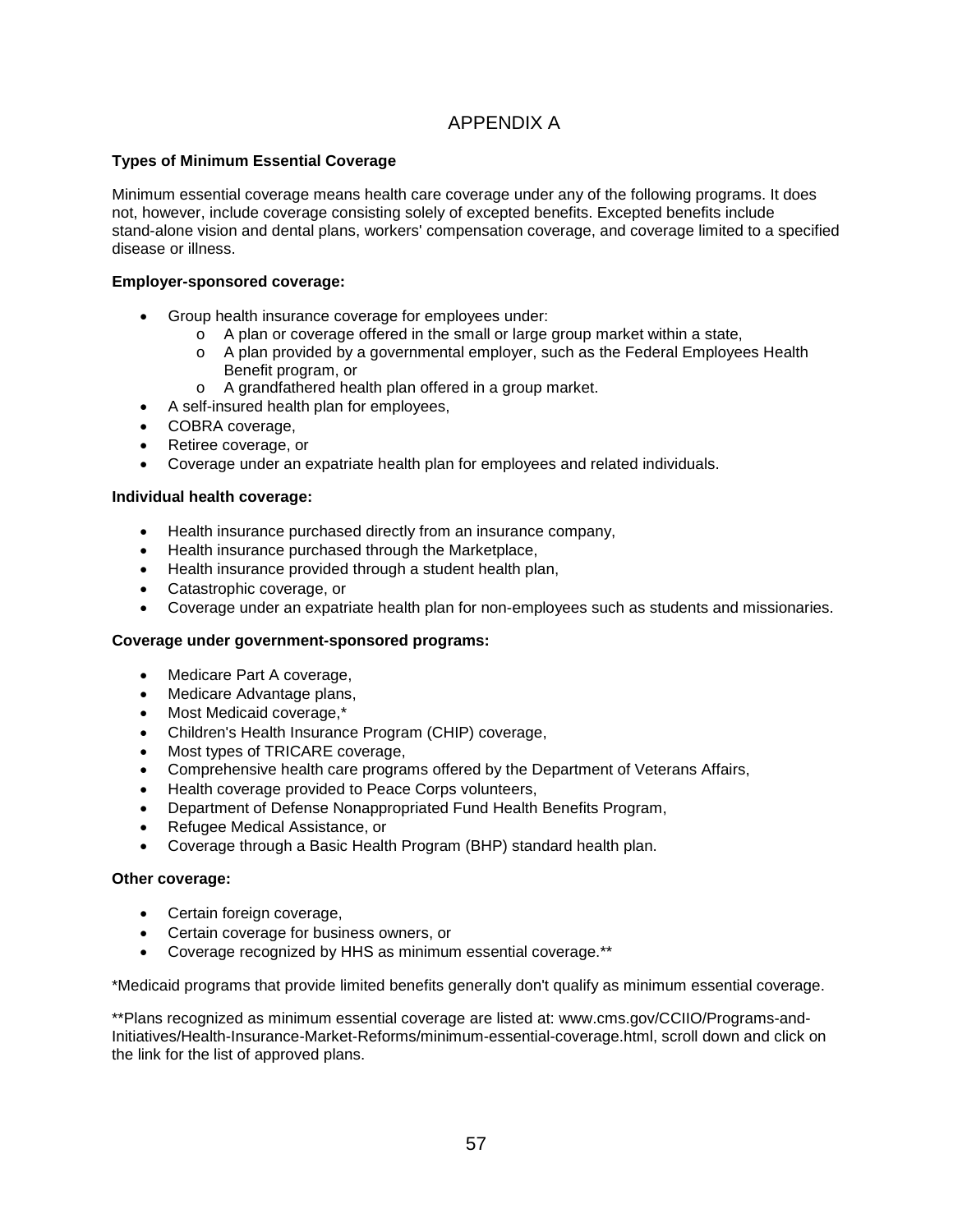# APPENDIX A

## **Types of Minimum Essential Coverage**

Minimum essential coverage means health care coverage under any of the following programs. It does not, however, include coverage consisting solely of excepted benefits. Excepted benefits include stand-alone vision and dental plans, workers' compensation coverage, and coverage limited to a specified disease or illness.

#### **Employer-sponsored coverage:**

- Group health insurance coverage for employees under:
	- $\circ$  A plan or coverage offered in the small or large group market within a state,
	- o A plan provided by a governmental employer, such as the Federal Employees Health Benefit program, or
	- o A grandfathered health plan offered in a group market.
- A self-insured health plan for employees,
- COBRA coverage,
- Retiree coverage, or
- Coverage under an expatriate health plan for employees and related individuals.

#### **Individual health coverage:**

- Health insurance purchased directly from an insurance company,
- Health insurance purchased through the Marketplace,
- Health insurance provided through a student health plan,
- Catastrophic coverage, or
- Coverage under an expatriate health plan for non-employees such as students and missionaries.

#### **Coverage under government-sponsored programs:**

- Medicare Part A coverage,
- Medicare Advantage plans,
- Most Medicaid coverage,\*
- Children's Health Insurance Program (CHIP) coverage,
- Most types of TRICARE coverage,
- Comprehensive health care programs offered by the Department of Veterans Affairs,
- Health coverage provided to Peace Corps volunteers,
- Department of Defense Nonappropriated Fund Health Benefits Program,
- Refugee Medical Assistance, or
- Coverage through a Basic Health Program (BHP) standard health plan.

#### **Other coverage:**

- Certain foreign coverage,
- Certain coverage for business owners, or
- Coverage recognized by HHS as minimum essential coverage.\*\*

\*Medicaid programs that provide limited benefits generally don't qualify as minimum essential coverage.

\*\*Plans recognized as minimum essential coverage are listed at: www.cms.gov/CCIIO/Programs-and-Initiatives/Health-Insurance-Market-Reforms/minimum-essential-coverage.html, scroll down and click on the link for the list of approved plans.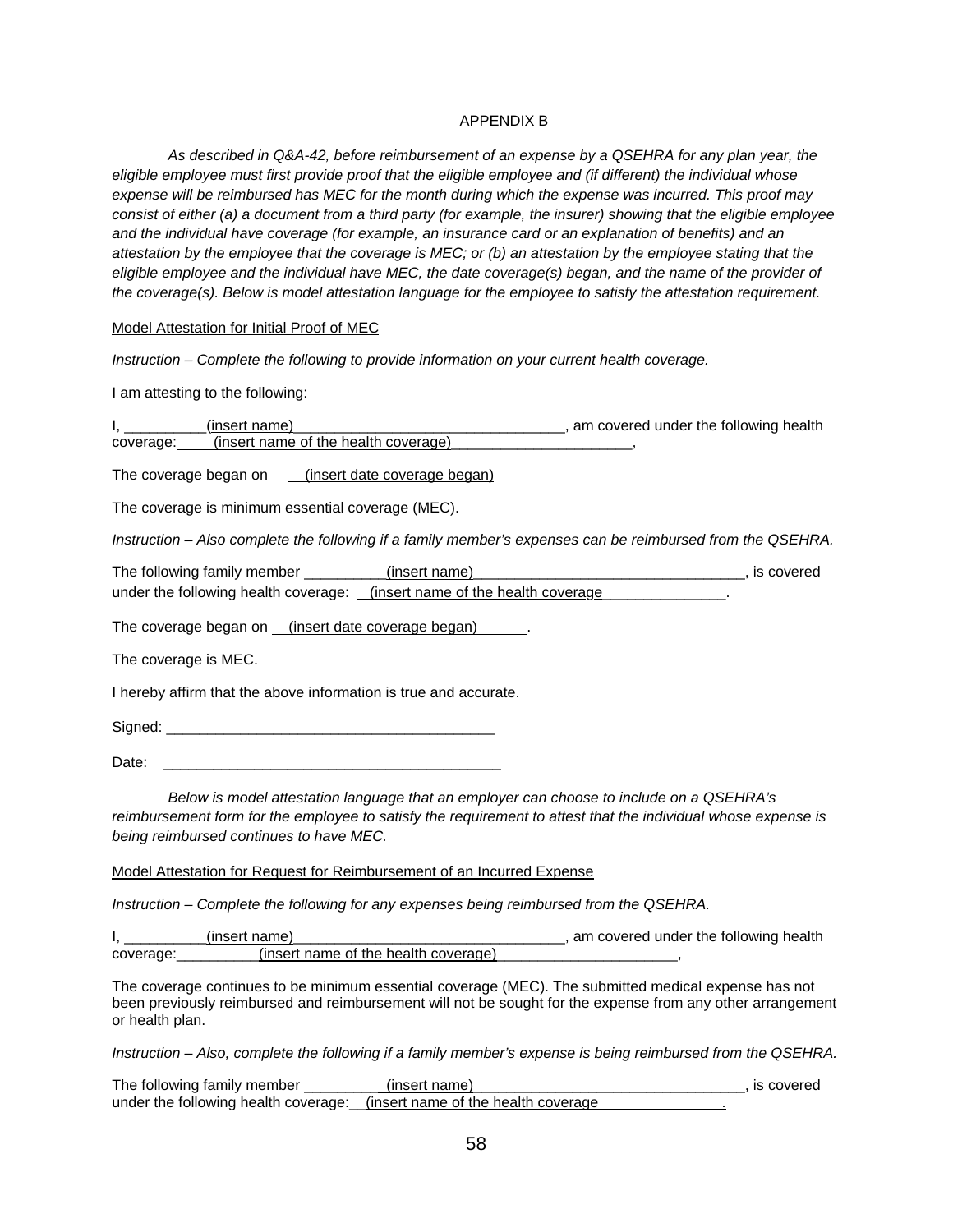#### APPENDIX B

*As described in Q&A-42, before reimbursement of an expense by a QSEHRA for any plan year, the eligible employee must first provide proof that the eligible employee and (if different) the individual whose expense will be reimbursed has MEC for the month during which the expense was incurred. This proof may consist of either (a) a document from a third party (for example, the insurer) showing that the eligible employee and the individual have coverage (for example, an insurance card or an explanation of benefits) and an attestation by the employee that the coverage is MEC; or (b) an attestation by the employee stating that the eligible employee and the individual have MEC, the date coverage(s) began, and the name of the provider of the coverage(s). Below is model attestation language for the employee to satisfy the attestation requirement.*

Model Attestation for Initial Proof of MEC

*Instruction – Complete the following to provide information on your current health coverage.* 

I am attesting to the following:

|           | (insert name)                        | , am covered under the following health |
|-----------|--------------------------------------|-----------------------------------------|
| coverage: | (insert name of the health coverage) |                                         |
|           |                                      |                                         |

The coverage began on (insert date coverage began)

The coverage is minimum essential coverage (MEC).

*Instruction – Also complete the following if a family member's expenses can be reimbursed from the QSEHRA.* 

| The following family member                                                     | (insert name) | is covered |
|---------------------------------------------------------------------------------|---------------|------------|
| under the following health coverage: <u>(insert name of the health coverage</u> |               |            |

The coverage began on (insert date coverage began) .

The coverage is MEC.

I hereby affirm that the above information is true and accurate.

Signed: \_\_\_\_\_\_\_\_\_\_\_\_\_\_\_\_\_\_\_\_\_\_\_\_\_\_\_\_\_\_\_\_\_\_\_\_\_\_\_\_

Date: \_\_\_\_\_\_\_\_\_\_\_\_\_\_\_\_\_\_\_\_\_\_\_\_\_\_\_\_\_\_\_\_\_\_\_\_\_\_\_\_\_

*Below is model attestation language that an employer can choose to include on a QSEHRA's reimbursement form for the employee to satisfy the requirement to attest that the individual whose expense is being reimbursed continues to have MEC.*

#### Model Attestation for Request for Reimbursement of an Incurred Expense

*Instruction – Complete the following for any expenses being reimbursed from the QSEHRA.*

|          | (insert name)                        | , am covered under the following health |
|----------|--------------------------------------|-----------------------------------------|
| coverage | (insert name of the health coverage) |                                         |

The coverage continues to be minimum essential coverage (MEC). The submitted medical expense has not been previously reimbursed and reimbursement will not be sought for the expense from any other arrangement or health plan.

*Instruction – Also, complete the following if a family member's expense is being reimbursed from the QSEHRA.* 

The following family member \_\_\_\_\_\_\_\_\_(insert name)\_\_\_\_\_\_\_\_\_\_\_\_\_\_\_\_\_\_\_\_\_\_\_\_\_\_\_\_\_\_, is covered under the following health coverage: \_\_\_(insert name of the health coverage